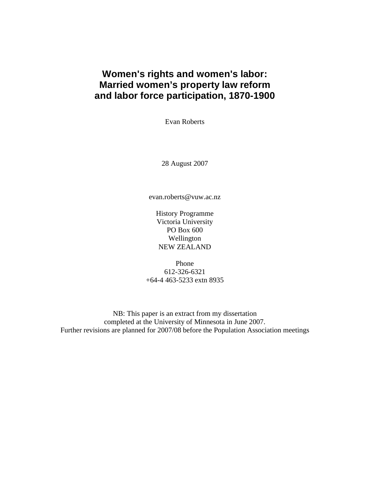## **Women's rights and women's labor: Married women's property law reform and labor force participation, 1870-1900**

Evan Roberts

28 August 2007

evan.roberts@vuw.ac.nz

History Programme Victoria University PO Box 600 Wellington NEW ZEALAND

Phone 612-326-6321 +64-4 463-5233 extn 8935

NB: This paper is an extract from my dissertation completed at the University of Minnesota in June 2007. Further revisions are planned for 2007/08 before the Population Association meetings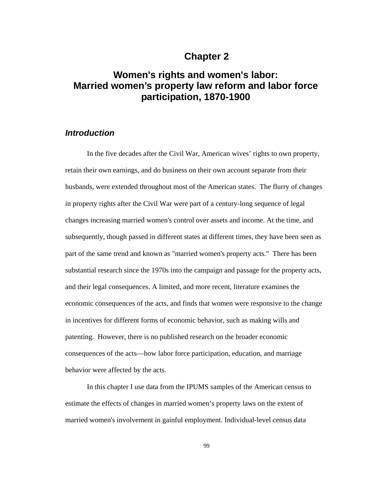## **Chapter 2**

# **Women's rights and women's labor: Married women's property law reform and labor force participation, 1870-1900**

## *Introduction*

In the five decades after the Civil War, American wives' rights to own property, retain their own earnings, and do business on their own account separate from their husbands, were extended throughout most of the American states. The flurry of changes in property rights after the Civil War were part of a century-long sequence of legal changes increasing married women's control over assets and income. At the time, and subsequently, though passed in different states at different times, they have been seen as part of the same trend and known as "married women's property acts." There has been substantial research since the 1970s into the campaign and passage for the property acts, and their legal consequences. A limited, and more recent, literature examines the economic consequences of the acts, and finds that women were responsive to the change in incentives for different forms of economic behavior, such as making wills and patenting. However, there is no published research on the broader economic consequences of the acts—how labor force participation, education, and marriage behavior were affected by the acts.

In this chapter I use data from the IPUMS samples of the American census to estimate the effects of changes in married women's property laws on the extent of married women's involvement in gainful employment. Individual-level census data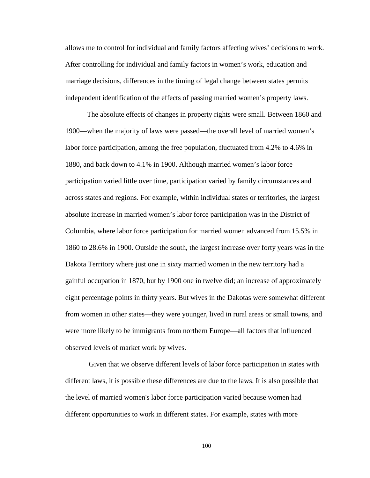allows me to control for individual and family factors affecting wives' decisions to work. After controlling for individual and family factors in women's work, education and marriage decisions, differences in the timing of legal change between states permits independent identification of the effects of passing married women's property laws.

The absolute effects of changes in property rights were small. Between 1860 and 1900—when the majority of laws were passed—the overall level of married women's labor force participation, among the free population, fluctuated from 4.2% to 4.6% in 1880, and back down to 4.1% in 1900. Although married women's labor force participation varied little over time, participation varied by family circumstances and across states and regions. For example, within individual states or territories, the largest absolute increase in married women's labor force participation was in the District of Columbia, where labor force participation for married women advanced from 15.5% in 1860 to 28.6% in 1900. Outside the south, the largest increase over forty years was in the Dakota Territory where just one in sixty married women in the new territory had a gainful occupation in 1870, but by 1900 one in twelve did; an increase of approximately eight percentage points in thirty years. But wives in the Dakotas were somewhat different from women in other states—they were younger, lived in rural areas or small towns, and were more likely to be immigrants from northern Europe—all factors that influenced observed levels of market work by wives.

 Given that we observe different levels of labor force participation in states with different laws, it is possible these differences are due to the laws. It is also possible that the level of married women's labor force participation varied because women had different opportunities to work in different states. For example, states with more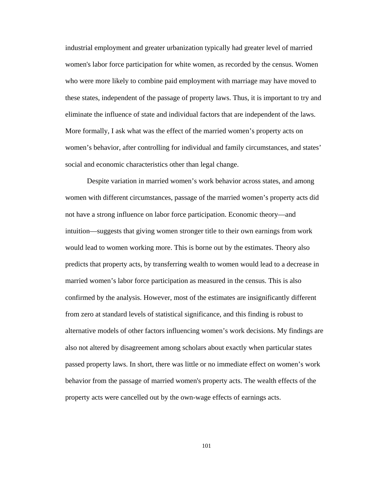industrial employment and greater urbanization typically had greater level of married women's labor force participation for white women, as recorded by the census. Women who were more likely to combine paid employment with marriage may have moved to these states, independent of the passage of property laws. Thus, it is important to try and eliminate the influence of state and individual factors that are independent of the laws. More formally, I ask what was the effect of the married women's property acts on women's behavior, after controlling for individual and family circumstances, and states' social and economic characteristics other than legal change.

Despite variation in married women's work behavior across states, and among women with different circumstances, passage of the married women's property acts did not have a strong influence on labor force participation. Economic theory—and intuition—suggests that giving women stronger title to their own earnings from work would lead to women working more. This is borne out by the estimates. Theory also predicts that property acts, by transferring wealth to women would lead to a decrease in married women's labor force participation as measured in the census. This is also confirmed by the analysis. However, most of the estimates are insignificantly different from zero at standard levels of statistical significance, and this finding is robust to alternative models of other factors influencing women's work decisions. My findings are also not altered by disagreement among scholars about exactly when particular states passed property laws. In short, there was little or no immediate effect on women's work behavior from the passage of married women's property acts. The wealth effects of the property acts were cancelled out by the own-wage effects of earnings acts.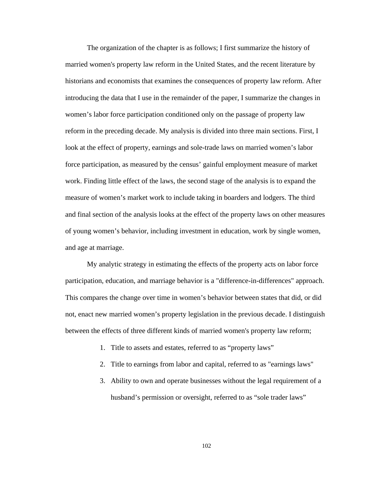The organization of the chapter is as follows; I first summarize the history of married women's property law reform in the United States, and the recent literature by historians and economists that examines the consequences of property law reform. After introducing the data that I use in the remainder of the paper, I summarize the changes in women's labor force participation conditioned only on the passage of property law reform in the preceding decade. My analysis is divided into three main sections. First, I look at the effect of property, earnings and sole-trade laws on married women's labor force participation, as measured by the census' gainful employment measure of market work. Finding little effect of the laws, the second stage of the analysis is to expand the measure of women's market work to include taking in boarders and lodgers. The third and final section of the analysis looks at the effect of the property laws on other measures of young women's behavior, including investment in education, work by single women, and age at marriage.

My analytic strategy in estimating the effects of the property acts on labor force participation, education, and marriage behavior is a "difference-in-differences" approach. This compares the change over time in women's behavior between states that did, or did not, enact new married women's property legislation in the previous decade. I distinguish between the effects of three different kinds of married women's property law reform;

- 1. Title to assets and estates, referred to as "property laws"
- 2. Title to earnings from labor and capital, referred to as "earnings laws"
- 3. Ability to own and operate businesses without the legal requirement of a husband's permission or oversight, referred to as "sole trader laws"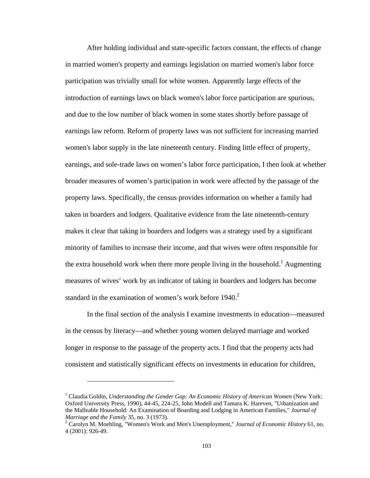After holding individual and state-specific factors constant, the effects of change in married women's property and earnings legislation on married women's labor force participation was trivially small for white women. Apparently large effects of the introduction of earnings laws on black women's labor force participation are spurious, and due to the low number of black women in some states shortly before passage of earnings law reform. Reform of property laws was not sufficient for increasing married women's labor supply in the late nineteenth century. Finding little effect of property, earnings, and sole-trade laws on women's labor force participation, I then look at whether broader measures of women's participation in work were affected by the passage of the property laws. Specifically, the census provides information on whether a family had taken in boarders and lodgers. Qualitative evidence from the late nineteenth-century makes it clear that taking in boarders and lodgers was a strategy used by a significant minority of families to increase their income, and that wives were often responsible for the extra household work when there more people living in the household.<sup>1</sup> Augmenting measures of wives' work by an indicator of taking in boarders and lodgers has become standard in the examination of women's work before  $1940<sup>2</sup>$ 

In the final section of the analysis I examine investments in education—measured in the census by literacy—and whether young women delayed marriage and worked longer in response to the passage of the property acts. I find that the property acts had consistent and statistically significant effects on investments in education for children,

<u>.</u>

<sup>&</sup>lt;sup>1</sup> Claudia Goldin, *Understanding the Gender Gap: An Economic History of American Women* (New York: Oxford University Press, 1990), 44-45, 224-25, John Modell and Tamara K. Hareven, "Urbanization and the Malleable Household: An Examination of Boarding and Lodging in American Families," *Journal of Marriage and the Family* 35, no. 3 (1973). 2

Carolyn M. Moehling, "Women's Work and Men's Unemployment," *Journal of Economic History* 61, no. 4 (2001): 926-49.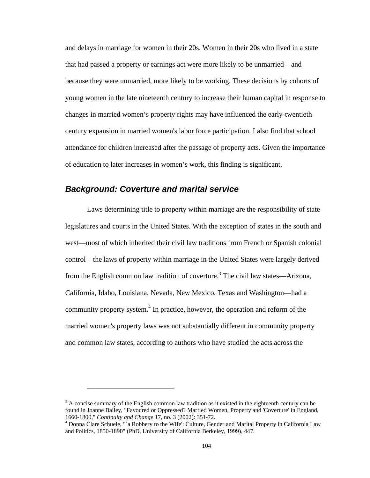and delays in marriage for women in their 20s. Women in their 20s who lived in a state that had passed a property or earnings act were more likely to be unmarried—and because they were unmarried, more likely to be working. These decisions by cohorts of young women in the late nineteenth century to increase their human capital in response to changes in married women's property rights may have influenced the early-twentieth century expansion in married women's labor force participation. I also find that school attendance for children increased after the passage of property acts. Given the importance of education to later increases in women's work, this finding is significant.

## *Background: Coverture and marital service*

 $\overline{a}$ 

Laws determining title to property within marriage are the responsibility of state legislatures and courts in the United States. With the exception of states in the south and west—most of which inherited their civil law traditions from French or Spanish colonial control—the laws of property within marriage in the United States were largely derived from the English common law tradition of coverture.<sup>3</sup> The civil law states—Arizona, California, Idaho, Louisiana, Nevada, New Mexico, Texas and Washington—had a community property system.<sup>4</sup> In practice, however, the operation and reform of the married women's property laws was not substantially different in community property and common law states, according to authors who have studied the acts across the

 $3$  A concise summary of the English common law tradition as it existed in the eighteenth century can be found in Joanne Bailey, "Favoured or Oppressed? Married Women, Property and 'Coverture' in England, 1660-1800," *Continuity and Change* 17, no. 3 (2002): 351-72. 4

Donna Clare Schuele, "`a Robbery to the Wife': Culture, Gender and Marital Property in California Law and Politics, 1850-1890" (PhD, University of California Berkeley, 1999), 447.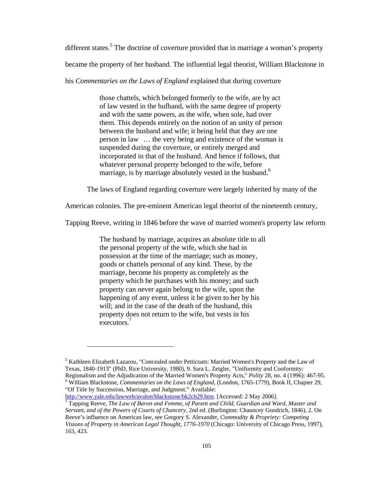different states.<sup>5</sup> The doctrine of coverture provided that in marriage a woman's property

became the property of her husband. The influential legal theorist, William Blackstone in

his *Commentaries on the Laws of England* explained that during coverture

those chattels, which belonged formerly to the wife, are by act of law vested in the hufband, with the same degree of property and with the same powers, as the wife, when sole, had over them. This depends entirely on the notion of an unity of person between the husband and wife; it being held that they are one person in law … the very being and existence of the woman is suspended during the coverture, or entirely merged and incorporated in that of the husband. And hence if follows, that whatever personal property belonged to the wife, before marriage, is by marriage absolutely vested in the husband.<sup>6</sup>

The laws of England regarding coverture were largely inherited by many of the

American colonies. The pre-eminent American legal theorist of the nineteenth century,

Tapping Reeve, writing in 1846 before the wave of married women's property law reform

The husband by marriage, acquires an absolute title to all the personal property of the wife, which she had in possession at the time of the marriage; such as money, goods or chattels personal of any kind. These, by the marriage, become his property as completely as the property which he purchases with his money; and such property can never again belong to the wife, upon the happening of any event, unless it be given to her by his will; and in the case of the death of the husband, this property does not return to the wife, but vests in his executors.7

<sup>&</sup>lt;sup>5</sup> Kathleen Elizabeth Lazarou, "Concealed under Petticoats: Married Women's Property and the Law of Texas, 1840-1913" (PhD, Rice University, 1980), 9. Sara L. Zeigler, "Uniformity and Conformity: Regionalism and the Adjudication of the Married Women's Property Acts," *Polity* 28, no. 4 (1996): 467-95. 6 William Blackstone, *Commentaries on the Laws of England*, (London, 1765-1779), Book II, Chapter 29, "Of Title by Succession, Marriage, and Judgment." Available:

http://www.yale.edu/lawweb/avalon/blackstone/bk2ch29.htm. [Accessed: 2 May 2006].

Tapping Reeve, *The Law of Baron and Femme, of Parent and Child, Guardian and Ward, Master and Servant, and of the Powers of Courts of Chancery*, 2nd ed. (Burlington: Chauncey Goodrich, 1846), 2. On Reeve's influence on American law, see Gregory S. Alexander, *Commodity & Propriety: Competing Visions of Property in American Legal Thought, 1776-1970* (Chicago: University of Chicago Press, 1997), 163, 423.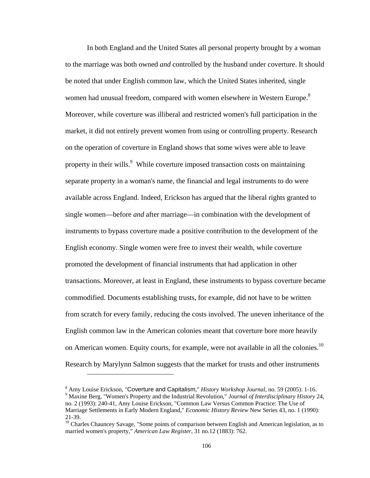In both England and the United States all personal property brought by a woman to the marriage was both owned *and* controlled by the husband under coverture. It should be noted that under English common law, which the United States inherited, single women had unusual freedom, compared with women elsewhere in Western Europe.<sup>8</sup> Moreover, while coverture was illiberal and restricted women's full participation in the market, it did not entirely prevent women from using or controlling property. Research on the operation of coverture in England shows that some wives were able to leave property in their wills.<sup>9</sup> While coverture imposed transaction costs on maintaining separate property in a woman's name, the financial and legal instruments to do were available across England. Indeed, Erickson has argued that the liberal rights granted to single women—before *and* after marriage—in combination with the development of instruments to bypass coverture made a positive contribution to the development of the English economy. Single women were free to invest their wealth, while coverture promoted the development of financial instruments that had application in other transactions. Moreover, at least in England, these instruments to bypass coverture became commodified. Documents establishing trusts, for example, did not have to be written from scratch for every family, reducing the costs involved. The uneven inheritance of the English common law in the American colonies meant that coverture bore more heavily on American women. Equity courts, for example, were not available in all the colonies.<sup>10</sup> Research by Marylynn Salmon suggests that the market for trusts and other instruments

<sup>&</sup>lt;sup>8</sup> Amy Louise Erickson, "Coverture and Capitalism," *History Workshop Journal*, no. 59 (2005): 1-16.<br><sup>9</sup> Marina Bara, "Woman's Property and the Industrial Bayolytian," *Lournal of Intendiaginlingm*, *History*  Maxine Berg, "Women's Property and the Industrial Revolution," *Journal of Interdisciplinary History* 24, no. 2 (1993): 240-41, Amy Louise Erickson, "Common Law Versus Common Practice: The Use of Marriage Settlements in Early Modern England," *Economic History Review* New Series 43, no. 1 (1990): 21-39.

<sup>&</sup>lt;sup>10</sup> Charles Chauncey Savage, "Some points of comparison between English and American legislation, as to married women's property," *American Law Register*, 31 no.12 (1883): 762.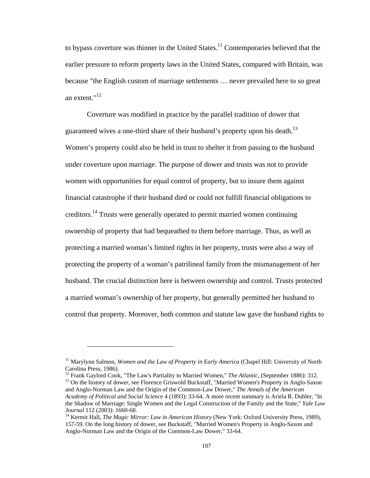to bypass coverture was thinner in the United States.<sup>11</sup> Contemporaries believed that the earlier pressure to reform property laws in the United States, compared with Britain, was because "the English custom of marriage settlements … never prevailed here to so great an extent."12

Coverture was modified in practice by the parallel tradition of dower that guaranteed wives a one-third share of their husband's property upon his death.<sup>13</sup> Women's property could also be held in trust to shelter it from passing to the husband under coverture upon marriage. The purpose of dower and trusts was not to provide women with opportunities for equal control of property, but to insure them against financial catastrophe if their husband died or could not fulfill financial obligations to creditors.14 Trusts were generally operated to permit married women continuing ownership of property that had bequeathed to them before marriage. Thus, as well as protecting a married woman's limited rights in her property, trusts were also a way of protecting the property of a woman's patrilineal family from the mismanagement of her husband. The crucial distinction here is between ownership and control. Trusts protected a married woman's ownership of her property, but generally permitted her husband to control that property. Moreover, both common and statute law gave the husband rights to

<sup>&</sup>lt;sup>11</sup> Marylynn Salmon, *Women and the Law of Property in Early America* (Chapel Hill: University of North Carolina Press, 1986).<br><sup>12</sup> Frank Gaylord Cook, "The Law's Partiality to Married Women," *The Atlantic*, (September 1886): 312.

<sup>&</sup>lt;sup>13</sup> On the history of dower, see Florence Griswold Buckstaff, "Married Women's Property in Anglo-Saxon and Anglo-Norman Law and the Origin of the Common-Law Dower," *The Annals of the American Academy of Political and Social Science* 4 (1893): 33-64. A more recent summary is Ariela R. Dubler, "In the Shadow of Marriage: Single Women and the Legal Construction of the Family and the State," *Yale Law Journal* 112 (2003): 1660-68.<br><sup>14</sup> Kermit Hall, *The Magic Mirror: Law in American History* (New York: Oxford University Press, 1989),

<sup>157-59.</sup> On the long history of dower, see Buckstaff, "Married Women's Property in Anglo-Saxon and Anglo-Norman Law and the Origin of the Common-Law Dower," 33-64.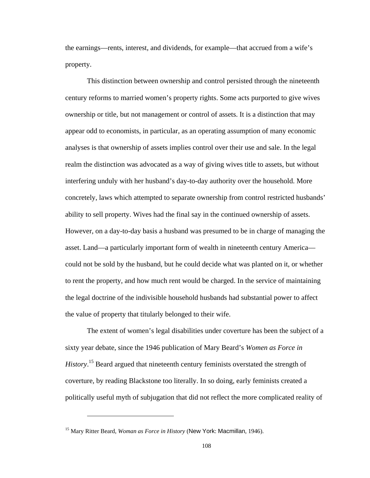the earnings—rents, interest, and dividends, for example—that accrued from a wife's property.

This distinction between ownership and control persisted through the nineteenth century reforms to married women's property rights. Some acts purported to give wives ownership or title, but not management or control of assets. It is a distinction that may appear odd to economists, in particular, as an operating assumption of many economic analyses is that ownership of assets implies control over their use and sale. In the legal realm the distinction was advocated as a way of giving wives title to assets, but without interfering unduly with her husband's day-to-day authority over the household. More concretely, laws which attempted to separate ownership from control restricted husbands' ability to sell property. Wives had the final say in the continued ownership of assets. However, on a day-to-day basis a husband was presumed to be in charge of managing the asset. Land—a particularly important form of wealth in nineteenth century America could not be sold by the husband, but he could decide what was planted on it, or whether to rent the property, and how much rent would be charged. In the service of maintaining the legal doctrine of the indivisible household husbands had substantial power to affect the value of property that titularly belonged to their wife.

The extent of women's legal disabilities under coverture has been the subject of a sixty year debate, since the 1946 publication of Mary Beard's *Women as Force in History*. 15 Beard argued that nineteenth century feminists overstated the strength of coverture, by reading Blackstone too literally. In so doing, early feminists created a politically useful myth of subjugation that did not reflect the more complicated reality of

<sup>15</sup> Mary Ritter Beard, *Woman as Force in History* (New York: Macmillan, 1946).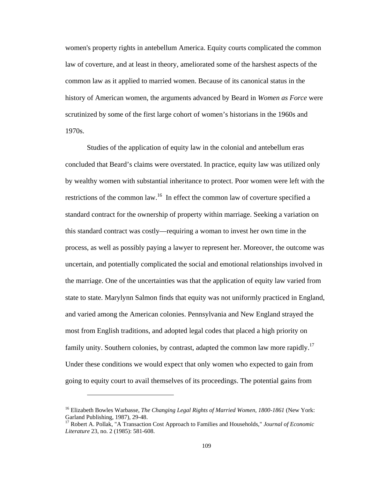women's property rights in antebellum America. Equity courts complicated the common law of coverture, and at least in theory, ameliorated some of the harshest aspects of the common law as it applied to married women. Because of its canonical status in the history of American women, the arguments advanced by Beard in *Women as Force* were scrutinized by some of the first large cohort of women's historians in the 1960s and 1970s.

Studies of the application of equity law in the colonial and antebellum eras concluded that Beard's claims were overstated. In practice, equity law was utilized only by wealthy women with substantial inheritance to protect. Poor women were left with the restrictions of the common law.<sup>16</sup> In effect the common law of coverture specified a standard contract for the ownership of property within marriage. Seeking a variation on this standard contract was costly—requiring a woman to invest her own time in the process, as well as possibly paying a lawyer to represent her. Moreover, the outcome was uncertain, and potentially complicated the social and emotional relationships involved in the marriage. One of the uncertainties was that the application of equity law varied from state to state. Marylynn Salmon finds that equity was not uniformly practiced in England, and varied among the American colonies. Pennsylvania and New England strayed the most from English traditions, and adopted legal codes that placed a high priority on family unity. Southern colonies, by contrast, adapted the common law more rapidly.<sup>17</sup> Under these conditions we would expect that only women who expected to gain from going to equity court to avail themselves of its proceedings. The potential gains from

<sup>16</sup> Elizabeth Bowles Warbasse, *The Changing Legal Rights of Married Women, 1800-1861* (New York: Garland Publishing, 1987), 29-48.

<sup>&</sup>lt;sup>17</sup> Robert A. Pollak, "A Transaction Cost Approach to Families and Households," *Journal of Economic Literature* 23, no. 2 (1985): 581-608.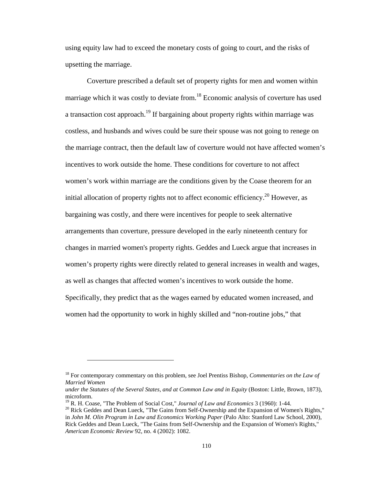using equity law had to exceed the monetary costs of going to court, and the risks of upsetting the marriage.

Coverture prescribed a default set of property rights for men and women within marriage which it was costly to deviate from.<sup>18</sup> Economic analysis of coverture has used a transaction cost approach.<sup>19</sup> If bargaining about property rights within marriage was costless, and husbands and wives could be sure their spouse was not going to renege on the marriage contract, then the default law of coverture would not have affected women's incentives to work outside the home. These conditions for coverture to not affect women's work within marriage are the conditions given by the Coase theorem for an initial allocation of property rights not to affect economic efficiency.<sup>20</sup> However, as bargaining was costly, and there were incentives for people to seek alternative arrangements than coverture, pressure developed in the early nineteenth century for changes in married women's property rights. Geddes and Lueck argue that increases in women's property rights were directly related to general increases in wealth and wages, as well as changes that affected women's incentives to work outside the home. Specifically, they predict that as the wages earned by educated women increased, and women had the opportunity to work in highly skilled and "non-routine jobs," that

<sup>18</sup> For contemporary commentary on this problem, see Joel Prentiss Bishop, *Commentaries on the Law of Married Women* 

*under the Statutes of the Several States, and at Common Law and in Equity* (Boston: Little, Brown, 1873), microform.

<sup>&</sup>lt;sup>19</sup> R. H. Coase, "The Problem of Social Cost," *Journal of Law and Economics* 3 (1960): 1-44.<br><sup>20</sup> Rick Geddes and Dean Lueck, "The Gains from Self-Ownership and the Expansion of Women's Rights,"

in *John M. Olin Program in Law and Economics Working Paper* (Palo Alto: Stanford Law School, 2000), Rick Geddes and Dean Lueck, "The Gains from Self-Ownership and the Expansion of Women's Rights," *American Economic Review* 92, no. 4 (2002): 1082.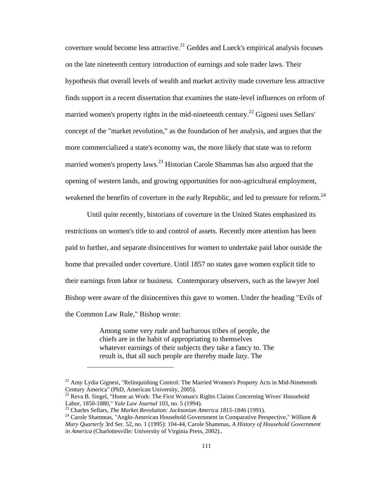coverture would become less attractive.<sup>21</sup> Geddes and Lueck's empirical analysis focuses on the late nineteenth century introduction of earnings and sole trader laws. Their hypothesis that overall levels of wealth and market activity made coverture less attractive finds support in a recent dissertation that examines the state-level influences on reform of married women's property rights in the mid-nineteenth century.<sup>22</sup> Gignesi uses Sellars' concept of the "market revolution," as the foundation of her analysis, and argues that the more commercialized a state's economy was, the more likely that state was to reform married women's property laws.<sup>23</sup> Historian Carole Shammas has also argued that the opening of western lands, and growing opportunities for non-agricultural employment, weakened the benefits of coverture in the early Republic, and led to pressure for reform.<sup>24</sup>

Until quite recently, historians of coverture in the United States emphasized its restrictions on women's title to and control of assets. Recently more attention has been paid to further, and separate disincentives for women to undertake paid labor outside the home that prevailed under coverture. Until 1857 no states gave women explicit title to their earnings from labor or business. Contemporary observers, such as the lawyer Joel Bishop were aware of the disincentives this gave to women. Under the heading "Evils of the Common Law Rule," Bishop wrote:

> Among some very rude and barbarous tribes of people, the chiefs are in the habit of appropriating to themselves whatever earnings of their subjects they take a fancy to. The result is, that all such people are thereby made *lazy*. The

<sup>&</sup>lt;sup>21</sup> Amy Lydia Gignesi, "Relinquishing Control: The Married Women's Property Acts in Mid-Nineteenth Century America" (PhD, American University, 2005).

<sup>&</sup>lt;sup>22</sup> Reva B. Siegel, "Home as Work: The First Woman's Rights Claims Concerning Wives' Household Labor, 1850-1880," Yale Law Journal 103, no. 5 (1994).<br><sup>23</sup> Charles Sellars, *The Market Revolution: Jacksonian America 1815-1846* (1991).<br><sup>24</sup> Carole Shammas, "Anglo-American Household Government in Comparative Perspectiv

*Mary Quarterly* 3rd Ser. 52, no. 1 (1995): 104-44, Carole Shammas, *A History of Household Government in America* (Charlottesville: University of Virginia Press, 2002)..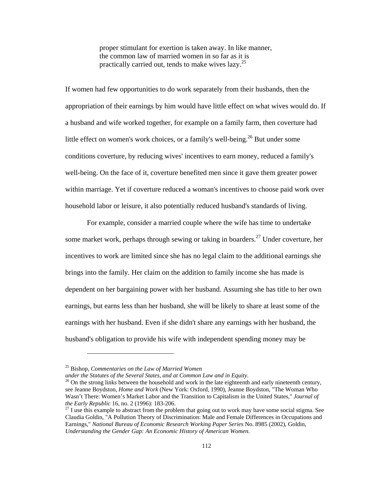proper stimulant for exertion is taken away. In like manner, the common law of married women in so far as it is practically carried out, tends to make wives lazy.25

If women had few opportunities to do work separately from their husbands, then the appropriation of their earnings by him would have little effect on what wives would do. If a husband and wife worked together, for example on a family farm, then coverture had little effect on women's work choices, or a family's well-being.<sup>26</sup> But under some conditions coverture, by reducing wives' incentives to earn money, reduced a family's well-being. On the face of it, coverture benefited men since it gave them greater power within marriage. Yet if coverture reduced a woman's incentives to choose paid work over household labor or leisure, it also potentially reduced husband's standards of living.

For example, consider a married couple where the wife has time to undertake some market work, perhaps through sewing or taking in boarders.<sup>27</sup> Under coverture, her incentives to work are limited since she has no legal claim to the additional earnings she brings into the family. Her claim on the addition to family income she has made is dependent on her bargaining power with her husband. Assuming she has title to her own earnings, but earns less than her husband, she will be likely to share at least some of the earnings with her husband. Even if she didn't share any earnings with her husband, the husband's obligation to provide his wife with independent spending money may be

 $\overline{a}$ 

<sup>25</sup> Bishop, *Commentaries on the Law of Married Women*<br>under the Statutes of the Several States, and at Common Law and in Equity.

<sup>&</sup>lt;sup>26</sup> On the strong links between the household and work in the late eighteenth and early nineteenth century, see Jeanne Boydston, *Home and Work* (New York: Oxford, 1990), Jeanne Boydston, "The Woman Who Wasn't There: Women's Market Labor and the Transition to Capitalism in the United States," *Journal of the Early Republic* 16, no. 2 (1996): 183-206.<br><sup>27</sup> I use this example to abstract from the problem that going out to work may have some social stigma. See

Claudia Goldin, "A Pollution Theory of Discrimination: Male and Female Differences in Occupations and Earnings," *National Bureau of Economic Research Working Paper Series* No. 8985 (2002), Goldin, *Understanding the Gender Gap: An Economic History of American Women*.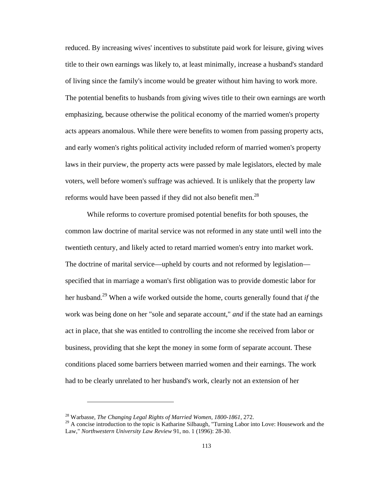reduced. By increasing wives' incentives to substitute paid work for leisure, giving wives title to their own earnings was likely to, at least minimally, increase a husband's standard of living since the family's income would be greater without him having to work more. The potential benefits to husbands from giving wives title to their own earnings are worth emphasizing, because otherwise the political economy of the married women's property acts appears anomalous. While there were benefits to women from passing property acts, and early women's rights political activity included reform of married women's property laws in their purview, the property acts were passed by male legislators, elected by male voters, well before women's suffrage was achieved. It is unlikely that the property law reforms would have been passed if they did not also benefit men.<sup>28</sup>

While reforms to coverture promised potential benefits for both spouses, the common law doctrine of marital service was not reformed in any state until well into the twentieth century, and likely acted to retard married women's entry into market work. The doctrine of marital service—upheld by courts and not reformed by legislation specified that in marriage a woman's first obligation was to provide domestic labor for her husband.29 When a wife worked outside the home, courts generally found that *if* the work was being done on her "sole and separate account," *and* if the state had an earnings act in place, that she was entitled to controlling the income she received from labor or business, providing that she kept the money in some form of separate account. These conditions placed some barriers between married women and their earnings. The work had to be clearly unrelated to her husband's work, clearly not an extension of her

<sup>28</sup> Warbasse, *The Changing Legal Rights of Married Women, 1800-1861*, 272.

<sup>&</sup>lt;sup>29</sup> A concise introduction to the topic is Katharine Silbaugh, "Turning Labor into Love: Housework and the Law," *Northwestern University Law Review* 91, no. 1 (1996): 28-30.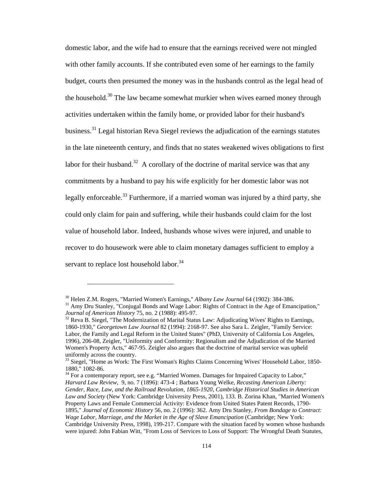domestic labor, and the wife had to ensure that the earnings received were not mingled with other family accounts. If she contributed even some of her earnings to the family budget, courts then presumed the money was in the husbands control as the legal head of the household.<sup>30</sup> The law became somewhat murkier when wives earned money through activities undertaken within the family home, or provided labor for their husband's business.<sup>31</sup> Legal historian Reva Siegel reviews the adjudication of the earnings statutes in the late nineteenth century, and finds that no states weakened wives obligations to first labor for their husband.<sup>32</sup> A corollary of the doctrine of marital service was that any commitments by a husband to pay his wife explicitly for her domestic labor was not legally enforceable.<sup>33</sup> Furthermore, if a married woman was injured by a third party, she could only claim for pain and suffering, while their husbands could claim for the lost value of household labor. Indeed, husbands whose wives were injured, and unable to recover to do housework were able to claim monetary damages sufficient to employ a servant to replace lost household labor.<sup>34</sup>

<sup>&</sup>lt;sup>30</sup> Helen Z.M. Rogers, "Married Women's Earnings," *Albany Law Journal* 64 (1902): 384-386.<br><sup>31</sup> Amy Dru Stanley, "Conjugal Bonds and Wage Labor: Rights of Contract in the Age of Emancipation,"<br>*Journal of American Histor* 

<sup>&</sup>lt;sup>32</sup> Reva B. Siegel, "The Modernization of Marital Status Law: Adjudicating Wives' Rights to Earnings, 1860-1930," *Georgetown Law Journal* 82 (1994): 2168-97. See also Sara L. Zeigler, "Family Service: Labor, the Family and Legal Reform in the United States" (PhD, University of California Los Angeles, 1996), 206-08, Zeigler, "Uniformity and Conformity: Regionalism and the Adjudication of the Married Women's Property Acts," 467-95. Zeigler also argues that the doctrine of marital service was upheld uniformly across the country.

<sup>&</sup>lt;sup>33</sup> Siegel, "Home as Work: The First Woman's Rights Claims Concerning Wives' Household Labor, 1850-1880," 1082-86.

 $34$  For a contemporary report, see e.g. "Married Women. Damages for Impaired Capacity to Labor," *Harvard Law Review*, 9, no. 7 (1896): 473-4 ; Barbara Young Welke, *Recasting American Liberty: Gender, Race, Law, and the Railroad Revolution, 1865-1920*, *Cambridge Historical Studies in American Law and Society* (New York: Cambridge University Press, 2001), 133. B. Zorina Khan, "Married Women's Property Laws and Female Commercial Activity: Evidence from United States Patent Records, 1790- 1895," *Journal of Economic History* 56, no. 2 (1996): 362. Amy Dru Stanley, *From Bondage to Contract: Wage Labor, Marriage, and the Market in the Age of Slave Emancipation* (Cambridge; New York: Cambridge University Press, 1998), 199-217. Compare with the situation faced by women whose husbands were injured: John Fabian Witt, "From Loss of Services to Loss of Support: The Wrongful Death Statutes,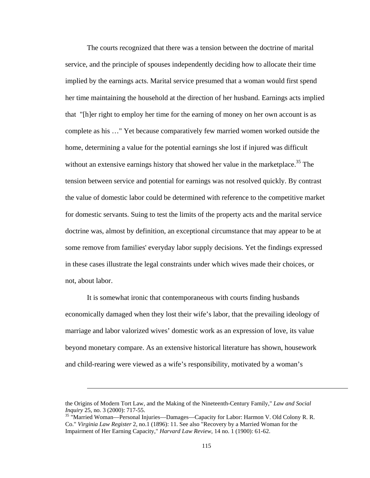The courts recognized that there was a tension between the doctrine of marital service, and the principle of spouses independently deciding how to allocate their time implied by the earnings acts. Marital service presumed that a woman would first spend her time maintaining the household at the direction of her husband. Earnings acts implied that "[h]er right to employ her time for the earning of money on her own account is as complete as his …" Yet because comparatively few married women worked outside the home, determining a value for the potential earnings she lost if injured was difficult without an extensive earnings history that showed her value in the marketplace.<sup>35</sup> The tension between service and potential for earnings was not resolved quickly. By contrast the value of domestic labor could be determined with reference to the competitive market for domestic servants. Suing to test the limits of the property acts and the marital service doctrine was, almost by definition, an exceptional circumstance that may appear to be at some remove from families' everyday labor supply decisions. Yet the findings expressed in these cases illustrate the legal constraints under which wives made their choices, or not, about labor.

It is somewhat ironic that contemporaneous with courts finding husbands economically damaged when they lost their wife's labor, that the prevailing ideology of marriage and labor valorized wives' domestic work as an expression of love, its value beyond monetary compare. As an extensive historical literature has shown, housework and child-rearing were viewed as a wife's responsibility, motivated by a woman's

the Origins of Modern Tort Law, and the Making of the Nineteenth-Century Family," *Law and Social Inquiry* 25, no. 3 (2000): 717-55.<br><sup>35</sup> "Married Woman—Personal Injuries—Damages—Capacity for Labor: Harmon V. Old Colony R. R.

Co." *Virginia Law Register* 2, no.1 (1896): 11. See also "Recovery by a Married Woman for the Impairment of Her Earning Capacity," *Harvard Law Review*, 14 no. 1 (1900): 61-62.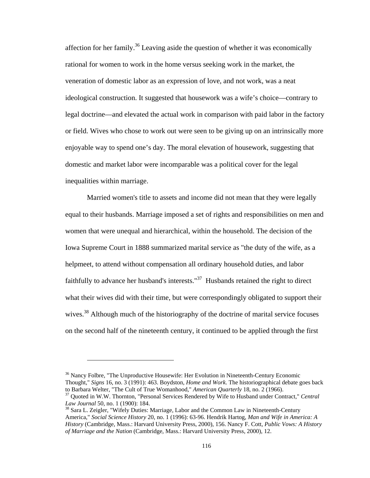affection for her family.<sup>36</sup> Leaving aside the question of whether it was economically rational for women to work in the home versus seeking work in the market, the veneration of domestic labor as an expression of love, and not work, was a neat ideological construction. It suggested that housework was a wife's choice—contrary to legal doctrine—and elevated the actual work in comparison with paid labor in the factory or field. Wives who chose to work out were seen to be giving up on an intrinsically more enjoyable way to spend one's day. The moral elevation of housework, suggesting that domestic and market labor were incomparable was a political cover for the legal inequalities within marriage.

Married women's title to assets and income did not mean that they were legally equal to their husbands. Marriage imposed a set of rights and responsibilities on men and women that were unequal and hierarchical, within the household. The decision of the Iowa Supreme Court in 1888 summarized marital service as "the duty of the wife, as a helpmeet, to attend without compensation all ordinary household duties, and labor faithfully to advance her husband's interests." $37$  Husbands retained the right to direct what their wives did with their time, but were correspondingly obligated to support their wives.<sup>38</sup> Although much of the historiography of the doctrine of marital service focuses on the second half of the nineteenth century, it continued to be applied through the first

<sup>&</sup>lt;sup>36</sup> Nancy Folbre, "The Unproductive Housewife: Her Evolution in Nineteenth-Century Economic Thought," *Signs* 16, no. 3 (1991): 463. Boydston, *Home and Work*. The historiographical debate goes back

<sup>&</sup>lt;sup>37</sup> Quoted in W.W. Thornton, "Personal Services Rendered by Wife to Husband under Contract," *Central Law Journal* 50, no. 1 (1900): 184.<br><sup>38</sup> Sara L. Zeigler, "Wifely Duties: Marriage, Labor and the Common Law in Nineteenth-Century

America," *Social Science History* 20, no. 1 (1996): 63-96. Hendrik Hartog, *Man and Wife in America: A History* (Cambridge, Mass.: Harvard University Press, 2000), 156. Nancy F. Cott, *Public Vows: A History of Marriage and the Nation* (Cambridge, Mass.: Harvard University Press, 2000), 12.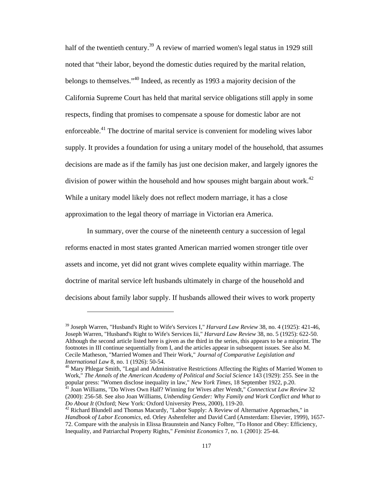half of the twentieth century.<sup>39</sup> A review of married women's legal status in 1929 still noted that "their labor, beyond the domestic duties required by the marital relation, belongs to themselves."40 Indeed, as recently as 1993 a majority decision of the California Supreme Court has held that marital service obligations still apply in some respects, finding that promises to compensate a spouse for domestic labor are not enforceable.41 The doctrine of marital service is convenient for modeling wives labor supply. It provides a foundation for using a unitary model of the household, that assumes decisions are made as if the family has just one decision maker, and largely ignores the division of power within the household and how spouses might bargain about work.<sup>42</sup> While a unitary model likely does not reflect modern marriage, it has a close approximation to the legal theory of marriage in Victorian era America.

In summary, over the course of the nineteenth century a succession of legal reforms enacted in most states granted American married women stronger title over assets and income, yet did not grant wives complete equality within marriage. The doctrine of marital service left husbands ultimately in charge of the household and decisions about family labor supply. If husbands allowed their wives to work property

<sup>39</sup> Joseph Warren, "Husband's Right to Wife's Services I," *Harvard Law Review* 38, no. 4 (1925): 421-46, Joseph Warren, "Husband's Right to Wife's Services Iii," *Harvard Law Review* 38, no. 5 (1925): 622-50. Although the second article listed here is given as the third in the series, this appears to be a misprint. The footnotes in III continue sequentially from I, and the articles appear in subsequent issues. See also M. Cecile Matheson, "Married Women and Their Work," *Journal of Comparative Legislation and* 

*International Law* 8, no. 1 (1926): 50-54.<br><sup>40</sup> Mary Phlegar Smith, "Legal and Administrative Restrictions Affecting the Rights of Married Women to Work," *The Annals of the American Academy of Political and Social Science* 143 (1929): 255. See in the popular press: "Women disclose inequality in law," *New York Times*, 18 September 1922, p.20. 41 Joan Williams, "Do Wives Own Half? Winning for Wives after Wendt," *Connecticut Law Review*<sup>32</sup>

<sup>(2000): 256-58.</sup> See also Joan Williams, *Unbending Gender: Why Family and Work Conflict and What to Do About It* (Oxford; New York: Oxford University Press, 2000), 119-20.<br><sup>42</sup> Richard Blundell and Thomas Macurdy, "Labor Supply: A Review of Alternative Approaches," in

*Handbook of Labor Economics*, ed. Orley Ashenfelter and David Card (Amsterdam: Elsevier, 1999), 1657- 72. Compare with the analysis in Elissa Braunstein and Nancy Folbre, "To Honor and Obey: Efficiency, Inequality, and Patriarchal Property Rights," *Feminist Economics* 7, no. 1 (2001): 25-44.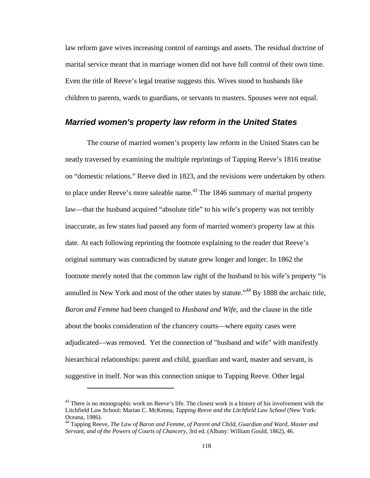law reform gave wives increasing control of earnings and assets. The residual doctrine of marital service meant that in marriage women did not have full control of their own time. Even the title of Reeve's legal treatise suggests this. Wives stood to husbands like children to parents, wards to guardians, or servants to masters. Spouses were not equal.

## *Married women's property law reform in the United States*

The course of married women's property law reform in the United States can be neatly traversed by examining the multiple reprintings of Tapping Reeve's 1816 treatise on "domestic relations." Reeve died in 1823, and the revisions were undertaken by others to place under Reeve's more saleable name.<sup>43</sup> The 1846 summary of marital property law—that the husband acquired "absolute title" to his wife's property was not terribly inaccurate, as few states had passed any form of married women's property law at this date. At each following reprinting the footnote explaining to the reader that Reeve's original summary was contradicted by statute grew longer and longer. In 1862 the footnote merely noted that the common law right of the husband to his wife's property "is annulled in New York and most of the other states by statute.<sup>"44</sup> By 1888 the archaic title, *Baron and Femme* had been changed to *Husband and Wife*, and the clause in the title about the books consideration of the chancery courts—where equity cases were adjudicated—was removed. Yet the connection of "husband and wife" with manifestly hierarchical relationships: parent and child, guardian and ward, master and servant, is suggestive in itself. Nor was this connection unique to Tapping Reeve. Other legal

<sup>&</sup>lt;sup>43</sup> There is no monographic work on Reeve's life. The closest work is a history of his involvement with the Litchfield Law School: Marian C. McKenna, *Tapping Reeve and the Litchfield Law School* (New York: Oceana, 1986).

<sup>44</sup> Tapping Reeve, *The Law of Baron and Femme, of Parent and Child, Guardian and Ward, Master and Servant, and of the Powers of Courts of Chancery*, 3rd ed. (Albany: William Gould, 1862), 46.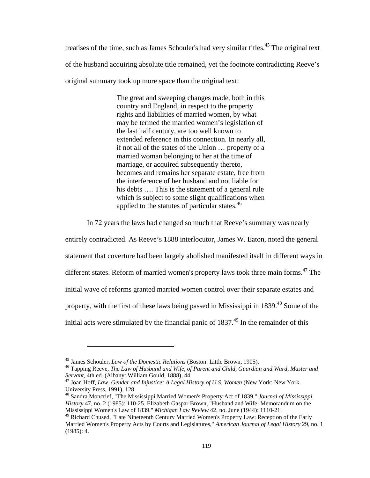treatises of the time, such as James Schouler's had very similar titles.<sup>45</sup> The original text of the husband acquiring absolute title remained, yet the footnote contradicting Reeve's original summary took up more space than the original text:

> The great and sweeping changes made, both in this country and England, in respect to the property rights and liabilities of married women, by what may be termed the married women's legislation of the last half century, are too well known to extended reference in this connection. In nearly all, if not all of the states of the Union … property of a married woman belonging to her at the time of marriage, or acquired subsequently thereto, becomes and remains her separate estate, free from the interference of her husband and not liable for his debts .... This is the statement of a general rule which is subject to some slight qualifications when applied to the statutes of particular states.<sup>46</sup>

In 72 years the laws had changed so much that Reeve's summary was nearly

entirely contradicted. As Reeve's 1888 interlocutor, James W. Eaton, noted the general statement that coverture had been largely abolished manifested itself in different ways in different states. Reform of married women's property laws took three main forms.<sup>47</sup> The initial wave of reforms granted married women control over their separate estates and property, with the first of these laws being passed in Mississippi in 1839.<sup>48</sup> Some of the initial acts were stimulated by the financial panic of  $1837<sup>49</sup>$  In the remainder of this

<sup>&</sup>lt;sup>45</sup> James Schouler, *Law of the Domestic Relations* (Boston: Little Brown, 1905).<br><sup>46</sup> Tapping Reeve, *The Law of Husband and Wife, of Parent and Child, Guardian and Ward, Master and Servant, 4th ed. (Albany: William Goul* 

<sup>&</sup>lt;sup>47</sup> Joan Hoff, *Law, Gender and Injustice: A Legal History of U.S. Women* (New York: New York University Press, 1991), 128.

<sup>48</sup> Sandra Moncrief, "The Mississippi Married Women's Property Act of 1839," *Journal of Mississippi History* 47, no. 2 (1985): 110-25. Elizabeth Gaspar Brown, "Husband and Wife: Memorandum on the Mississippi Women's Law of 1839," *Michigan Law Review* 42, no. June (1944): 1110-21.

<sup>&</sup>lt;sup>49</sup> Richard Chused, "Late Nineteenth Century Married Women's Property Law: Reception of the Early Married Women's Property Acts by Courts and Legislatures," *American Journal of Legal History* 29, no. 1 (1985): 4.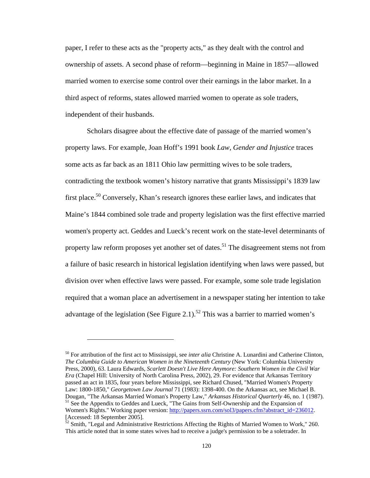paper, I refer to these acts as the "property acts," as they dealt with the control and ownership of assets. A second phase of reform—beginning in Maine in 1857—allowed married women to exercise some control over their earnings in the labor market. In a third aspect of reforms, states allowed married women to operate as sole traders, independent of their husbands.

Scholars disagree about the effective date of passage of the married women's property laws. For example, Joan Hoff's 1991 book *Law, Gender and Injustice* traces some acts as far back as an 1811 Ohio law permitting wives to be sole traders, contradicting the textbook women's history narrative that grants Mississippi's 1839 law first place.<sup>50</sup> Conversely, Khan's research ignores these earlier laws, and indicates that Maine's 1844 combined sole trade and property legislation was the first effective married women's property act. Geddes and Lueck's recent work on the state-level determinants of property law reform proposes yet another set of dates.<sup>51</sup> The disagreement stems not from a failure of basic research in historical legislation identifying when laws were passed, but division over when effective laws were passed. For example, some sole trade legislation required that a woman place an advertisement in a newspaper stating her intention to take advantage of the legislation (See Figure 2.1).<sup>52</sup> This was a barrier to married women's

<sup>50</sup> For attribution of the first act to Mississippi, see *inter alia* Christine A. Lunardini and Catherine Clinton, *The Columbia Guide to American Women in the Nineteenth Century* (New York: Columbia University Press, 2000), 63. Laura Edwards, *Scarlett Doesn't Live Here Anymore: Southern Women in the Civil War Era* (Chapel Hill: University of North Carolina Press, 2002), 29. For evidence that Arkansas Territory passed an act in 1835, four years before Mississippi, see Richard Chused, "Married Women's Property Law: 1800-1850," *Georgetown Law Journal* 71 (1983): 1398-400. On the Arkansas act, see Michael B. Dougan, "The Arkansas Married Woman's Property Law," *Arkansas Historical Quarterly* 46, no. 1 (1987).<br><sup>51</sup> See the Appendix to Geddes and Lueck, "The Gains from Self-Ownership and the Expansion of Women's Rights." Working paper version: http://papers.ssrn.com/sol3/papers.cfm?abstract\_id=236012. [Accessed: 18 September 2005].

<sup>&</sup>lt;sup>52</sup> Smith, "Legal and Administrative Restrictions Affecting the Rights of Married Women to Work," 260. This article noted that in some states wives had to receive a judge's permission to be a soletrader. In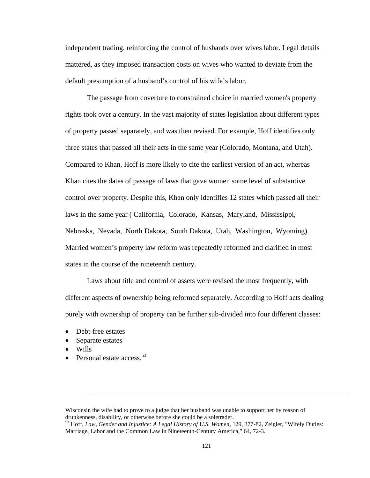independent trading, reinforcing the control of husbands over wives labor. Legal details mattered, as they imposed transaction costs on wives who wanted to deviate from the default presumption of a husband's control of his wife's labor.

The passage from coverture to constrained choice in married women's property rights took over a century. In the vast majority of states legislation about different types of property passed separately, and was then revised. For example, Hoff identifies only three states that passed all their acts in the same year (Colorado, Montana, and Utah). Compared to Khan, Hoff is more likely to cite the earliest version of an act, whereas Khan cites the dates of passage of laws that gave women some level of substantive control over property. Despite this, Khan only identifies 12 states which passed all their laws in the same year ( California, Colorado, Kansas, Maryland, Mississippi, Nebraska, Nevada, North Dakota, South Dakota, Utah, Washington, Wyoming). Married women's property law reform was repeatedly reformed and clarified in most states in the course of the nineteenth century.

Laws about title and control of assets were revised the most frequently, with different aspects of ownership being reformed separately. According to Hoff acts dealing purely with ownership of property can be further sub-divided into four different classes:

- Debt-free estates
- Separate estates

- Wills
- Personal estate access. $53$

Wisconsin the wife had to prove to a judge that her husband was unable to support her by reason of drunkenness, disability, or otherwise before she could be a soletrader.

<sup>53</sup> Hoff, *Law, Gender and Injustice: A Legal History of U.S. Women*, 129, 377-82, Zeigler, "Wifely Duties: Marriage, Labor and the Common Law in Nineteenth-Century America," 64, 72-3.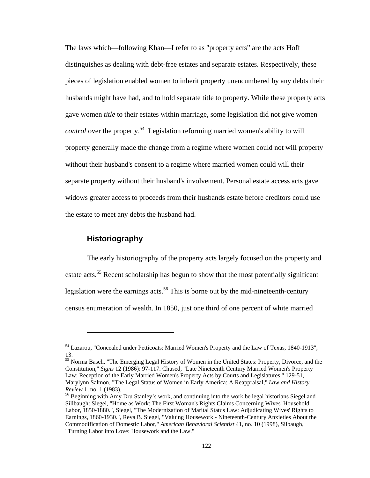The laws which—following Khan—I refer to as "property acts" are the acts Hoff distinguishes as dealing with debt-free estates and separate estates. Respectively, these pieces of legislation enabled women to inherit property unencumbered by any debts their husbands might have had, and to hold separate title to property. While these property acts gave women *title* to their estates within marriage, some legislation did not give women *control* over the property.<sup>54</sup> Legislation reforming married women's ability to will property generally made the change from a regime where women could not will property without their husband's consent to a regime where married women could will their separate property without their husband's involvement. Personal estate access acts gave widows greater access to proceeds from their husbands estate before creditors could use the estate to meet any debts the husband had.

#### **Historiography**

 $\overline{a}$ 

The early historiography of the property acts largely focused on the property and estate acts.<sup>55</sup> Recent scholarship has begun to show that the most potentially significant legislation were the earnings acts.<sup>56</sup> This is borne out by the mid-nineteenth-century census enumeration of wealth. In 1850, just one third of one percent of white married

55 Norma Basch, "The Emerging Legal History of Women in the United States: Property, Divorce, and the Constitution," *Signs* 12 (1986): 97-117. Chused, "Late Nineteenth Century Married Women's Property Law: Reception of the Early Married Women's Property Acts by Courts and Legislatures," 129-51, Marylynn Salmon, "The Legal Status of Women in Early America: A Reappraisal," *Law and History* 

<sup>54</sup> Lazarou, "Concealed under Petticoats: Married Women's Property and the Law of Texas, 1840-1913", 13.

<sup>&</sup>lt;sup>56</sup> Beginning with Amy Dru Stanley's work, and continuing into the work be legal historians Siegel and Sillbaugh: Siegel, "Home as Work: The First Woman's Rights Claims Concerning Wives' Household Labor, 1850-1880.", Siegel, "The Modernization of Marital Status Law: Adjudicating Wives' Rights to Earnings, 1860-1930.", Reva B. Siegel, "Valuing Housework - Nineteenth-Century Anxieties About the Commodification of Domestic Labor," *American Behavioral Scientist* 41, no. 10 (1998), Silbaugh, "Turning Labor into Love: Housework and the Law."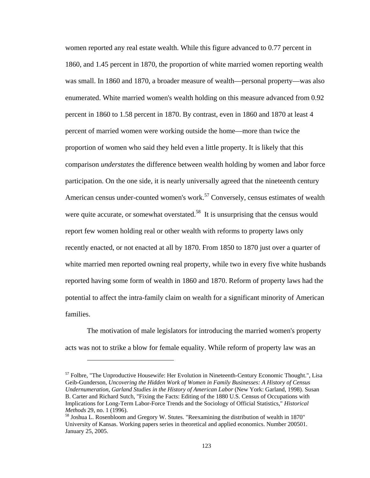women reported any real estate wealth. While this figure advanced to 0.77 percent in 1860, and 1.45 percent in 1870, the proportion of white married women reporting wealth was small. In 1860 and 1870, a broader measure of wealth—personal property—was also enumerated. White married women's wealth holding on this measure advanced from 0.92 percent in 1860 to 1.58 percent in 1870. By contrast, even in 1860 and 1870 at least 4 percent of married women were working outside the home—more than twice the proportion of women who said they held even a little property. It is likely that this comparison *understates* the difference between wealth holding by women and labor force participation. On the one side, it is nearly universally agreed that the nineteenth century American census under-counted women's work.<sup>57</sup> Conversely, census estimates of wealth were quite accurate, or somewhat overstated.<sup>58</sup> It is unsurprising that the census would report few women holding real or other wealth with reforms to property laws only recently enacted, or not enacted at all by 1870. From 1850 to 1870 just over a quarter of white married men reported owning real property, while two in every five white husbands reported having some form of wealth in 1860 and 1870. Reform of property laws had the potential to affect the intra-family claim on wealth for a significant minority of American families.

The motivation of male legislators for introducing the married women's property acts was not to strike a blow for female equality. While reform of property law was an

<u>.</u>

 $57$  Folbre, "The Unproductive Housewife: Her Evolution in Nineteenth-Century Economic Thought.", Lisa Geib-Gunderson, *Uncovering the Hidden Work of Women in Family Businesses: A History of Census Undernumeration*, *Garland Studies in the History of American Labor* (New York: Garland, 1998). Susan B. Carter and Richard Sutch, "Fixing the Facts: Editing of the 1880 U.S. Census of Occupations with Implications for Long-Term Labor-Force Trends and the Sociology of Official Statistics," *Historical Methods* 29, no. 1 (1996).<br><sup>58</sup> Joshua L. Rosenbloom and Gregory W. Stutes. "Reexamining the distribution of wealth in 1870"

University of Kansas. Working papers series in theoretical and applied economics. Number 200501. January 25, 2005.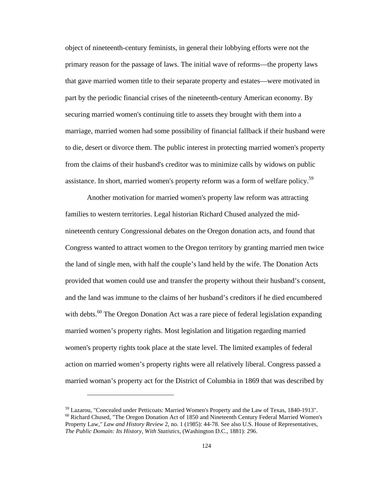object of nineteenth-century feminists, in general their lobbying efforts were not the primary reason for the passage of laws. The initial wave of reforms—the property laws that gave married women title to their separate property and estates—were motivated in part by the periodic financial crises of the nineteenth-century American economy. By securing married women's continuing title to assets they brought with them into a marriage, married women had some possibility of financial fallback if their husband were to die, desert or divorce them. The public interest in protecting married women's property from the claims of their husband's creditor was to minimize calls by widows on public assistance. In short, married women's property reform was a form of welfare policy.59

Another motivation for married women's property law reform was attracting families to western territories. Legal historian Richard Chused analyzed the midnineteenth century Congressional debates on the Oregon donation acts, and found that Congress wanted to attract women to the Oregon territory by granting married men twice the land of single men, with half the couple's land held by the wife. The Donation Acts provided that women could use and transfer the property without their husband's consent, and the land was immune to the claims of her husband's creditors if he died encumbered with debts.<sup>60</sup> The Oregon Donation Act was a rare piece of federal legislation expanding married women's property rights. Most legislation and litigation regarding married women's property rights took place at the state level. The limited examples of federal action on married women's property rights were all relatively liberal. Congress passed a married woman's property act for the District of Columbia in 1869 that was described by

<sup>&</sup>lt;sup>59</sup> Lazarou, "Concealed under Petticoats: Married Women's Property and the Law of Texas, 1840-1913".<br><sup>60</sup> Richard Chused, "The Oregon Donation Act of 1850 and Nineteenth Century Federal Married Women's

Property Law," *Law and History Review* 2, no. 1 (1985): 44-78. See also U.S. House of Representatives, *The Public Domain: Its History, With Statistics*, (Washington D.C., 1881): 296.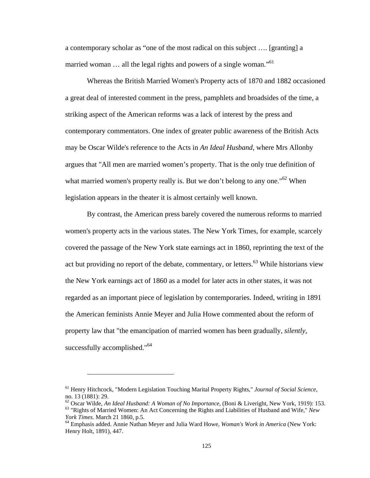a contemporary scholar as "one of the most radical on this subject …. [granting] a married woman  $\ldots$  all the legal rights and powers of a single woman."<sup>61</sup>

Whereas the British Married Women's Property acts of 1870 and 1882 occasioned a great deal of interested comment in the press, pamphlets and broadsides of the time, a striking aspect of the American reforms was a lack of interest by the press and contemporary commentators. One index of greater public awareness of the British Acts may be Oscar Wilde's reference to the Acts in *An Ideal Husband*, where Mrs Allonby argues that "All men are married women's property. That is the only true definition of what married women's property really is. But we don't belong to any one.<sup> $62$ </sup> When legislation appears in the theater it is almost certainly well known.

By contrast, the American press barely covered the numerous reforms to married women's property acts in the various states. The New York Times, for example, scarcely covered the passage of the New York state earnings act in 1860, reprinting the text of the act but providing no report of the debate, commentary, or letters.<sup>63</sup> While historians view the New York earnings act of 1860 as a model for later acts in other states, it was not regarded as an important piece of legislation by contemporaries. Indeed, writing in 1891 the American feminists Annie Meyer and Julia Howe commented about the reform of property law that "the emancipation of married women has been gradually, *silently*, successfully accomplished."<sup>64</sup>

<sup>61</sup> Henry Hitchcock, "Modern Legislation Touching Marital Property Rights," *Journal of Social Science*, no. 13 (1881): 29.

<sup>&</sup>lt;sup>62</sup> Oscar Wilde, *An Ideal Husband: A Woman of No Importance*, (Boni & Liveright, New York, 1919): 153.<br><sup>63</sup> "Rights of Married Women: An Act Concerning the Rights and Liabilities of Husband and Wife," *New York Times*. M

<sup>&</sup>lt;sup>64</sup> Emphasis added. Annie Nathan Meyer and Julia Ward Howe, *Woman's Work in America* (New York: Henry Holt, 1891), 447.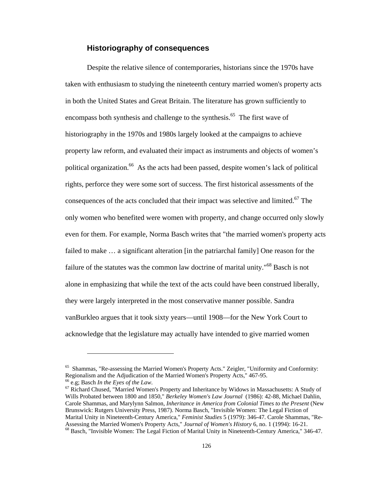#### **Historiography of consequences**

Despite the relative silence of contemporaries, historians since the 1970s have taken with enthusiasm to studying the nineteenth century married women's property acts in both the United States and Great Britain. The literature has grown sufficiently to encompass both synthesis and challenge to the synthesis.<sup>65</sup> The first wave of historiography in the 1970s and 1980s largely looked at the campaigns to achieve property law reform, and evaluated their impact as instruments and objects of women's political organization.<sup>66</sup> As the acts had been passed, despite women's lack of political rights, perforce they were some sort of success. The first historical assessments of the consequences of the acts concluded that their impact was selective and limited.<sup>67</sup> The only women who benefited were women with property, and change occurred only slowly even for them. For example, Norma Basch writes that "the married women's property acts failed to make ... a significant alteration [in the patriarchal family] One reason for the failure of the statutes was the common law doctrine of marital unity."<sup>68</sup> Basch is not alone in emphasizing that while the text of the acts could have been construed liberally, they were largely interpreted in the most conservative manner possible. Sandra vanBurkleo argues that it took sixty years—until 1908—for the New York Court to acknowledge that the legislature may actually have intended to give married women

<sup>&</sup>lt;sup>65</sup> Shammas, "Re-assessing the Married Women's Property Acts." Zeigler, "Uniformity and Conformity: Regionalism and the Adjudication of the Married Women's Property Acts," 467-95.

<sup>&</sup>lt;sup>66</sup> e.g; Basch *In the Eyes of the Law*.<br><sup>67</sup> Richard Chused, "Married Women's Property and Inheritance by Widows in Massachusetts: A Study of Wills Probated between 1800 and 1850," *Berkeley Women's Law Journal* (1986): 42-88, Michael Dahlin, Carole Shammas, and Marylynn Salmon, *Inheritance in America from Colonial Times to the Present* (New Brunswick: Rutgers University Press, 1987). Norma Basch, "Invisible Women: The Legal Fiction of Marital Unity in Nineteenth-Century America," *Feminist Studies* 5 (1979): 346-47. Carole Shammas, "Re-Assessing the Married Women's Property Acts," *Journal of Women's History* 6, no. 1 (1994): 16-21.<br><sup>68</sup> Basch, "Invisible Women: The Legal Fiction of Marital Unity in Nineteenth-Century America," 346-47.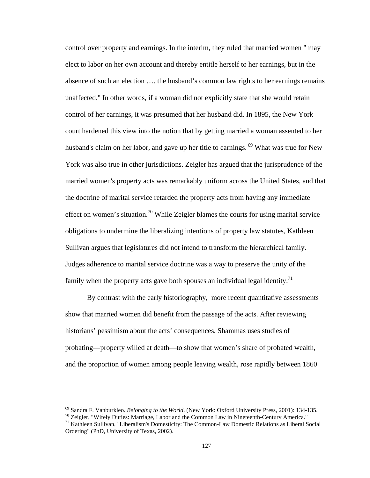control over property and earnings. In the interim, they ruled that married women " may elect to labor on her own account and thereby entitle herself to her earnings, but in the absence of such an election …. the husband's common law rights to her earnings remains unaffected." In other words, if a woman did not explicitly state that she would retain control of her earnings, it was presumed that her husband did. In 1895, the New York court hardened this view into the notion that by getting married a woman assented to her husband's claim on her labor, and gave up her title to earnings.<sup>69</sup> What was true for New York was also true in other jurisdictions. Zeigler has argued that the jurisprudence of the married women's property acts was remarkably uniform across the United States, and that the doctrine of marital service retarded the property acts from having any immediate effect on women's situation.<sup>70</sup> While Zeigler blames the courts for using marital service obligations to undermine the liberalizing intentions of property law statutes, Kathleen Sullivan argues that legislatures did not intend to transform the hierarchical family. Judges adherence to marital service doctrine was a way to preserve the unity of the family when the property acts gave both spouses an individual legal identity.<sup>71</sup>

By contrast with the early historiography, more recent quantitative assessments show that married women did benefit from the passage of the acts. After reviewing historians' pessimism about the acts' consequences, Shammas uses studies of probating—property willed at death—to show that women's share of probated wealth, and the proportion of women among people leaving wealth, rose rapidly between 1860

<sup>&</sup>lt;sup>69</sup> Sandra F. Vanburkleo. *Belonging to the World*. (New York: Oxford University Press, 2001): 134-135.<br><sup>70</sup> Zeigler, "Wifely Duties: Marriage, Labor and the Common Law in Nineteenth-Century America."<br><sup>71</sup> Kathleen Sulli Ordering" (PhD, University of Texas, 2002).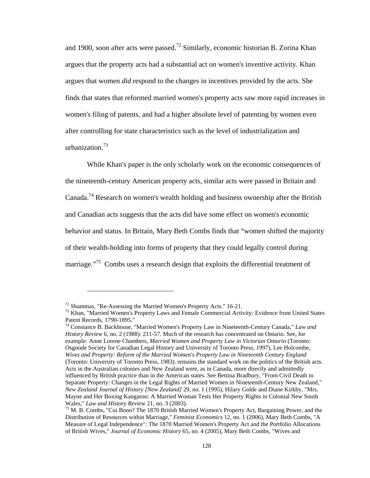and 1900, soon after acts were passed.<sup>72</sup> Similarly, economic historian B. Zorina Khan argues that the property acts had a substantial act on women's inventive activity. Khan argues that women *did* respond to the changes in incentives provided by the acts. She finds that states that reformed married women's property acts saw more rapid increases in women's filing of patents, and had a higher absolute level of patenting by women even after controlling for state characteristics such as the level of industrialization and urbanization.73

While Khan's paper is the only scholarly work on the economic consequences of the nineteenth-century American property acts, similar acts were passed in Britain and Canada.74 Research on women's wealth holding and business ownership after the British and Canadian acts suggests that the acts did have some effect on women's economic behavior and status. In Britain, Mary Beth Combs finds that "women shifted the majority of their wealth-holding into forms of property that they could legally control during marriage."<sup>75</sup> Combs uses a research design that exploits the differential treatment of

<sup>&</sup>lt;sup>72</sup> Shammas, "Re-Assessing the Married Women's Property Acts." 16-21.<br><sup>73</sup> Khan, "Married Women's Property Laws and Female Commercial Activity: Evidence from United States Patent Records, 1790-1895."

<sup>74</sup> Constance B. Backhouse, "Married Women's Property Law in Nineteenth-Century Canada," *Law and History Review* 6, no. 2 (1988): 211-57. Much of the research has concentrated on Ontario. See, for example: Anne Lorene Chambers, *Married Women and Property Law in Victorian Ontario* (Toronto: Osgoode Society for Canadian Legal History and University of Toronto Press, 1997), Lee Holcombe, *Wives and Property: Reform of the Married Women's Property Law in Nineteenth Century England* (Toronto: University of Toronto Press, 1983). remains the standard work on the politics of the British acts. Acts in the Australian colonies and New Zealand were, as in Canada, more directly and admittedly influenced by British practice than in the American states. See Bettina Bradbury, "From Civil Death to Separate Property: Changes in the Legal Rights of Married Women in Nineteenth-Century New Zealand," *New Zealand Journal of History [New Zealand]* 29, no. 1 (1995), Hilary Golde and Diane Kirkby, "Mrs. Mayne and Her Boxing Kangaroo: A Married Woman Tests Her Property Rights in Colonial New South Wales," *Law and History Review* 21, no. 3 (2003).<br><sup>75</sup> M. B. Combs, "Cui Bono? The 1870 British Married Women's Property Act, Bargaining Power, and the

Distribution of Resources within Marriage," *Feminist Economics* 12, no. 1 (2006), Mary Beth Combs, "A Measure of Legal Independence": The 1870 Married Women's Property Act and the Portfolio Allocations of British Wives," *Journal of Economic History* 65, no. 4 (2005), Mary Beth Combs, "Wives and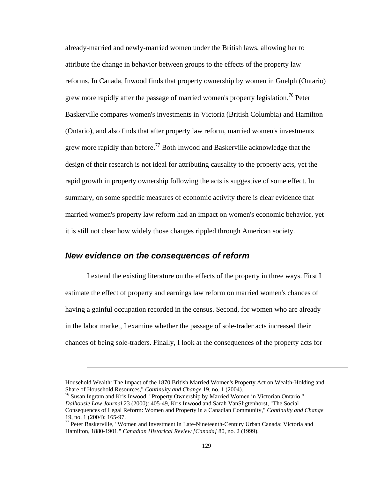already-married and newly-married women under the British laws, allowing her to attribute the change in behavior between groups to the effects of the property law reforms. In Canada, Inwood finds that property ownership by women in Guelph (Ontario) grew more rapidly after the passage of married women's property legislation.<sup>76</sup> Peter Baskerville compares women's investments in Victoria (British Columbia) and Hamilton (Ontario), and also finds that after property law reform, married women's investments grew more rapidly than before.<sup>77</sup> Both Inwood and Baskerville acknowledge that the design of their research is not ideal for attributing causality to the property acts, yet the rapid growth in property ownership following the acts is suggestive of some effect. In summary, on some specific measures of economic activity there is clear evidence that married women's property law reform had an impact on women's economic behavior, yet it is still not clear how widely those changes rippled through American society.

### *New evidence on the consequences of reform*

1

I extend the existing literature on the effects of the property in three ways. First I estimate the effect of property and earnings law reform on married women's chances of having a gainful occupation recorded in the census. Second, for women who are already in the labor market, I examine whether the passage of sole-trader acts increased their chances of being sole-traders. Finally, I look at the consequences of the property acts for

Household Wealth: The Impact of the 1870 British Married Women's Property Act on Wealth-Holding and Share of Household Resources," *Continuity and Change* 19, no. 1 (2004).

<sup>&</sup>lt;sup>76</sup> Susan Ingram and Kris Inwood, "Property Ownership by Married Women in Victorian Ontario," *Dalhousie Law Journal* 23 (2000): 405-49, Kris Inwood and Sarah VanSligtenhorst, "The Social Consequences of Legal Reform: Women and Property in a Canadian Community," *Continuity and Change* 19, no. 1 (2004): 165-97.

 $77$  Peter Baskerville, "Women and Investment in Late-Nineteenth-Century Urban Canada: Victoria and Hamilton, 1880-1901," *Canadian Historical Review [Canada]* 80, no. 2 (1999).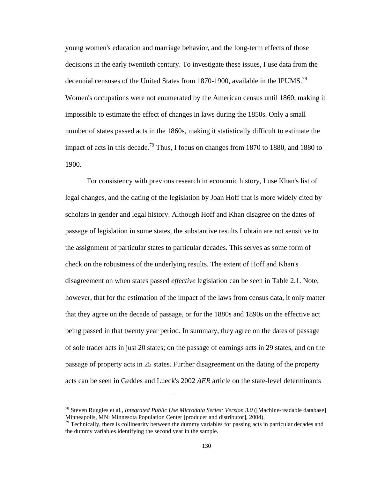young women's education and marriage behavior, and the long-term effects of those decisions in the early twentieth century. To investigate these issues, I use data from the decennial censuses of the United States from 1870-1900, available in the IPUMS.<sup>78</sup> Women's occupations were not enumerated by the American census until 1860, making it impossible to estimate the effect of changes in laws during the 1850s. Only a small number of states passed acts in the 1860s, making it statistically difficult to estimate the impact of acts in this decade.<sup>79</sup> Thus, I focus on changes from 1870 to 1880, and 1880 to 1900.

For consistency with previous research in economic history, I use Khan's list of legal changes, and the dating of the legislation by Joan Hoff that is more widely cited by scholars in gender and legal history. Although Hoff and Khan disagree on the dates of passage of legislation in some states, the substantive results I obtain are not sensitive to the assignment of particular states to particular decades. This serves as some form of check on the robustness of the underlying results. The extent of Hoff and Khan's disagreement on when states passed *effective* legislation can be seen in Table 2.1. Note, however, that for the estimation of the impact of the laws from census data, it only matter that they agree on the decade of passage, or for the 1880s and 1890s on the effective act being passed in that twenty year period. In summary, they agree on the dates of passage of sole trader acts in just 20 states; on the passage of earnings acts in 29 states, and on the passage of property acts in 25 states. Further disagreement on the dating of the property acts can be seen in Geddes and Lueck's 2002 *AER* article on the state-level determinants

<sup>78</sup> Steven Ruggles et al., *Integrated Public Use Microdata Series: Version 3.0* ([Machine-readable database] Minneapolis, MN: Minnesota Population Center [producer and distributor], 2004).

 $79$  Technically, there is collinearity between the dummy variables for passing acts in particular decades and the dummy variables identifying the second year in the sample.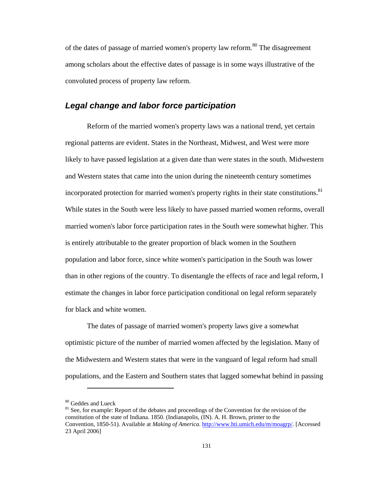of the dates of passage of married women's property law reform.<sup>80</sup> The disagreement among scholars about the effective dates of passage is in some ways illustrative of the convoluted process of property law reform.

#### *Legal change and labor force participation*

Reform of the married women's property laws was a national trend, yet certain regional patterns are evident. States in the Northeast, Midwest, and West were more likely to have passed legislation at a given date than were states in the south. Midwestern and Western states that came into the union during the nineteenth century sometimes incorporated protection for married women's property rights in their state constitutions.<sup>81</sup> While states in the South were less likely to have passed married women reforms, overall married women's labor force participation rates in the South were somewhat higher. This is entirely attributable to the greater proportion of black women in the Southern population and labor force, since white women's participation in the South was lower than in other regions of the country. To disentangle the effects of race and legal reform, I estimate the changes in labor force participation conditional on legal reform separately for black and white women.

The dates of passage of married women's property laws give a somewhat optimistic picture of the number of married women affected by the legislation. Many of the Midwestern and Western states that were in the vanguard of legal reform had small populations, and the Eastern and Southern states that lagged somewhat behind in passing

<sup>&</sup>lt;sup>80</sup> Geddes and Lueck<br><sup>81</sup> See, for example: Report of the debates and proceedings of the Convention for the revision of the constitution of the state of Indiana. 1850. (Indianapolis, (IN). A. H. Brown, printer to the Convention, 1850-51). Available at *Making of America*. http://www.hti.umich.edu/m/moagrp/. [Accessed 23 April 2006]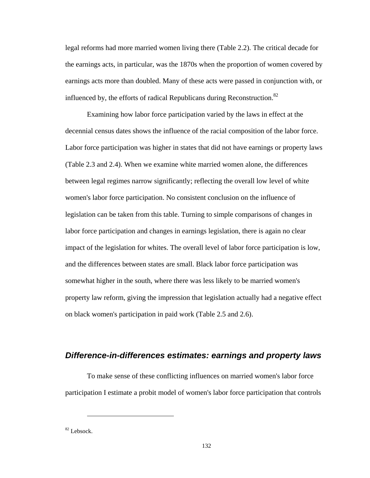legal reforms had more married women living there (Table 2.2). The critical decade for the earnings acts, in particular, was the 1870s when the proportion of women covered by earnings acts more than doubled. Many of these acts were passed in conjunction with, or influenced by, the efforts of radical Republicans during Reconstruction.<sup>82</sup>

Examining how labor force participation varied by the laws in effect at the decennial census dates shows the influence of the racial composition of the labor force. Labor force participation was higher in states that did not have earnings or property laws (Table 2.3 and 2.4). When we examine white married women alone, the differences between legal regimes narrow significantly; reflecting the overall low level of white women's labor force participation. No consistent conclusion on the influence of legislation can be taken from this table. Turning to simple comparisons of changes in labor force participation and changes in earnings legislation, there is again no clear impact of the legislation for whites. The overall level of labor force participation is low, and the differences between states are small. Black labor force participation was somewhat higher in the south, where there was less likely to be married women's property law reform, giving the impression that legislation actually had a negative effect on black women's participation in paid work (Table 2.5 and 2.6).

## *Difference-in-differences estimates: earnings and property laws*

To make sense of these conflicting influences on married women's labor force participation I estimate a probit model of women's labor force participation that controls

<sup>82</sup> Lebsock.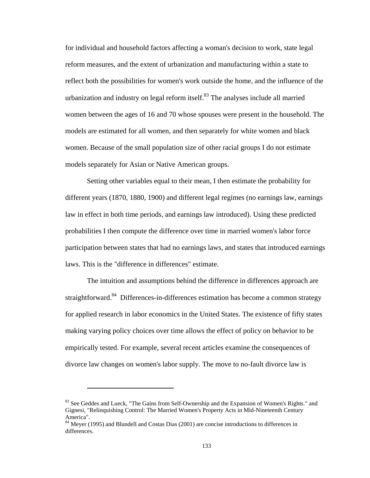for individual and household factors affecting a woman's decision to work, state legal reform measures, and the extent of urbanization and manufacturing within a state to reflect both the possibilities for women's work outside the home, and the influence of the urbanization and industry on legal reform itself. $83$  The analyses include all married women between the ages of 16 and 70 whose spouses were present in the household. The models are estimated for all women, and then separately for white women and black women. Because of the small population size of other racial groups I do not estimate models separately for Asian or Native American groups.

Setting other variables equal to their mean, I then estimate the probability for different years (1870, 1880, 1900) and different legal regimes (no earnings law, earnings law in effect in both time periods, and earnings law introduced). Using these predicted probabilities I then compute the difference over time in married women's labor force participation between states that had no earnings laws, and states that introduced earnings laws. This is the "difference in differences" estimate.

The intuition and assumptions behind the difference in differences approach are straightforward.<sup>84</sup> Differences-in-differences estimation has become a common strategy for applied research in labor economics in the United States. The existence of fifty states making varying policy choices over time allows the effect of policy on behavior to be empirically tested. For example, several recent articles examine the consequences of divorce law changes on women's labor supply. The move to no-fault divorce law is

<sup>&</sup>lt;sup>83</sup> See Geddes and Lueck, "The Gains from Self-Ownership and the Expansion of Women's Rights." and Gignesi, "Relinquishing Control: The Married Women's Property Acts in Mid-Nineteenth Century America".

<sup>&</sup>lt;sup>84</sup> Meyer (1995) and Blundell and Costas Dias (2001) are concise introductions to differences in differences.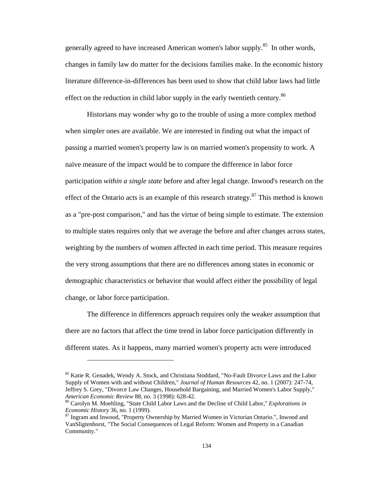generally agreed to have increased American women's labor supply.<sup>85</sup> In other words, changes in family law do matter for the decisions families make. In the economic history literature difference-in-differences has been used to show that child labor laws had little effect on the reduction in child labor supply in the early twentieth century.<sup>86</sup>

Historians may wonder why go to the trouble of using a more complex method when simpler ones are available. We are interested in finding out what the impact of passing a married women's property law is on married women's propensity to work. A naïve measure of the impact would be to compare the difference in labor force participation *within a single state* before and after legal change. Inwood's research on the effect of the Ontario acts is an example of this research strategy. $87$  This method is known as a "pre-post comparison," and has the virtue of being simple to estimate. The extension to multiple states requires only that we average the before and after changes across states, weighting by the numbers of women affected in each time period. This measure requires the very strong assumptions that there are no differences among states in economic or demographic characteristics or behavior that would affect either the possibility of legal change, or labor force participation.

The difference in differences approach requires only the weaker assumption that there are no factors that affect the time trend in labor force participation differently in different states. As it happens, many married women's property acts were introduced

<sup>&</sup>lt;sup>85</sup> Katie R. Genadek, Wendy A. Stock, and Christiana Stoddard, "No-Fault Divorce Laws and the Labor Supply of Women with and without Children," *Journal of Human Resources* 42, no. 1 (2007): 247-74, Jeffrey S. Grey, "Divorce Law Changes, Household Bargaining, and Married Women's Labor Supply," *American Economic Review* 88, no. 3 (1998): 628-42.<br><sup>86</sup> Carolyn M. Moehling, "State Child Labor Laws and the Decline of Child Labor," *Explorations in* 

*Economic History* 36, no. 1 (1999).<br><sup>87</sup> Ingram and Inwood, "Property Ownership by Married Women in Victorian Ontario.", Inwood and

VanSligtenhorst, "The Social Consequences of Legal Reform: Women and Property in a Canadian Community."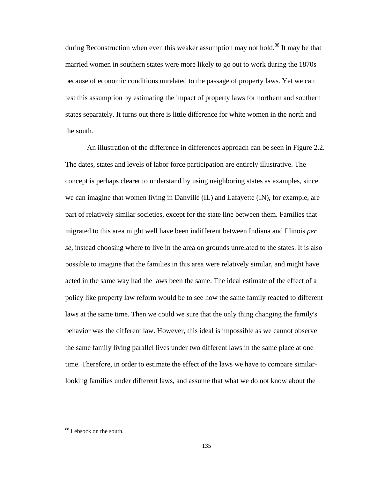during Reconstruction when even this weaker assumption may not hold.<sup>88</sup> It may be that married women in southern states were more likely to go out to work during the 1870s because of economic conditions unrelated to the passage of property laws. Yet we can test this assumption by estimating the impact of property laws for northern and southern states separately. It turns out there is little difference for white women in the north and the south.

An illustration of the difference in differences approach can be seen in Figure 2.2. The dates, states and levels of labor force participation are entirely illustrative. The concept is perhaps clearer to understand by using neighboring states as examples, since we can imagine that women living in Danville (IL) and Lafayette (IN), for example, are part of relatively similar societies, except for the state line between them. Families that migrated to this area might well have been indifferent between Indiana and Illinois *per se,* instead choosing where to live in the area on grounds unrelated to the states. It is also possible to imagine that the families in this area were relatively similar, and might have acted in the same way had the laws been the same. The ideal estimate of the effect of a policy like property law reform would be to see how the same family reacted to different laws at the same time. Then we could we sure that the only thing changing the family's behavior was the different law. However, this ideal is impossible as we cannot observe the same family living parallel lives under two different laws in the same place at one time. Therefore, in order to estimate the effect of the laws we have to compare similarlooking families under different laws, and assume that what we do not know about the

<sup>88</sup> Lebsock on the south.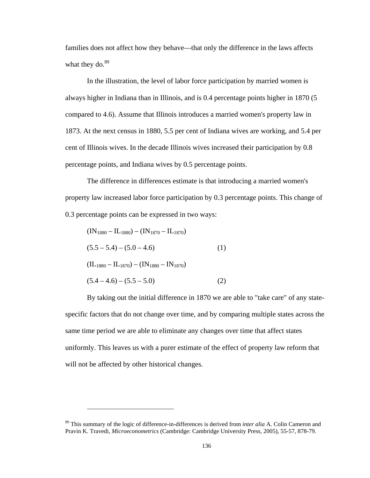families does not affect how they behave—that only the difference in the laws affects what they do. $89$ 

In the illustration, the level of labor force participation by married women is always higher in Indiana than in Illinois, and is 0.4 percentage points higher in 1870 (5 compared to 4.6). Assume that Illinois introduces a married women's property law in 1873. At the next census in 1880, 5.5 per cent of Indiana wives are working, and 5.4 per cent of Illinois wives. In the decade Illinois wives increased their participation by 0.8 percentage points, and Indiana wives by 0.5 percentage points.

The difference in differences estimate is that introducing a married women's property law increased labor force participation by 0.3 percentage points. This change of 0.3 percentage points can be expressed in two ways:

$$
(IN1880 - IL1880) - (IN1870 - IL1870)
$$
  
(5.5 - 5.4) - (5.0 - 4.6)  
(IL<sub>1880</sub> - IL<sub>1870</sub>) - (IN<sub>1880</sub> - IN<sub>1870</sub>)  
(5.4 - 4.6) - (5.5 - 5.0) (2)

 $\overline{a}$ 

By taking out the initial difference in 1870 we are able to "take care" of any statespecific factors that do not change over time, and by comparing multiple states across the same time period we are able to eliminate any changes over time that affect states uniformly. This leaves us with a purer estimate of the effect of property law reform that will not be affected by other historical changes.

<sup>89</sup> This summary of the logic of difference-in-differences is derived from *inter alia* A. Colin Cameron and Pravin K. Travedi, *Microeconometrics* (Cambridge: Cambridge University Press, 2005), 55-57, 878-79.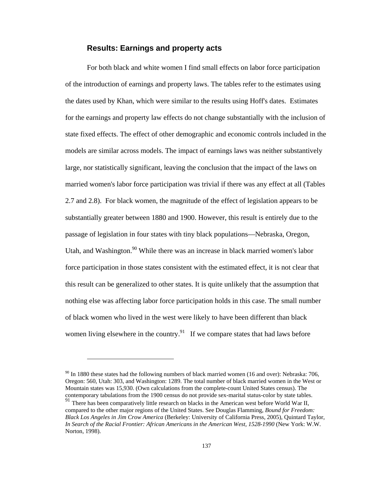### **Results: Earnings and property acts**

For both black and white women I find small effects on labor force participation of the introduction of earnings and property laws. The tables refer to the estimates using the dates used by Khan, which were similar to the results using Hoff's dates. Estimates for the earnings and property law effects do not change substantially with the inclusion of state fixed effects. The effect of other demographic and economic controls included in the models are similar across models. The impact of earnings laws was neither substantively large, nor statistically significant, leaving the conclusion that the impact of the laws on married women's labor force participation was trivial if there was any effect at all (Tables 2.7 and 2.8). For black women, the magnitude of the effect of legislation appears to be substantially greater between 1880 and 1900. However, this result is entirely due to the passage of legislation in four states with tiny black populations—Nebraska, Oregon, Utah, and Washington.<sup>90</sup> While there was an increase in black married women's labor force participation in those states consistent with the estimated effect, it is not clear that this result can be generalized to other states. It is quite unlikely that the assumption that nothing else was affecting labor force participation holds in this case. The small number of black women who lived in the west were likely to have been different than black women living elsewhere in the country.<sup>91</sup> If we compare states that had laws before

 $90$  In 1880 these states had the following numbers of black married women (16 and over): Nebraska: 706, Oregon: 560, Utah: 303, and Washington: 1289. The total number of black married women in the West or Mountain states was 15,930. (Own calculations from the complete-count United States census). The contemporary tabulations from the 1900 census do not provide sex-marital status-color by state tables.

<sup>&</sup>lt;sup>91</sup> There has been comparatively little research on blacks in the American west before World War II, compared to the other major regions of the United States. See Douglas Flamming, *Bound for Freedom: Black Los Angeles in Jim Crow America* (Berkeley: University of California Press, 2005), Quintard Taylor, *In Search of the Racial Frontier: African Americans in the American West, 1528-1990* (New York: W.W. Norton, 1998).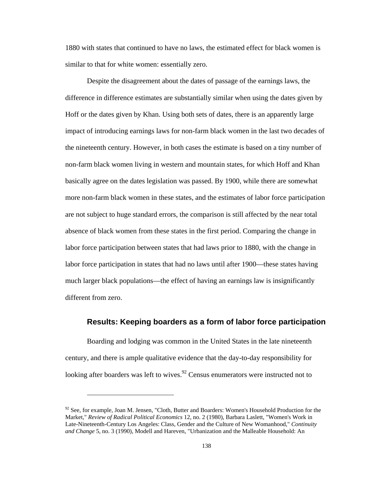1880 with states that continued to have no laws, the estimated effect for black women is similar to that for white women: essentially zero.

Despite the disagreement about the dates of passage of the earnings laws, the difference in difference estimates are substantially similar when using the dates given by Hoff or the dates given by Khan. Using both sets of dates, there is an apparently large impact of introducing earnings laws for non-farm black women in the last two decades of the nineteenth century. However, in both cases the estimate is based on a tiny number of non-farm black women living in western and mountain states, for which Hoff and Khan basically agree on the dates legislation was passed. By 1900, while there are somewhat more non-farm black women in these states, and the estimates of labor force participation are not subject to huge standard errors, the comparison is still affected by the near total absence of black women from these states in the first period. Comparing the change in labor force participation between states that had laws prior to 1880, with the change in labor force participation in states that had no laws until after 1900—these states having much larger black populations—the effect of having an earnings law is insignificantly different from zero.

### **Results: Keeping boarders as a form of labor force participation**

Boarding and lodging was common in the United States in the late nineteenth century, and there is ample qualitative evidence that the day-to-day responsibility for looking after boarders was left to wives.<sup>92</sup> Census enumerators were instructed not to

 $92$  See, for example, Joan M. Jensen, "Cloth, Butter and Boarders: Women's Household Production for the Market," *Review of Radical Political Economics* 12, no. 2 (1980), Barbara Laslett, "Women's Work in Late-Nineteenth-Century Los Angeles: Class, Gender and the Culture of New Womanhood," *Continuity and Change* 5, no. 3 (1990), Modell and Hareven, "Urbanization and the Malleable Household: An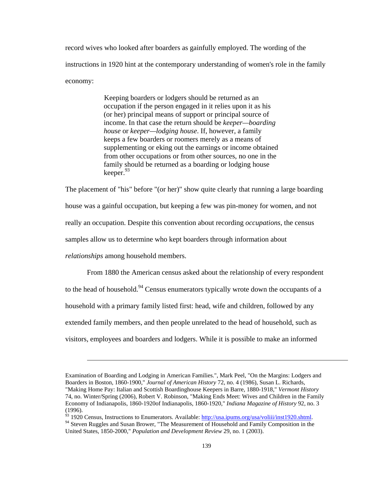record wives who looked after boarders as gainfully employed. The wording of the instructions in 1920 hint at the contemporary understanding of women's role in the family economy:

> Keeping boarders or lodgers should be returned as an occupation if the person engaged in it relies upon it as his (or her) principal means of support or principal source of income. In that case the return should be *keeper—boarding house* or *keeper—lodging house*. If, however, a family keeps a few boarders or roomers merely as a means of supplementing or eking out the earnings or income obtained from other occupations or from other sources, no one in the family should be returned as a boarding or lodging house keeper.  $93$

The placement of "his" before "(or her)" show quite clearly that running a large boarding house was a gainful occupation, but keeping a few was pin-money for women, and not really an occupation. Despite this convention about recording *occupations*, the census samples allow us to determine who kept boarders through information about

*relationships* among household members.

From 1880 the American census asked about the relationship of every respondent to the head of household.<sup>94</sup> Census enumerators typically wrote down the occupants of a household with a primary family listed first: head, wife and children, followed by any extended family members, and then people unrelated to the head of household, such as visitors, employees and boarders and lodgers. While it is possible to make an informed

Examination of Boarding and Lodging in American Families.", Mark Peel, "On the Margins: Lodgers and Boarders in Boston, 1860-1900," *Journal of American History* 72, no. 4 (1986), Susan L. Richards, "Making Home Pay: Italian and Scottish Boardinghouse Keepers in Barre, 1880-1918," *Vermont History* 74, no. Winter/Spring (2006), Robert V. Robinson, "Making Ends Meet: Wives and Children in the Family Economy of Indianapolis, 1860-1920of Indianapolis, 1860-1920," *Indiana Magazine of History* 92, no. 3

<sup>(1996).</sup> 

<sup>&</sup>lt;sup>93</sup> 1920 Census, Instructions to Enumerators. Available:  $\frac{http://usa.ipums.org/usa/voliii/inst1920.shtml}{$ . <sup>94</sup> Steven Ruggles and Susan Brower, "The Measurement of Household and Family Composition in the

United States, 1850-2000," *Population and Development Review* 29, no. 1 (2003).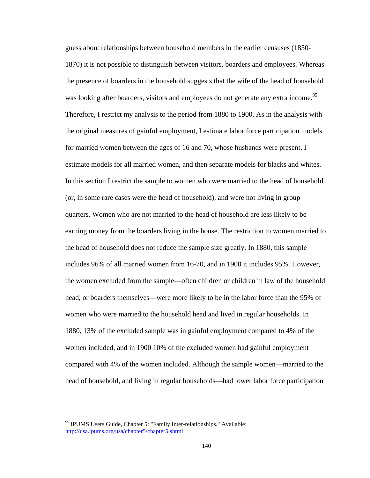guess about relationships between household members in the earlier censuses (1850- 1870) it is not possible to distinguish between visitors, boarders and employees. Whereas the presence of boarders in the household suggests that the wife of the head of household was looking after boarders, visitors and employees do not generate any extra income.<sup>95</sup> Therefore, I restrict my analysis to the period from 1880 to 1900. As in the analysis with the original measures of gainful employment, I estimate labor force participation models for married women between the ages of 16 and 70, whose husbands were present. I estimate models for all married women, and then separate models for blacks and whites. In this section I restrict the sample to women who were married to the head of household (or, in some rare cases were the head of household), and were not living in group quarters. Women who are not married to the head of household are less likely to be earning money from the boarders living in the house. The restriction to women married to the head of household does not reduce the sample size greatly. In 1880, this sample includes 96% of all married women from 16-70, and in 1900 it includes 95%. However, the women excluded from the sample—often children or children in law of the household head, or boarders themselves—were more likely to be in the labor force than the 95% of women who were married to the household head and lived in regular households. In 1880, 13% of the excluded sample was in gainful employment compared to 4% of the women included, and in 1900 10% of the excluded women had gainful employment compared with 4% of the women included. Although the sample women—married to the head of household, and living in regular households—had lower labor force participation

<sup>&</sup>lt;sup>95</sup> IPUMS Users Guide, Chapter 5: "Family Inter-relationships." Available: http://usa.ipums.org/usa/chapter5/chapter5.shtml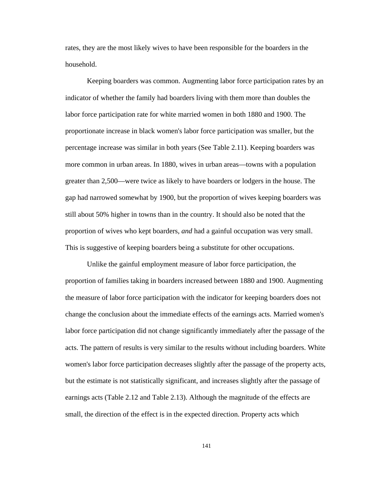rates, they are the most likely wives to have been responsible for the boarders in the household.

Keeping boarders was common. Augmenting labor force participation rates by an indicator of whether the family had boarders living with them more than doubles the labor force participation rate for white married women in both 1880 and 1900. The proportionate increase in black women's labor force participation was smaller, but the percentage increase was similar in both years (See Table 2.11). Keeping boarders was more common in urban areas. In 1880, wives in urban areas—towns with a population greater than 2,500—were twice as likely to have boarders or lodgers in the house. The gap had narrowed somewhat by 1900, but the proportion of wives keeping boarders was still about 50% higher in towns than in the country. It should also be noted that the proportion of wives who kept boarders, *and* had a gainful occupation was very small. This is suggestive of keeping boarders being a substitute for other occupations.

Unlike the gainful employment measure of labor force participation, the proportion of families taking in boarders increased between 1880 and 1900. Augmenting the measure of labor force participation with the indicator for keeping boarders does not change the conclusion about the immediate effects of the earnings acts. Married women's labor force participation did not change significantly immediately after the passage of the acts. The pattern of results is very similar to the results without including boarders. White women's labor force participation decreases slightly after the passage of the property acts, but the estimate is not statistically significant, and increases slightly after the passage of earnings acts (Table 2.12 and Table 2.13). Although the magnitude of the effects are small, the direction of the effect is in the expected direction. Property acts which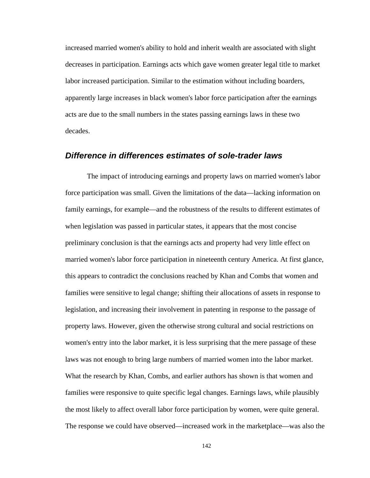increased married women's ability to hold and inherit wealth are associated with slight decreases in participation. Earnings acts which gave women greater legal title to market labor increased participation. Similar to the estimation without including boarders, apparently large increases in black women's labor force participation after the earnings acts are due to the small numbers in the states passing earnings laws in these two decades.

### *Difference in differences estimates of sole-trader laws*

The impact of introducing earnings and property laws on married women's labor force participation was small. Given the limitations of the data—lacking information on family earnings, for example—and the robustness of the results to different estimates of when legislation was passed in particular states, it appears that the most concise preliminary conclusion is that the earnings acts and property had very little effect on married women's labor force participation in nineteenth century America. At first glance, this appears to contradict the conclusions reached by Khan and Combs that women and families were sensitive to legal change; shifting their allocations of assets in response to legislation, and increasing their involvement in patenting in response to the passage of property laws. However, given the otherwise strong cultural and social restrictions on women's entry into the labor market, it is less surprising that the mere passage of these laws was not enough to bring large numbers of married women into the labor market. What the research by Khan, Combs, and earlier authors has shown is that women and families were responsive to quite specific legal changes. Earnings laws, while plausibly the most likely to affect overall labor force participation by women, were quite general. The response we could have observed—increased work in the marketplace—was also the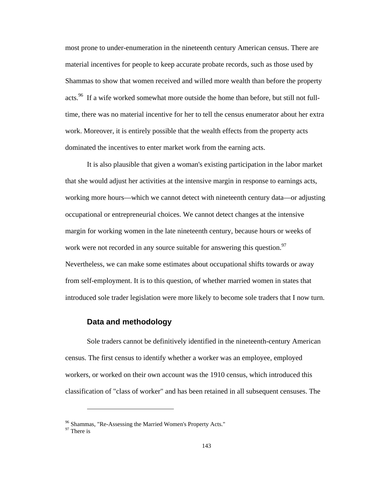most prone to under-enumeration in the nineteenth century American census. There are material incentives for people to keep accurate probate records, such as those used by Shammas to show that women received and willed more wealth than before the property acts.<sup>96</sup> If a wife worked somewhat more outside the home than before, but still not fulltime, there was no material incentive for her to tell the census enumerator about her extra work. Moreover, it is entirely possible that the wealth effects from the property acts dominated the incentives to enter market work from the earning acts.

It is also plausible that given a woman's existing participation in the labor market that she would adjust her activities at the intensive margin in response to earnings acts, working more hours—which we cannot detect with nineteenth century data—or adjusting occupational or entrepreneurial choices. We cannot detect changes at the intensive margin for working women in the late nineteenth century, because hours or weeks of work were not recorded in any source suitable for answering this question.<sup>97</sup> Nevertheless, we can make some estimates about occupational shifts towards or away from self-employment. It is to this question, of whether married women in states that introduced sole trader legislation were more likely to become sole traders that I now turn.

### **Data and methodology**

Sole traders cannot be definitively identified in the nineteenth-century American census. The first census to identify whether a worker was an employee, employed workers, or worked on their own account was the 1910 census, which introduced this classification of "class of worker" and has been retained in all subsequent censuses. The

<sup>&</sup>lt;sup>96</sup> Shammas, "Re-Assessing the Married Women's Property Acts."

<sup>&</sup>lt;sup>97</sup> There is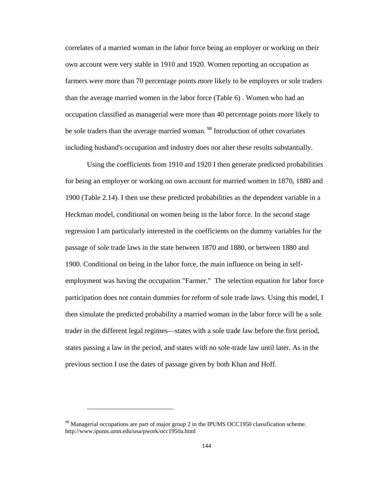correlates of a married woman in the labor force being an employer or working on their own account were very stable in 1910 and 1920. Women reporting an occupation as farmers were more than 70 percentage points more likely to be employers or sole traders than the average married women in the labor force (Table 6) . Women who had an occupation classified as managerial were more than 40 percentage points more likely to be sole traders than the average married woman.<sup>98</sup> Introduction of other covariates including husband's occupation and industry does not alter these results substantially.

Using the coefficients from 1910 and 1920 I then generate predicted probabilities for being an employer or working on own account for married women in 1870, 1880 and 1900 (Table 2.14). I then use these predicted probabilities as the dependent variable in a Heckman model, conditional on women being in the labor force. In the second stage regression I am particularly interested in the coefficients on the dummy variables for the passage of sole trade laws in the state between 1870 and 1880, or between 1880 and 1900. Conditional on being in the labor force, the main influence on being in selfemployment was having the occupation "Farmer." The selection equation for labor force participation does not contain dummies for reform of sole trade laws. Using this model, I then simulate the predicted probability a married woman in the labor force will be a sole trader in the different legal regimes—states with a sole trade law before the first period, states passing a law in the period, and states with no sole-trade law until later. As in the previous section I use the dates of passage given by both Khan and Hoff.

<sup>&</sup>lt;sup>98</sup> Managerial occupations are part of major group 2 in the IPUMS OCC1950 classification scheme. http://www.ipums.umn.edu/usa/pwork/occ1950a.html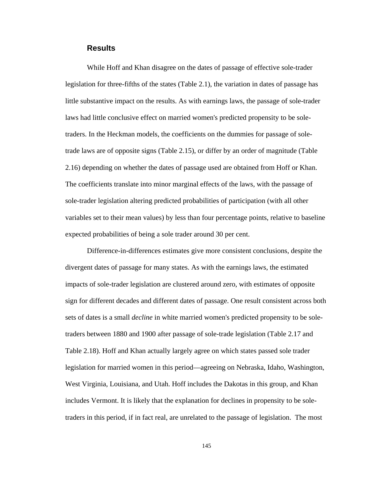#### **Results**

While Hoff and Khan disagree on the dates of passage of effective sole-trader legislation for three-fifths of the states (Table 2.1), the variation in dates of passage has little substantive impact on the results. As with earnings laws, the passage of sole-trader laws had little conclusive effect on married women's predicted propensity to be soletraders. In the Heckman models, the coefficients on the dummies for passage of soletrade laws are of opposite signs (Table 2.15), or differ by an order of magnitude (Table 2.16) depending on whether the dates of passage used are obtained from Hoff or Khan. The coefficients translate into minor marginal effects of the laws, with the passage of sole-trader legislation altering predicted probabilities of participation (with all other variables set to their mean values) by less than four percentage points, relative to baseline expected probabilities of being a sole trader around 30 per cent.

Difference-in-differences estimates give more consistent conclusions, despite the divergent dates of passage for many states. As with the earnings laws, the estimated impacts of sole-trader legislation are clustered around zero, with estimates of opposite sign for different decades and different dates of passage. One result consistent across both sets of dates is a small *decline* in white married women's predicted propensity to be soletraders between 1880 and 1900 after passage of sole-trade legislation (Table 2.17 and Table 2.18). Hoff and Khan actually largely agree on which states passed sole trader legislation for married women in this period—agreeing on Nebraska, Idaho, Washington, West Virginia, Louisiana, and Utah. Hoff includes the Dakotas in this group, and Khan includes Vermont. It is likely that the explanation for declines in propensity to be soletraders in this period, if in fact real, are unrelated to the passage of legislation. The most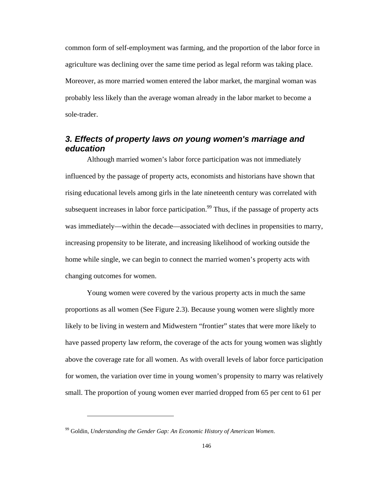common form of self-employment was farming, and the proportion of the labor force in agriculture was declining over the same time period as legal reform was taking place. Moreover, as more married women entered the labor market, the marginal woman was probably less likely than the average woman already in the labor market to become a sole-trader.

### *3. Effects of property laws on young women's marriage and education*

Although married women's labor force participation was not immediately influenced by the passage of property acts, economists and historians have shown that rising educational levels among girls in the late nineteenth century was correlated with subsequent increases in labor force participation.<sup>99</sup> Thus, if the passage of property acts was immediately—within the decade—associated with declines in propensities to marry, increasing propensity to be literate, and increasing likelihood of working outside the home while single, we can begin to connect the married women's property acts with changing outcomes for women.

Young women were covered by the various property acts in much the same proportions as all women (See Figure 2.3). Because young women were slightly more likely to be living in western and Midwestern "frontier" states that were more likely to have passed property law reform, the coverage of the acts for young women was slightly above the coverage rate for all women. As with overall levels of labor force participation for women, the variation over time in young women's propensity to marry was relatively small. The proportion of young women ever married dropped from 65 per cent to 61 per

<sup>99</sup> Goldin, *Understanding the Gender Gap: An Economic History of American Women*.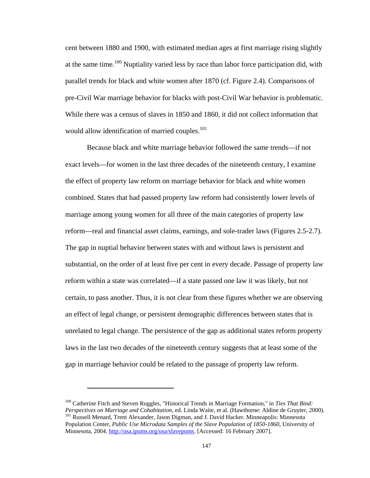cent between 1880 and 1900, with estimated median ages at first marriage rising slightly at the same time.<sup>100</sup> Nuptiality varied less by race than labor force participation did, with parallel trends for black and white women after 1870 (cf. Figure 2.4). Comparisons of pre-Civil War marriage behavior for blacks with post-Civil War behavior is problematic. While there was a census of slaves in 1850 and 1860, it did not collect information that would allow identification of married couples.<sup>101</sup>

Because black and white marriage behavior followed the same trends—if not exact levels—for women in the last three decades of the nineteenth century, I examine the effect of property law reform on marriage behavior for black and white women combined. States that had passed property law reform had consistently lower levels of marriage among young women for all three of the main categories of property law reform—real and financial asset claims, earnings, and sole-trader laws (Figures 2.5-2.7). The gap in nuptial behavior between states with and without laws is persistent and substantial, on the order of at least five per cent in every decade. Passage of property law reform within a state was correlated—if a state passed one law it was likely, but not certain, to pass another. Thus, it is not clear from these figures whether we are observing an effect of legal change, or persistent demographic differences between states that is unrelated to legal change. The persistence of the gap as additional states reform property laws in the last two decades of the nineteenth century suggests that at least some of the gap in marriage behavior could be related to the passage of property law reform.

<sup>&</sup>lt;sup>100</sup> Catherine Fitch and Steven Ruggles, "Historical Trends in Marriage Formation," in *Ties That Bind: Perspectives on Marriage and Cohabitation*, ed. Linda Waite, et al. (Hawthorne: Aldine de Gruyter, 2000). <sup>101</sup> Russell Menard, Trent Alexander, Jason Digman, and J. David Hacker. Minneapolis: Minnesota Population Center, *Public Use Microdata Samples of the Slave Population of 1850-1860*, University of Minnesota, 2004. http://usa.ipums.org/usa/slavepums. [Accessed: 16 February 2007].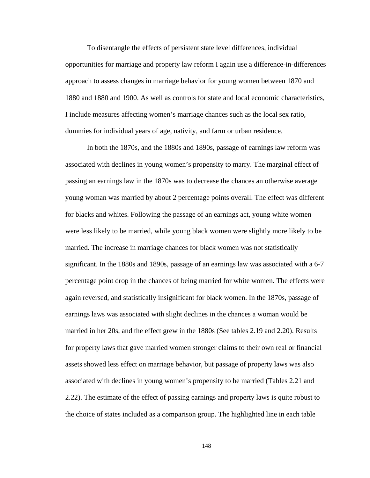To disentangle the effects of persistent state level differences, individual opportunities for marriage and property law reform I again use a difference-in-differences approach to assess changes in marriage behavior for young women between 1870 and 1880 and 1880 and 1900. As well as controls for state and local economic characteristics, I include measures affecting women's marriage chances such as the local sex ratio, dummies for individual years of age, nativity, and farm or urban residence.

In both the 1870s, and the 1880s and 1890s, passage of earnings law reform was associated with declines in young women's propensity to marry. The marginal effect of passing an earnings law in the 1870s was to decrease the chances an otherwise average young woman was married by about 2 percentage points overall. The effect was different for blacks and whites. Following the passage of an earnings act, young white women were less likely to be married, while young black women were slightly more likely to be married. The increase in marriage chances for black women was not statistically significant. In the 1880s and 1890s, passage of an earnings law was associated with a 6-7 percentage point drop in the chances of being married for white women. The effects were again reversed, and statistically insignificant for black women. In the 1870s, passage of earnings laws was associated with slight declines in the chances a woman would be married in her 20s, and the effect grew in the 1880s (See tables 2.19 and 2.20). Results for property laws that gave married women stronger claims to their own real or financial assets showed less effect on marriage behavior, but passage of property laws was also associated with declines in young women's propensity to be married (Tables 2.21 and 2.22). The estimate of the effect of passing earnings and property laws is quite robust to the choice of states included as a comparison group. The highlighted line in each table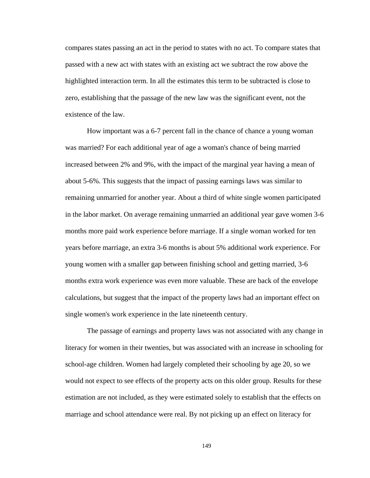compares states passing an act in the period to states with no act. To compare states that passed with a new act with states with an existing act we subtract the row above the highlighted interaction term. In all the estimates this term to be subtracted is close to zero, establishing that the passage of the new law was the significant event, not the existence of the law.

How important was a 6-7 percent fall in the chance of chance a young woman was married? For each additional year of age a woman's chance of being married increased between 2% and 9%, with the impact of the marginal year having a mean of about 5-6%. This suggests that the impact of passing earnings laws was similar to remaining unmarried for another year. About a third of white single women participated in the labor market. On average remaining unmarried an additional year gave women 3-6 months more paid work experience before marriage. If a single woman worked for ten years before marriage, an extra 3-6 months is about 5% additional work experience. For young women with a smaller gap between finishing school and getting married, 3-6 months extra work experience was even more valuable. These are back of the envelope calculations, but suggest that the impact of the property laws had an important effect on single women's work experience in the late nineteenth century.

The passage of earnings and property laws was not associated with any change in literacy for women in their twenties, but was associated with an increase in schooling for school-age children. Women had largely completed their schooling by age 20, so we would not expect to see effects of the property acts on this older group. Results for these estimation are not included, as they were estimated solely to establish that the effects on marriage and school attendance were real. By not picking up an effect on literacy for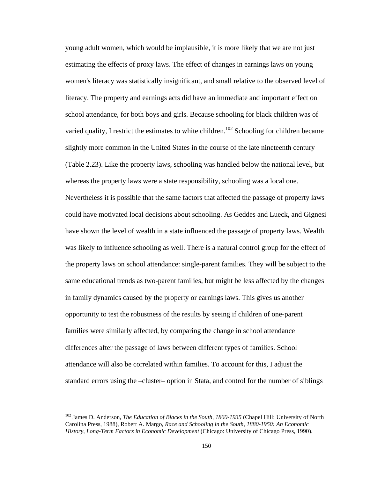young adult women, which would be implausible, it is more likely that we are not just estimating the effects of proxy laws. The effect of changes in earnings laws on young women's literacy was statistically insignificant, and small relative to the observed level of literacy. The property and earnings acts did have an immediate and important effect on school attendance, for both boys and girls. Because schooling for black children was of varied quality, I restrict the estimates to white children.<sup>102</sup> Schooling for children became slightly more common in the United States in the course of the late nineteenth century (Table 2.23). Like the property laws, schooling was handled below the national level, but whereas the property laws were a state responsibility, schooling was a local one. Nevertheless it is possible that the same factors that affected the passage of property laws could have motivated local decisions about schooling. As Geddes and Lueck, and Gignesi have shown the level of wealth in a state influenced the passage of property laws. Wealth was likely to influence schooling as well. There is a natural control group for the effect of the property laws on school attendance: single-parent families. They will be subject to the same educational trends as two-parent families, but might be less affected by the changes in family dynamics caused by the property or earnings laws. This gives us another opportunity to test the robustness of the results by seeing if children of one-parent families were similarly affected, by comparing the change in school attendance differences after the passage of laws between different types of families. School attendance will also be correlated within families. To account for this, I adjust the standard errors using the –cluster– option in Stata, and control for the number of siblings

<sup>102</sup> James D. Anderson, *The Education of Blacks in the South, 1860-1935* (Chapel Hill: University of North Carolina Press, 1988), Robert A. Margo, *Race and Schooling in the South, 1880-1950: An Economic History*, *Long-Term Factors in Economic Development* (Chicago: University of Chicago Press, 1990).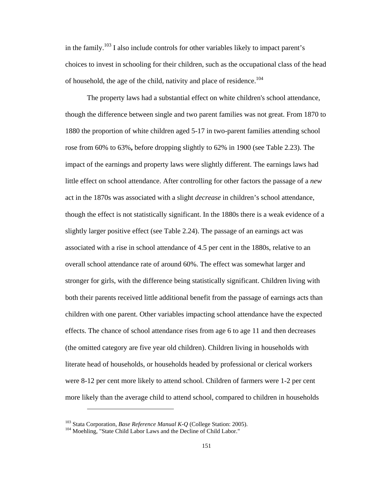in the family.<sup>103</sup> I also include controls for other variables likely to impact parent's choices to invest in schooling for their children, such as the occupational class of the head of household, the age of the child, nativity and place of residence.<sup>104</sup>

The property laws had a substantial effect on white children's school attendance, though the difference between single and two parent families was not great. From 1870 to 1880 the proportion of white children aged 5-17 in two-parent families attending school rose from 60% to 63%**,** before dropping slightly to 62% in 1900 (see Table 2.23). The impact of the earnings and property laws were slightly different. The earnings laws had little effect on school attendance. After controlling for other factors the passage of a *new* act in the 1870s was associated with a slight *decrease* in children's school attendance, though the effect is not statistically significant. In the 1880s there is a weak evidence of a slightly larger positive effect (see Table 2.24). The passage of an earnings act was associated with a rise in school attendance of 4.5 per cent in the 1880s, relative to an overall school attendance rate of around 60%. The effect was somewhat larger and stronger for girls, with the difference being statistically significant. Children living with both their parents received little additional benefit from the passage of earnings acts than children with one parent. Other variables impacting school attendance have the expected effects. The chance of school attendance rises from age 6 to age 11 and then decreases (the omitted category are five year old children). Children living in households with literate head of households, or households headed by professional or clerical workers were 8-12 per cent more likely to attend school. Children of farmers were 1-2 per cent more likely than the average child to attend school, compared to children in households

<sup>&</sup>lt;sup>103</sup> Stata Corporation, *Base Reference Manual K-Q* (College Station: 2005).<br><sup>104</sup> Moehling, "State Child Labor Laws and the Decline of Child Labor."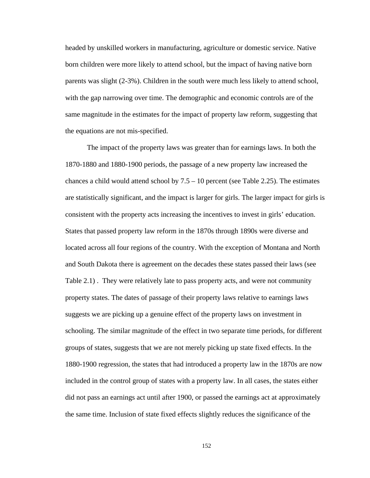headed by unskilled workers in manufacturing, agriculture or domestic service. Native born children were more likely to attend school, but the impact of having native born parents was slight (2-3%). Children in the south were much less likely to attend school, with the gap narrowing over time. The demographic and economic controls are of the same magnitude in the estimates for the impact of property law reform, suggesting that the equations are not mis-specified.

The impact of the property laws was greater than for earnings laws. In both the 1870-1880 and 1880-1900 periods, the passage of a new property law increased the chances a child would attend school by  $7.5 - 10$  percent (see Table 2.25). The estimates are statistically significant, and the impact is larger for girls. The larger impact for girls is consistent with the property acts increasing the incentives to invest in girls' education. States that passed property law reform in the 1870s through 1890s were diverse and located across all four regions of the country. With the exception of Montana and North and South Dakota there is agreement on the decades these states passed their laws (see Table 2.1) . They were relatively late to pass property acts, and were not community property states. The dates of passage of their property laws relative to earnings laws suggests we are picking up a genuine effect of the property laws on investment in schooling. The similar magnitude of the effect in two separate time periods, for different groups of states, suggests that we are not merely picking up state fixed effects. In the 1880-1900 regression, the states that had introduced a property law in the 1870s are now included in the control group of states with a property law. In all cases, the states either did not pass an earnings act until after 1900, or passed the earnings act at approximately the same time. Inclusion of state fixed effects slightly reduces the significance of the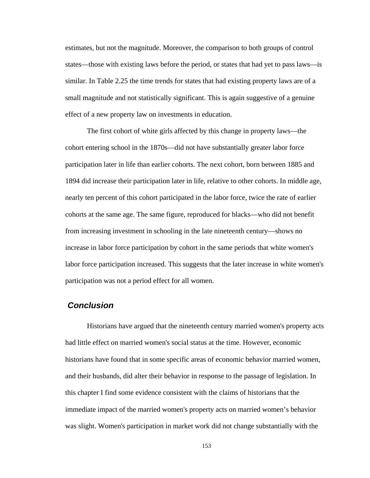estimates, but not the magnitude. Moreover, the comparison to both groups of control states—those with existing laws before the period, or states that had yet to pass laws—is similar. In Table 2.25 the time trends for states that had existing property laws are of a small magnitude and not statistically significant. This is again suggestive of a genuine effect of a new property law on investments in education.

The first cohort of white girls affected by this change in property laws—the cohort entering school in the 1870s—did not have substantially greater labor force participation later in life than earlier cohorts. The next cohort, born between 1885 and 1894 did increase their participation later in life, relative to other cohorts. In middle age, nearly ten percent of this cohort participated in the labor force, twice the rate of earlier cohorts at the same age. The same figure, reproduced for blacks—who did not benefit from increasing investment in schooling in the late nineteenth century—shows no increase in labor force participation by cohort in the same periods that white women's labor force participation increased. This suggests that the later increase in white women's participation was not a period effect for all women.

### *Conclusion*

Historians have argued that the nineteenth century married women's property acts had little effect on married women's social status at the time. However, economic historians have found that in some specific areas of economic behavior married women, and their husbands, did alter their behavior in response to the passage of legislation. In this chapter I find some evidence consistent with the claims of historians that the immediate impact of the married women's property acts on married women's behavior was slight. Women's participation in market work did not change substantially with the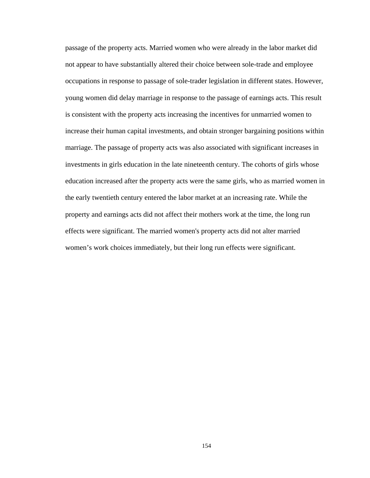passage of the property acts. Married women who were already in the labor market did not appear to have substantially altered their choice between sole-trade and employee occupations in response to passage of sole-trader legislation in different states. However, young women did delay marriage in response to the passage of earnings acts. This result is consistent with the property acts increasing the incentives for unmarried women to increase their human capital investments, and obtain stronger bargaining positions within marriage. The passage of property acts was also associated with significant increases in investments in girls education in the late nineteenth century. The cohorts of girls whose education increased after the property acts were the same girls, who as married women in the early twentieth century entered the labor market at an increasing rate. While the property and earnings acts did not affect their mothers work at the time, the long run effects were significant. The married women's property acts did not alter married women's work choices immediately, but their long run effects were significant.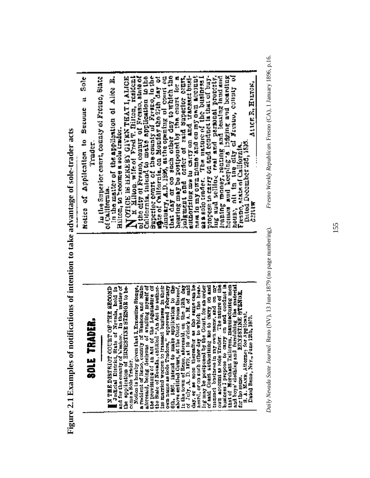**Figure 2.1 Examples of notifications of intention to take advantage of sole-trader acts**  Figure 2.1 Examples of notifications of intention to take advantage of sole-trader acts Sole

3

Becoure

Notice of Application to

Trader.

# lusy, are not there are the basic lusy of the position of the distribution in the basic distribution of said for positioned by the Court, for an order of said Court authorizing me to carry on and transact business in my ow own name as Bole Traders," approved February 6th, 1867, intend to make application to the above entitled Court, at the Court roun thereof, in the town of Ecno, aforeasid, on the 12th day of July, A. D. 1879, at 10 o'clock  $\blacksquare$  Judicial District, State of Nevada, held in and for the county of Washoe. In the matter of the splitestion of ERNESTINE STENGE to be-Notice is hereby given that I. Ernestine Stenge,<br>a resident of Reno, county of Washoe, and State<br>aforesaid, being desirous of availing myself of<br>the provisions of an Act of the Legislature of the State of Nevada, entitled "An Act to authorize married women to transact business in their **TN THE DISTRICT COURT OF THE SECOND** ERNESTINE STESS S. A. MANN, Attorney for Applicant.<br>Dated Reno, Nev., June 12th, 1879. SOLE TRADER. come a Sole Trader. tor the same.

A including international country of Freman since of collineration in the collineration in the collineration of the country of Freman in the control in the colliner of the second with  $\alpha$  is a second of the colliner of co free and selling real and personal property.<br>Inating money, reating and leading hand and<br>houses and keeping a lidging and boarding<br>house, old in the city of Farsino, country of hearing may be postponed by the court for a hearing may be postponed by the court for a nestin my own name and on my own account<br>as a solo tradet. The nature of the business i sa a noto traver, a condition in that of buy-<br>propose to carry on and condition in that of buy-N OTICE IE HEREEN GIVEN THAT I, ALICE authorizing me tu carry on and traceatt busi-In the Superior court, county of Fresno, State in the matter of the application of Alice B. Hilton, to become a sols trader. Fresno, state of California.<br>Dated December 28d, 1895. of California.

*Daily Nevada State Journal*. Reno (NV), 13 June 1879 (no page numbering). *Fresno Weekly Republican*. Fresno (CA), 1 January 1896, p.16.Daily Nevada State Journal. Reno (NV), 13 June 1879 (no page numbering).

Fresno Weekly Republican. Fresno (CA), 1 January 1896, p.16.

Atter R. Hurok,

entin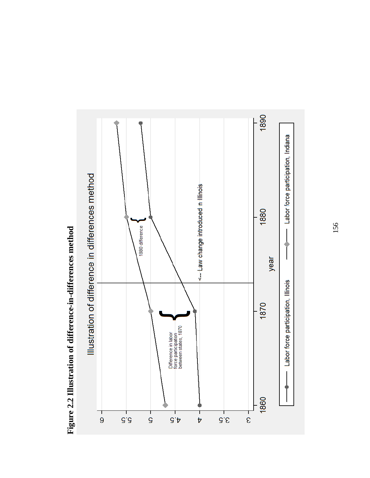

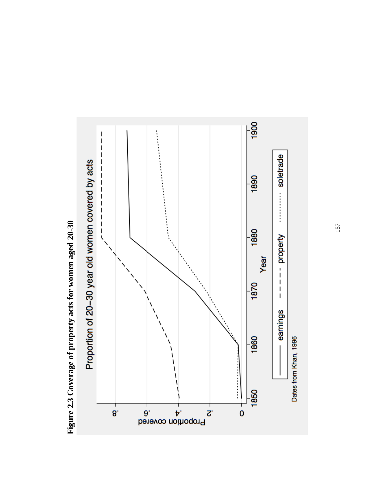

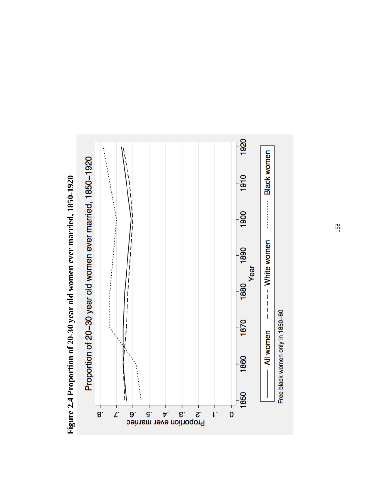

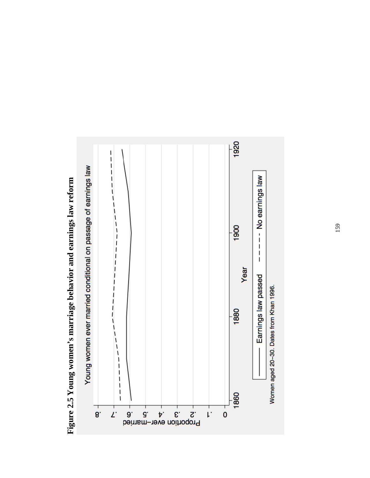

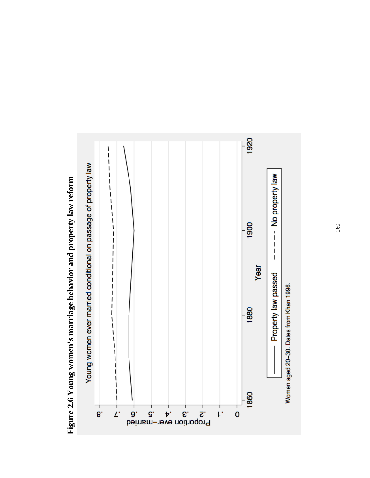

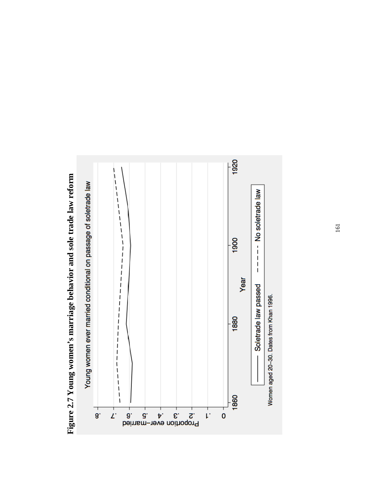

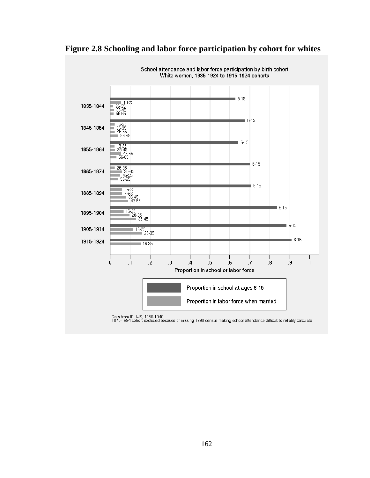

### **Figure 2.8 Schooling and labor force participation by cohort for whites**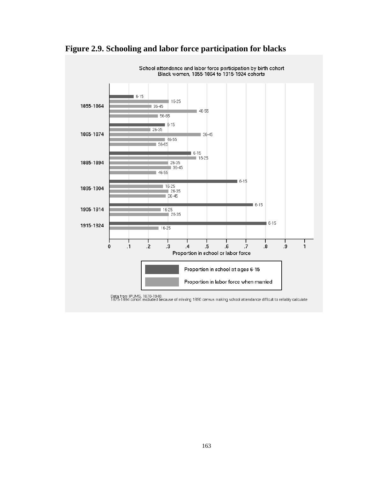

## **Figure 2.9. Schooling and labor force participation for blacks**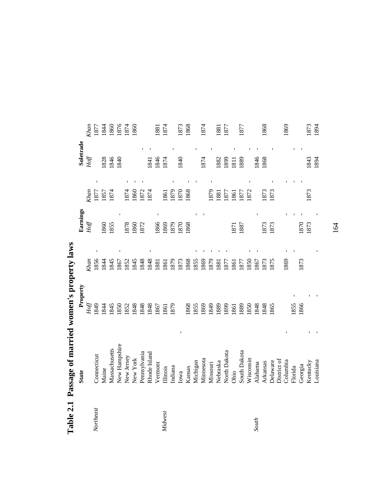|           |               |          | $\frac{2}{3}$ |          |      |           |      |
|-----------|---------------|----------|---------------|----------|------|-----------|------|
|           | <b>State</b>  | Property |               | Earnings |      | Soletrade |      |
|           |               | Hoff     | Khan          | Hoff     | Khan | Hof       | Khan |
| Northeast | Connecticut   | 1849     | 1856          |          | 1877 |           | 1877 |
|           | Maine         | .844     | 1844          | 860      | 1857 | 828       | 1844 |
|           | Massachusetts | 1845     | 1845          | 1855     | 1874 | 1846      | 1860 |
|           | New Hampshire | 1850     | 1867          |          |      | 840       | 1876 |
|           | New Jersey    | 1852     | 1852          | 878      | 1874 |           | 1874 |
|           | New York      | 1848     | 1845          | 1860     | 1860 |           | 1860 |
|           | Pennsylvania  | 848      | 1848          | 1872     | 1872 |           |      |
|           | Rhode Island  | .848     | 1848          |          | 1874 | 841       |      |
|           | Vermont       | 867      | 1881          | 1866     |      | 1846      | 1881 |
| Midwest   | Illinois      | 1861     | 1861          | 1869     | 1861 | 1874      | 1874 |
|           | Indiana       | 879      | 1879          | 1879     | 1879 |           |      |
|           | Iowa          |          | 1873          | 1870     | 1870 | 1840      | 1873 |
|           | Kansas        | 868      | 1868          | 1868     | 1868 |           | 1868 |
|           | Michigan      | .855     | 1855          |          |      |           |      |
|           | Minnesota     | 869      | 1869          |          |      | 1874      | 1874 |
|           | Missouri      | 1849     | 1879          |          | 1879 |           |      |
|           | Nebraska      | 1889     | 1881          |          | 1881 | 882       | 1881 |
|           | North Dakota  | 899      | 1877          |          | 1877 | 899       | 1877 |
|           | Ohio          | 1861     | 1861          | 1871     | 1861 | 1811      |      |
|           | South Dakota  | 1889     | 1877          | 1887     | 1877 | 889       | 1877 |
|           | Wisconsin     | .850     | 1850          |          | 1872 |           |      |
| South     | Alabama       | 848      | 1867          |          |      | 1846      |      |
|           | Arkansas      | 848      | 1873          | 1873     | 1873 | 1868      | 1868 |
|           | Delaware      | 865      | 1875          | 1873     | 1873 |           |      |
|           | District of   |          |               |          |      |           |      |
|           | Columbia      |          | 1869          |          |      |           | 1869 |
|           | Florida       | 855      |               |          |      |           |      |
|           | Georgia       | 1866     | 1873          | 870      |      |           |      |
|           | Kentucky      |          |               | 1873     | 1873 | 1843      | 1873 |
|           | Louisiana     |          |               |          |      | 1894      | 1894 |

**Table 2.1 Passage of married women's property laws**  Table 2.1 Passage of married women's property laws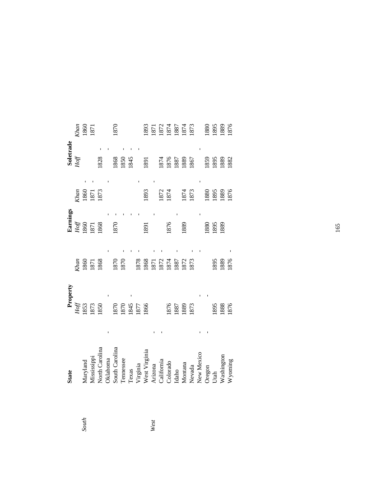|       | <b>State</b>                  | Property             |             | Earnings              |                      | Soletrade |                      |
|-------|-------------------------------|----------------------|-------------|-----------------------|----------------------|-----------|----------------------|
|       |                               | Hoff                 | <b>Shan</b> | $Hof\hspace{-0.1cm}f$ | <b>Shan</b>          | $H$ off   | Khan                 |
| South | Aaryland                      | 1853                 | 1860        |                       |                      |           | 1860<br>1871         |
|       |                               | 1873<br>1850         | 1871        | 1860<br>1871          | 1860<br>1871<br>1873 |           |                      |
|       | Mississippi<br>North Carolina |                      | 1868        | 1868                  |                      | 1828      |                      |
|       | <b>Oklahoma</b>               |                      |             |                       |                      |           |                      |
|       | South Carolina                |                      | 1870        | 1870                  |                      | 1868      | 1870                 |
|       | Tennessee                     | 1870<br>1845<br>1845 | 1870        |                       |                      | 1850      |                      |
|       | Texas                         |                      |             |                       |                      | 1845      |                      |
|       |                               |                      | 1878        |                       |                      |           |                      |
|       | Virginia<br>West Virginia     | 1866                 | 1868        | 1891                  | 1893                 | 1891      | 1893                 |
| West  | Arizona                       |                      | 1871        |                       |                      |           | 1871                 |
|       | California                    |                      | 1872        |                       | 1872                 | 1874      | 1872                 |
|       | Colorado                      |                      | 1874        | 1876                  | 1874                 | 1876      | 1874<br>1887<br>1874 |
|       | Idaho                         | 1876<br>1887         | 1887        |                       |                      | 1887      |                      |
|       | Montana                       | 1889                 | 1872        | 1889                  | 1874                 | 1889      |                      |
|       | Nevada                        | 1873                 | 1873        |                       | 1873                 | 1867      | 1873                 |
|       | New Mexico                    |                      |             |                       |                      |           |                      |
|       |                               |                      |             | 1880                  | 1880                 | 1859      | 1880                 |
|       | Oregon<br>Utah                | 1895                 | 1895        | 1895                  | 1895                 | 1895      | 1895                 |
|       | Washington                    | 1888                 | 1889        | 1889                  | 1889                 | 1889      | 1889                 |
|       | Wyoming                       | 1876                 | 1876        |                       | 1876                 | 1882      | 1876                 |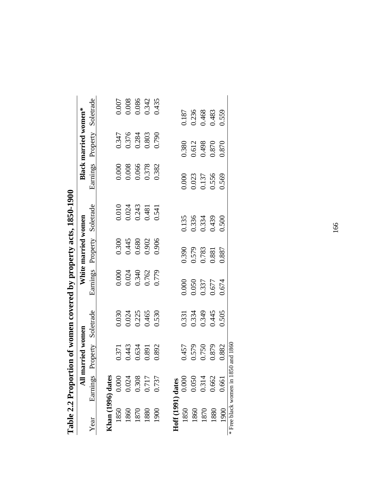|      | All mari          | ried women   |           |                                  | White married women     |                |                         | <b>Black married women*</b> |                         |
|------|-------------------|--------------|-----------|----------------------------------|-------------------------|----------------|-------------------------|-----------------------------|-------------------------|
| Year | Earnings          | operty<br>Pr | Soletrade | Earnings                         | Property                | Soletrade      | Earnings                | Property                    | Soletrade               |
|      | Khan (1996) dates |              |           |                                  |                         |                |                         |                             |                         |
| 1850 | 0.000             | 0.371        | 0.030     | 0.000                            | 0.300                   | 0.010          | 0.000                   | 0.347                       |                         |
| 1860 | 0.024             | 0.443        | 0.024     |                                  | 0.445                   |                | 0.008                   | 0.376                       | $0.007$<br>$0.008$      |
| 1870 | 0.308             | 0.634        | 0.225     | 0.024<br>0.340<br>0.762<br>0.779 | 0.680                   | 0.024<br>0.243 | 0.066                   | 0.284                       | 0.086<br>0.342<br>0.435 |
| 1880 | 0.717             | 0.891        | 0.465     |                                  | 0.902                   | 0.481<br>0.541 | 0.378                   | 0.803                       |                         |
| 1900 | 0.737             | 0.892        | 0.530     |                                  | 0.906                   |                | 0.382                   | 0.790                       |                         |
|      | Hoff (1991) dates |              |           |                                  |                         |                |                         |                             |                         |
| 1850 | 0.000             | 0.457        | 0.331     | 0.000                            | 0.390                   | 0.135          | 0.000                   | 0.380                       | 0.187                   |
| 1860 | 0.050             | 0.579        | 0.334     | 0.050                            |                         | 0.336          |                         | 0.612                       | 0.236                   |
| 1870 | 0.314             | 0.750        | 0.349     |                                  | 0.579<br>0.783<br>0.881 | 0.334          | 0.023<br>0.137<br>0.556 | 0.498                       | 0.468                   |
| 1880 | 0.662             | 0.879        | 0.445     | 0.337<br>0.677<br>0.674          |                         | 0.439          |                         | 0.870                       | 0.483                   |
| 1900 | 0.661             | 0.882        | 0.505     |                                  | 0.887                   | 0.500          | 0.569                   | 0.870                       | 0.559                   |

| $-1850 - 100$<br><b>NAL-ACAT</b>                             |
|--------------------------------------------------------------|
|                                                              |
| $\ddotsc$                                                    |
|                                                              |
|                                                              |
|                                                              |
|                                                              |
| ronoriton of women covered by property acts<br>wa ma co hair |
|                                                              |
|                                                              |
|                                                              |
|                                                              |
|                                                              |
|                                                              |
| Table 2.2 P                                                  |
|                                                              |
|                                                              |
|                                                              |
|                                                              |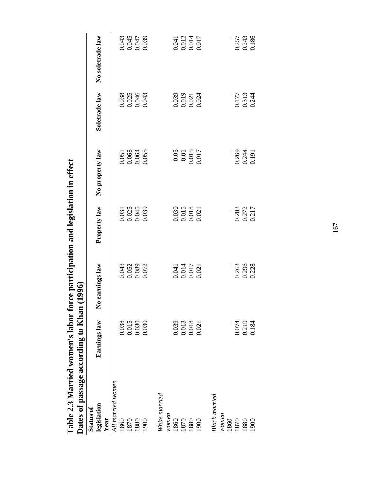| Dates of passage according to Khan      |                                                                 | <b>1996</b>                                                     |                                                                 |                                                                           |                                          |                                  |
|-----------------------------------------|-----------------------------------------------------------------|-----------------------------------------------------------------|-----------------------------------------------------------------|---------------------------------------------------------------------------|------------------------------------------|----------------------------------|
| legislation<br><b>Status of</b><br>Year | Earnings law                                                    | earnings law<br>$\tilde{\mathsf{z}}$                            | Property law                                                    | No property law                                                           | Soletrade law                            | No soletrade law                 |
| All married women                       |                                                                 |                                                                 |                                                                 |                                                                           |                                          |                                  |
| 1860                                    |                                                                 |                                                                 |                                                                 |                                                                           |                                          |                                  |
| 1870                                    |                                                                 |                                                                 |                                                                 |                                                                           |                                          |                                  |
| 1880                                    | $\begin{array}{c} 0.038 \\ 0.015 \\ 0.030 \\ 0.030 \end{array}$ |                                                                 |                                                                 |                                                                           |                                          |                                  |
| 1900                                    |                                                                 | $\begin{array}{c} 0.043 \\ 0.052 \\ 0.089 \\ 0.072 \end{array}$ | 0.031<br>0.025<br>0.045<br>0.039                                | 0.051<br>0.068<br>0.064<br>0.055                                          | $0.038$<br>$0.025$<br>$0.046$<br>$0.043$ | 0.043<br>0.045<br>0.047<br>0.039 |
| White married                           |                                                                 |                                                                 |                                                                 |                                                                           |                                          |                                  |
| women                                   |                                                                 |                                                                 |                                                                 |                                                                           |                                          |                                  |
| 1860                                    |                                                                 |                                                                 |                                                                 |                                                                           |                                          |                                  |
| 1870                                    |                                                                 |                                                                 |                                                                 |                                                                           |                                          |                                  |
| 1880                                    | $\begin{array}{c} 0.039 \\ 0.013 \\ 0.018 \\ 0.021 \end{array}$ | 0.041<br>0.014<br>0.017<br>0.021                                | $\begin{array}{c} 0.030 \\ 0.015 \\ 0.018 \\ 0.021 \end{array}$ | $\begin{array}{c} 0.05 \\ 0.01 \\ 0.015 \\ 0.015 \\ 0.017 \\ \end{array}$ | 0.039<br>0.019<br>0.021<br>0.024         | 0.041<br>0.012<br>0.014<br>0.017 |
| 1900                                    |                                                                 |                                                                 |                                                                 |                                                                           |                                          |                                  |
| Black married                           |                                                                 |                                                                 |                                                                 |                                                                           |                                          |                                  |
| women                                   |                                                                 |                                                                 |                                                                 |                                                                           |                                          |                                  |
| 1860                                    |                                                                 |                                                                 |                                                                 |                                                                           |                                          |                                  |
| 1870                                    | 0.074                                                           |                                                                 |                                                                 |                                                                           |                                          |                                  |
| 1880                                    | 0.219<br>0.184                                                  | 0.263<br>0.296<br>0.228                                         |                                                                 |                                                                           |                                          | 0.257<br>0.243<br>0.186          |
| 1900                                    |                                                                 |                                                                 | 0.203<br>0.272<br>0.217                                         | 0.269<br>0.244<br>0.191                                                   | 0.177<br>0.313<br>0.244                  |                                  |

Table 2.3 Married women's labor force participation and legislation in effect<br>Dates of passage according to Khan (1996) **Table 2.3 Married women's labor force participation and legislation in effect** 

167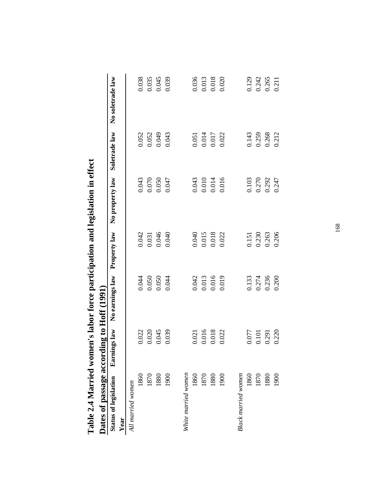| Table 2.4 Married women's labor force participation and legislation in effect |              |                 |              |                 |               |                  |
|-------------------------------------------------------------------------------|--------------|-----------------|--------------|-----------------|---------------|------------------|
| Dates of passage according to Hoff (1991)                                     |              |                 |              |                 |               |                  |
| <b>Status of legislation</b>                                                  | Earnings law | No earnings law | Property law | No property law | Soletrade law | No soletrade law |
| All married women<br>Year                                                     |              |                 |              |                 |               |                  |
| 1860                                                                          | 0.022        | 0.044           | 0.042        | 0.043           | 0.052         | 0.038            |
| 1870                                                                          | 0.020        | 0.050           | 0.031        | $0.070\,$       | 0.052         | 0.035            |
| 1880                                                                          | 0.045        | 0.050           | 0.046        | 0.050           | 0.049         | 0.045            |
| 1900                                                                          | 0.039        | 0.044           | 0.040        | 0.047           | 0.043         | 0.039            |
| White married women                                                           |              |                 |              |                 |               |                  |
| 1860                                                                          | 0.021        | 0.042           | 0.040        | 0.043           | 0.051         | 0.036            |
| 1870                                                                          | 0.016        | 0.013           | 0.015        | $0.010\,$       | 0.014         | 0.013            |
| 1880                                                                          | 0.018        | 0.016           | 0.018        | 0.014           | 0.017         | 0.018            |
| 1900                                                                          | 0.022        | 0.019           | 0.022        | 0.016           | 0.022         | 0.020            |
| Black married women                                                           |              |                 |              |                 |               |                  |
| 1860                                                                          | 0.077        | 0.133           | 0.151        | 0.103           | 0.143         | 0.129            |
| 1870                                                                          | 0.101        | 0.274           | 0.230        | 0.270           | 0.259         | 0.242            |
| 1880                                                                          | 0.291        | 0.236           | 0.263        | 0.292           | 0.268         | 0.265            |
| 1900                                                                          | 0.220        | 0.200           | 0.206        | 0.247           | 0.212         | 0.211            |
|                                                                               |              |                 |              |                 |               |                  |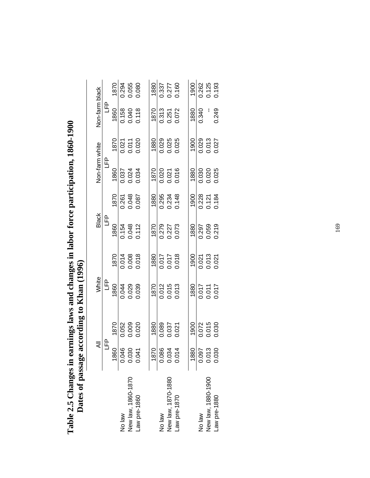| $\zeta$                               |
|---------------------------------------|
| * as of passage according to Khan (1) |
| د<br>م                                |
|                                       |
| <b>Pates</b>                          |
|                                       |

|                    | ₹      |                         | White                       |                            | <b>Black</b>            |                         | Non-farm white          |                         | Non-farm black          |                         |
|--------------------|--------|-------------------------|-----------------------------|----------------------------|-------------------------|-------------------------|-------------------------|-------------------------|-------------------------|-------------------------|
|                    | Գ<br>Կ |                         | <u>مو</u>                   |                            | լ<br>1                  |                         | Գ<br>Մ                  |                         | £                       |                         |
|                    | 1860   | 1870                    | 1860                        | 1870                       | 1860                    | 1870                    | 1860                    | 1870                    | 1860                    | 1870                    |
| No law             | 0.046  |                         |                             |                            |                         |                         |                         |                         |                         |                         |
| New law, 1860-1870 | 0.030  | 0.052<br>0.009<br>0.020 | 0.044<br>0.029<br>0.039     | 0.014<br>0.008<br>0.018    | 0.154<br>0.048<br>0.112 | 0.261<br>0.048<br>0.087 | 0.037<br>0.024<br>0.034 | 0.021<br>0.011<br>0.020 | 0.158<br>0.040<br>0.118 | 0.294<br>0.055<br>0.080 |
| Law pre-1860       | 0.041  |                         |                             |                            |                         |                         |                         |                         |                         |                         |
|                    | 1870   | 1880                    | 1870                        | 1880                       | 1870                    | 1880                    | 1870                    | 1880                    | 1870                    | 1880                    |
| No law             | 0.086  |                         |                             |                            |                         |                         |                         |                         |                         |                         |
| New law, 1870-1880 | 0.034  | 0.089<br>0.037<br>0.021 | 0.012<br>0.015<br>0.013     | 840.017<br>240.0<br>240.01 | 0.279<br>0.227<br>0.073 | 0.295<br>0.234<br>0.148 | 0.020<br>0.021<br>0.016 | 0.029<br>0.025<br>0.025 | 0.313<br>0.251<br>0.072 | 0.337<br>0.277<br>0.160 |
| Law pre-1870       | 0.014  |                         |                             |                            |                         |                         |                         |                         |                         |                         |
|                    | 1880   | 1900                    | 1880                        | 1900                       | 1880                    | 1900                    | 1880                    | 1900                    | 1880                    | 1900                    |
| No law             | 0.097  |                         |                             |                            |                         | 0.228<br>0.121<br>0.184 |                         |                         | 0.340                   |                         |
| New law, 1880-1900 | 0.013  | 0.072<br>0.015<br>0.030 | 110.017<br>110.00<br>110.00 | 0.021<br>0.013<br>0.021    | 0.297<br>0.059<br>0.219 |                         | 0.030<br>0.020<br>0.025 | 0.029<br>0.013<br>0.027 |                         | 0.262<br>0.125<br>0.193 |
| Law pre-1880       | 0.030  |                         |                             |                            |                         |                         |                         |                         | 0.249                   |                         |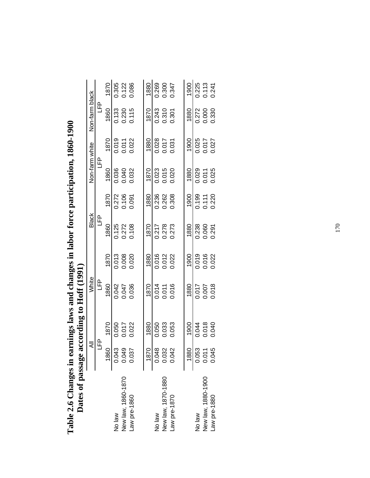| · nanges in earnings laws and changes in labor force participation, 1860-1900 | of passage according to Hoff (1991)<br>J |
|-------------------------------------------------------------------------------|------------------------------------------|
| Table 2.                                                                      |                                          |

| The company with the summer way of the same |        |                         |                         |                         |                         |                         |                         |                         |                         |                         |
|---------------------------------------------|--------|-------------------------|-------------------------|-------------------------|-------------------------|-------------------------|-------------------------|-------------------------|-------------------------|-------------------------|
|                                             | ₹      |                         | White                   |                         | <b>Black</b>            |                         | Non-farm white          |                         | Non-farm black          |                         |
|                                             | Գ<br>Կ |                         | 요<br>그                  |                         | LFP<br>L                |                         | Գ<br>Մ                  |                         | <u>مو</u>               |                         |
|                                             | 1860   | 1870                    | 1860                    | 1870                    | 1860                    | 1870                    | 1860                    | 1870                    | 1860                    | 1870                    |
| No law                                      | 0.043  |                         |                         |                         | 0.125<br>0.272<br>0.108 | 0.272<br>0.106<br>0.091 |                         |                         | 0.133<br>0.230<br>0.115 |                         |
| New law, 1860-1870                          | 0.049  | 0.050<br>0.017<br>0.022 | 0.042<br>0.047<br>0.036 | 0.013<br>0.008<br>0.020 |                         |                         | 0.038<br>0.040<br>0.032 | 0.019<br>0.011<br>0.022 |                         | 0.305<br>0.122<br>0.086 |
| Law pre-1860                                | 0.037  |                         |                         |                         |                         |                         |                         |                         |                         |                         |
|                                             | 1870   | 1880                    | 1870                    | 1880                    | 1870                    | 1880                    | 1870                    | 1880                    | 1870                    | 1880                    |
| No law                                      | 0.048  |                         |                         |                         |                         |                         |                         |                         |                         |                         |
| New law, 1870-1880                          | 0.032  | 0.050<br>0.033<br>0.053 | 0.014<br>0.011<br>0.016 | 0.016<br>0.012<br>0.022 | 0.217<br>0.278<br>0.273 | 0.236<br>0.262<br>0.308 | 0.023<br>0.015<br>0.020 | 0.028<br>0.017<br>0.031 | 0.243<br>0.310<br>0.301 | 0.269<br>0.300<br>0.347 |
| Law pre-1870                                | 0.042  |                         |                         |                         |                         |                         |                         |                         |                         |                         |
|                                             | 1880   | 1900                    | 1880                    | 1900                    | 1880                    | 1900                    | 1880                    | 1900                    | 1880                    | 1900                    |
| No law                                      | 0.053  |                         |                         |                         |                         |                         |                         |                         |                         |                         |
| New law, 1880-1900                          | 0.011  | 0.044<br>0.018<br>0.040 | 0.017<br>0.007<br>0.018 | 0.019<br>0.016<br>0.022 | 0.238<br>0.060<br>0.291 | 0.199<br>0.111<br>0.220 | 0.029<br>0.011<br>0.025 | 0.025<br>0.017<br>0.027 | 0.272<br>0.000<br>0.330 | 0.225<br>0.113<br>0.241 |
| Law pre-1880                                | 0.045  |                         |                         |                         |                         |                         |                         |                         |                         |                         |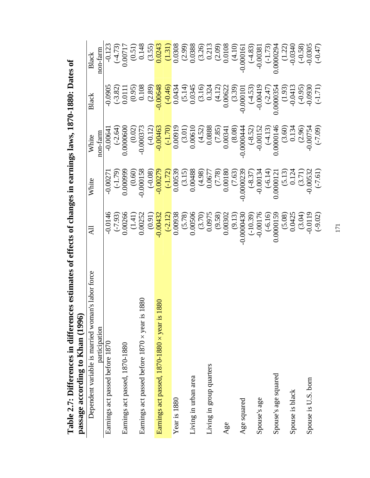| $\zeta$                                          |                                 |
|--------------------------------------------------|---------------------------------|
|                                                  |                                 |
| 1070 1000. Detect                                |                                 |
|                                                  |                                 |
| ı                                                |                                 |
|                                                  |                                 |
| $\frac{1}{2}$                                    |                                 |
|                                                  |                                 |
|                                                  |                                 |
|                                                  |                                 |
|                                                  |                                 |
|                                                  |                                 |
|                                                  |                                 |
|                                                  |                                 |
|                                                  |                                 |
| $\alpha$ of change in an animal same is $\alpha$ |                                 |
| $-$                                              |                                 |
|                                                  |                                 |
| こくしんしょう                                          |                                 |
|                                                  |                                 |
|                                                  |                                 |
| さく こくさ                                           |                                 |
|                                                  |                                 |
|                                                  |                                 |
| es in differ                                     |                                 |
|                                                  |                                 |
| ċ<br>Ç                                           |                                 |
|                                                  |                                 |
|                                                  |                                 |
| Table 2.7: Differer<br>$\blacksquare$            | Assage according to Khan (1770) |
|                                                  |                                 |
|                                                  |                                 |
|                                                  |                                 |

| es estimates of effects of changes in earnings laws, 1870-1880: Dates of<br>Table 2.7: Differences in difference<br>passage according to Khan (1996) |                           |                                        |                                                   |                                                        |                                                                                         |
|------------------------------------------------------------------------------------------------------------------------------------------------------|---------------------------|----------------------------------------|---------------------------------------------------|--------------------------------------------------------|-----------------------------------------------------------------------------------------|
| n's labor force<br>Dependent variable is married womar                                                                                               | Ę                         | White                                  | White                                             | Black                                                  | Black                                                                                   |
| participation                                                                                                                                        |                           |                                        | non-farm                                          |                                                        | non-farm                                                                                |
| Earnings act passed before 1870                                                                                                                      |                           | $-0.0027$                              | $-0.0064$                                         | $-0.0905$                                              |                                                                                         |
|                                                                                                                                                      | $-0.0146$<br>$(-7.93)$    | $(1.79)$<br>0.000999                   | $(-2.64)$                                         | $(-3.82)$                                              | $(-4.73)$                                                                               |
| Earnings act passed, 1870-1880                                                                                                                       | 0.00266                   |                                        | 0.0000600                                         | 0.011                                                  | 0.00717                                                                                 |
|                                                                                                                                                      |                           | $(0.60)$                               | (0.02)                                            | (0.95)                                                 | (0.51)                                                                                  |
| 880<br>Earnings act passed before $1870 \times$ year is 1                                                                                            | $(1.41)$<br>$0.00252$     | $-0.000158$                            | $-0.00037$                                        | $\frac{0.108}{(2.89)}$                                 | 0.148                                                                                   |
|                                                                                                                                                      | (0.91)                    | $(-0.08)$                              | $(-0.12)$                                         |                                                        | $\frac{(3.55)}{0.0243}$                                                                 |
| 880<br>Earnings act passed, 1870-1880 × year is 1                                                                                                    | $-0.00432$                | $-0.0027$                              | $-0.00463$                                        | $-0.00648$                                             |                                                                                         |
|                                                                                                                                                      | $\frac{(-2.12)}{0.00938}$ | $\frac{(-1.72)}{0.00539}$              | $\frac{(-1.70)}{(0.00919)}$                       |                                                        |                                                                                         |
| Year is 1880                                                                                                                                         |                           |                                        |                                                   | $\frac{(0.46)}{(0.0434)}$<br>0.0434<br>5.14)<br>0.0345 | $\frac{(1.31)}{0.0308}$                                                                 |
|                                                                                                                                                      | $(5.78)$<br>$0.00506$     | $(3.15)$<br>0.00488                    | $(3.01)$<br>$0.00610$                             |                                                        |                                                                                         |
| Living in urban area                                                                                                                                 |                           |                                        |                                                   |                                                        |                                                                                         |
|                                                                                                                                                      | $(3.70)$<br>0.0975        | $(4.98)$<br>0.0677<br>0.077<br>0.00180 | $(4.52)$<br>0.0888<br>0.0888<br>(7.85)<br>0.00341 | $(3.16)$<br>0.324<br>0.324<br>(4.12)<br>0.00622        | $\begin{array}{c} (2.99) \\ 0.0388 \\ (3.26) \\ 0.213 \\ (2.09) \\ (0.0108 \end{array}$ |
| Living in group quarters                                                                                                                             |                           |                                        |                                                   |                                                        |                                                                                         |
|                                                                                                                                                      | $(9.58)$<br>0.00302       |                                        |                                                   |                                                        |                                                                                         |
| Age                                                                                                                                                  |                           |                                        |                                                   |                                                        |                                                                                         |
|                                                                                                                                                      | (9.13)                    | $(7.63)$<br>$-0.0000239$               |                                                   | $(3.39)$<br>-0.000101                                  | (4.10)                                                                                  |
| Age squared                                                                                                                                          | $-0.0000430$              |                                        |                                                   |                                                        | $-0.00016$                                                                              |
|                                                                                                                                                      | $(-10.39)$<br>-0.00176    | $(-8.37)$<br>-0.00134                  | $(-8.52)$<br>-0.00152                             | $(-4.53)$<br>-0.00419                                  | $(-4.83)$                                                                               |
| Spouse's age                                                                                                                                         |                           |                                        |                                                   |                                                        | $-0.0038$                                                                               |
|                                                                                                                                                      | $(-6.16)$<br>0.0000159    | $(-6.14)$<br>0.0000121                 |                                                   |                                                        | $(-1.73)$                                                                               |
| Spouse's age squared                                                                                                                                 |                           |                                        | $(-4.13)$<br>0.0000146                            | $(-2.47)$<br>0.0000354                                 | 0.0000294                                                                               |
|                                                                                                                                                      | $(5.08)$<br>0.0425        |                                        | $(3.60)$<br>0.134                                 | $(1.93)$<br>$-0.0413$                                  | $(1.22)$<br>-0.0340                                                                     |
| Spouse is black                                                                                                                                      |                           |                                        |                                                   |                                                        |                                                                                         |
|                                                                                                                                                      |                           | $(5.13)$<br>0.124<br>(3.71)<br>(3.71)  | (2.96)                                            |                                                        | $(-0.58)$                                                                               |
| Spouse is U.S. born                                                                                                                                  | $(3.04)$<br>0.0119        |                                        | $-0.00754$                                        | $(6.00-0.00)$                                          | $-0.0305$                                                                               |
|                                                                                                                                                      | $(-9.02)$                 | $(-7.61)$                              | $(-7.09)$                                         | $(-1.71)$                                              | $(-0.47)$                                                                               |
|                                                                                                                                                      |                           |                                        |                                                   |                                                        |                                                                                         |
|                                                                                                                                                      | $\overline{171}$          |                                        |                                                   |                                                        |                                                                                         |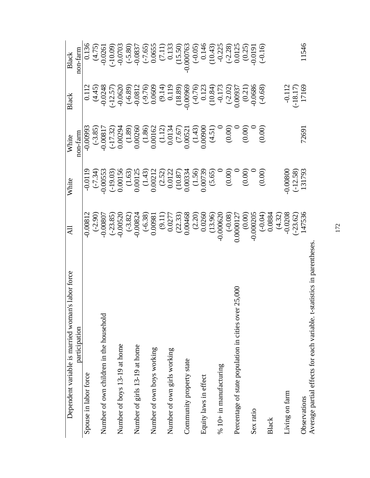| 's labor force<br>Dependent variable is married woman                  | $\Xi$                                                                                                                                                                                                                                                                                                           | White                                                                                                                                                                                                                                                                                         | White                                                                                                                                                                                                                                                                | <b>Black</b>                                                                                                                                                                                                                                                                                                              | Black                                                                                                                                                                                                             |
|------------------------------------------------------------------------|-----------------------------------------------------------------------------------------------------------------------------------------------------------------------------------------------------------------------------------------------------------------------------------------------------------------|-----------------------------------------------------------------------------------------------------------------------------------------------------------------------------------------------------------------------------------------------------------------------------------------------|----------------------------------------------------------------------------------------------------------------------------------------------------------------------------------------------------------------------------------------------------------------------|---------------------------------------------------------------------------------------------------------------------------------------------------------------------------------------------------------------------------------------------------------------------------------------------------------------------------|-------------------------------------------------------------------------------------------------------------------------------------------------------------------------------------------------------------------|
| participation                                                          |                                                                                                                                                                                                                                                                                                                 |                                                                                                                                                                                                                                                                                               | non-farm                                                                                                                                                                                                                                                             |                                                                                                                                                                                                                                                                                                                           | non-farm                                                                                                                                                                                                          |
| Spouse in labor force                                                  | 0.00812                                                                                                                                                                                                                                                                                                         | $-0.0119$                                                                                                                                                                                                                                                                                     | £6600'0                                                                                                                                                                                                                                                              |                                                                                                                                                                                                                                                                                                                           | 0.136                                                                                                                                                                                                             |
|                                                                        |                                                                                                                                                                                                                                                                                                                 | $\begin{array}{l} (-7.34) \\ (-9.00553 \\ 0.00156 \\ 0.00156 \\ 0.0012 \\ 0.0012 \\ 0.0012 \\ 0.0012 \\ 0.0033 \\ 0.0033 \\ 0.00739 \\ 0.000739 \\ 0.000739 \\ 0.000739 \\ 0.00000 \\ 0.00000 \\ 0.00000 \\ 0.0000 \\ 0.0000 \\ 0.0000 \\ 0.0000 \\ 0.0000 \\ 0.0000 \\ 0.0000 \\ 0.0000 \\ $ |                                                                                                                                                                                                                                                                      | $\begin{array}{c} 0.112 \\ 0.45 \\ 4.45 \\ -0.0620 \\ -0.0630 \\ -0.0600 \\ -0.0600 \\ -0.0600 \\ -0.0000 \\ -0.0000 \\ -0.0000 \\ -0.0000 \\ -0.0000 \\ -0.0000 \\ -0.0000 \\ -0.0000 \\ -0.0000 \\ -0.0000 \\ -0.0000 \\ -0.0000 \\ -0.000 \\ -0.000 \\ -0.000 \\ -0.000 \\ -0.000 \\ -0.000 \\ -0.000 \\ -0.000 \\ -0$ | $(4.75)$ $(0.0261$ $(0.09)$ $(0.037)$ $(0.0837)$ $(0.0855)$ $(0.055)$ $(0.055)$ $(0.000763)$ $(0.000763)$ $(0.000763)$ $(0.000763)$ $(0.000763)$ $(0.000763)$ $(0.0143)$ $(0.0125)$ $(0.015)$ $(0.015)$ $(0.015)$ |
| Number of own children in the household                                |                                                                                                                                                                                                                                                                                                                 |                                                                                                                                                                                                                                                                                               |                                                                                                                                                                                                                                                                      |                                                                                                                                                                                                                                                                                                                           |                                                                                                                                                                                                                   |
|                                                                        |                                                                                                                                                                                                                                                                                                                 |                                                                                                                                                                                                                                                                                               |                                                                                                                                                                                                                                                                      |                                                                                                                                                                                                                                                                                                                           |                                                                                                                                                                                                                   |
| Number of boys 13-19 at home                                           |                                                                                                                                                                                                                                                                                                                 |                                                                                                                                                                                                                                                                                               | $\begin{array}{l} (3.85)\\ -0.00817\\ -0.00294\\ 0.00260\\ 0.00260\\ 0.00162\\ 0.00162\\ 0.00162\\ 0.00134\\ 0.00360\\ 0.00134\\ 0.00360\\ 0.00361\\ 0.00360\\ 0.0000\\ 0.0000\\ 0.0000\\ 0.0000\\ 0.000\\ 0.000\\ 0.000\\ 0.000\\ 0.000\\ 0.000\\ 0.000\\ 0.000\\ $ |                                                                                                                                                                                                                                                                                                                           |                                                                                                                                                                                                                   |
|                                                                        |                                                                                                                                                                                                                                                                                                                 |                                                                                                                                                                                                                                                                                               |                                                                                                                                                                                                                                                                      |                                                                                                                                                                                                                                                                                                                           |                                                                                                                                                                                                                   |
| Number of girls 13-19 at home                                          |                                                                                                                                                                                                                                                                                                                 |                                                                                                                                                                                                                                                                                               |                                                                                                                                                                                                                                                                      |                                                                                                                                                                                                                                                                                                                           |                                                                                                                                                                                                                   |
|                                                                        |                                                                                                                                                                                                                                                                                                                 |                                                                                                                                                                                                                                                                                               |                                                                                                                                                                                                                                                                      |                                                                                                                                                                                                                                                                                                                           |                                                                                                                                                                                                                   |
| Number of own boys working                                             |                                                                                                                                                                                                                                                                                                                 |                                                                                                                                                                                                                                                                                               |                                                                                                                                                                                                                                                                      |                                                                                                                                                                                                                                                                                                                           |                                                                                                                                                                                                                   |
|                                                                        |                                                                                                                                                                                                                                                                                                                 |                                                                                                                                                                                                                                                                                               |                                                                                                                                                                                                                                                                      |                                                                                                                                                                                                                                                                                                                           |                                                                                                                                                                                                                   |
| Number of own girls working                                            |                                                                                                                                                                                                                                                                                                                 |                                                                                                                                                                                                                                                                                               |                                                                                                                                                                                                                                                                      |                                                                                                                                                                                                                                                                                                                           |                                                                                                                                                                                                                   |
|                                                                        |                                                                                                                                                                                                                                                                                                                 |                                                                                                                                                                                                                                                                                               |                                                                                                                                                                                                                                                                      |                                                                                                                                                                                                                                                                                                                           |                                                                                                                                                                                                                   |
| Community property state                                               |                                                                                                                                                                                                                                                                                                                 |                                                                                                                                                                                                                                                                                               |                                                                                                                                                                                                                                                                      |                                                                                                                                                                                                                                                                                                                           |                                                                                                                                                                                                                   |
|                                                                        |                                                                                                                                                                                                                                                                                                                 |                                                                                                                                                                                                                                                                                               |                                                                                                                                                                                                                                                                      |                                                                                                                                                                                                                                                                                                                           |                                                                                                                                                                                                                   |
| Equity laws in effect                                                  |                                                                                                                                                                                                                                                                                                                 |                                                                                                                                                                                                                                                                                               |                                                                                                                                                                                                                                                                      |                                                                                                                                                                                                                                                                                                                           |                                                                                                                                                                                                                   |
|                                                                        |                                                                                                                                                                                                                                                                                                                 |                                                                                                                                                                                                                                                                                               |                                                                                                                                                                                                                                                                      |                                                                                                                                                                                                                                                                                                                           |                                                                                                                                                                                                                   |
| $% 10+$ in manufacturing                                               |                                                                                                                                                                                                                                                                                                                 |                                                                                                                                                                                                                                                                                               |                                                                                                                                                                                                                                                                      |                                                                                                                                                                                                                                                                                                                           |                                                                                                                                                                                                                   |
|                                                                        |                                                                                                                                                                                                                                                                                                                 |                                                                                                                                                                                                                                                                                               |                                                                                                                                                                                                                                                                      |                                                                                                                                                                                                                                                                                                                           |                                                                                                                                                                                                                   |
| 25,000<br>Percentage of state population in cities over                |                                                                                                                                                                                                                                                                                                                 |                                                                                                                                                                                                                                                                                               |                                                                                                                                                                                                                                                                      |                                                                                                                                                                                                                                                                                                                           |                                                                                                                                                                                                                   |
|                                                                        |                                                                                                                                                                                                                                                                                                                 |                                                                                                                                                                                                                                                                                               |                                                                                                                                                                                                                                                                      |                                                                                                                                                                                                                                                                                                                           |                                                                                                                                                                                                                   |
| Sex ratio                                                              |                                                                                                                                                                                                                                                                                                                 |                                                                                                                                                                                                                                                                                               |                                                                                                                                                                                                                                                                      |                                                                                                                                                                                                                                                                                                                           |                                                                                                                                                                                                                   |
|                                                                        |                                                                                                                                                                                                                                                                                                                 |                                                                                                                                                                                                                                                                                               |                                                                                                                                                                                                                                                                      |                                                                                                                                                                                                                                                                                                                           |                                                                                                                                                                                                                   |
| Black                                                                  |                                                                                                                                                                                                                                                                                                                 |                                                                                                                                                                                                                                                                                               |                                                                                                                                                                                                                                                                      |                                                                                                                                                                                                                                                                                                                           |                                                                                                                                                                                                                   |
|                                                                        |                                                                                                                                                                                                                                                                                                                 |                                                                                                                                                                                                                                                                                               |                                                                                                                                                                                                                                                                      |                                                                                                                                                                                                                                                                                                                           |                                                                                                                                                                                                                   |
| Living on farm                                                         | $\begin{array}{l} (-2.90) \\[-2.3ex] -0.00807 \\[-2.3ex] -0.00520 \\[-2.3ex] -0.00520 \\[-2.3ex] -0.00824 \\[-2.3ex] -0.0081 \\[-2.3ex] -0.00468 \\[-2.3ex] -0.00468 \\[-2.3ex] -0.00468 \\[-2.3ex] -0.000620 \\[-2.3ex] -0.000620 \\[-2.3ex] -0.00000 \\[-2.3ex] -0.00000 \\[-2.3ex] -0.00000 \\[-2.3ex] -0.0$ | 0.00800<br>(-12.58)<br>131793                                                                                                                                                                                                                                                                 |                                                                                                                                                                                                                                                                      | $-0.112$<br>$(-18.17)$<br>$17169$                                                                                                                                                                                                                                                                                         |                                                                                                                                                                                                                   |
|                                                                        |                                                                                                                                                                                                                                                                                                                 |                                                                                                                                                                                                                                                                                               |                                                                                                                                                                                                                                                                      |                                                                                                                                                                                                                                                                                                                           |                                                                                                                                                                                                                   |
| Observations                                                           |                                                                                                                                                                                                                                                                                                                 |                                                                                                                                                                                                                                                                                               | 72691                                                                                                                                                                                                                                                                |                                                                                                                                                                                                                                                                                                                           | 11546                                                                                                                                                                                                             |
| Average partial effects for each variable. t-statistics in parentheses |                                                                                                                                                                                                                                                                                                                 |                                                                                                                                                                                                                                                                                               |                                                                                                                                                                                                                                                                      |                                                                                                                                                                                                                                                                                                                           |                                                                                                                                                                                                                   |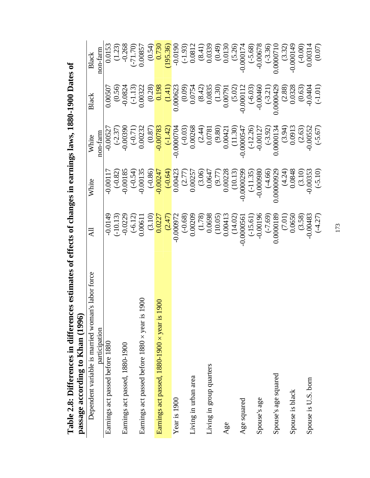| r<br>S                                         |                               |
|------------------------------------------------|-------------------------------|
|                                                |                               |
|                                                |                               |
| $\sim$                                         |                               |
|                                                |                               |
|                                                |                               |
| <br> <br> }                                    |                               |
|                                                |                               |
|                                                |                               |
|                                                |                               |
|                                                |                               |
| $\overline{\phantom{a}}$                       |                               |
|                                                |                               |
|                                                |                               |
|                                                |                               |
| atimates of affaots of changes in earnings law |                               |
| $\frac{1}{2}$                                  |                               |
|                                                |                               |
|                                                |                               |
|                                                |                               |
|                                                |                               |
|                                                |                               |
|                                                |                               |
| C<br>C<br>C<br>C                               |                               |
|                                                |                               |
|                                                |                               |
|                                                |                               |
|                                                |                               |
|                                                |                               |
|                                                |                               |
|                                                |                               |
|                                                |                               |
|                                                |                               |
| Table 2.8: Differences in differ               | passage according to Khan (1) |
|                                                |                               |
|                                                |                               |
|                                                |                               |

| Table 2.8: Differences in differences<br>passage according to Khan (1996) | estimates of effects of changes in earnings laws, 1880-1900 Dates of     |                       |                                                                             |                                                                                  |                        |
|---------------------------------------------------------------------------|--------------------------------------------------------------------------|-----------------------|-----------------------------------------------------------------------------|----------------------------------------------------------------------------------|------------------------|
| abor force<br>Dependent variable is married woman's                       | $\overline{AB}$                                                          | White                 | White                                                                       | <b>Black</b>                                                                     | Black                  |
| participation                                                             |                                                                          |                       | non-farm                                                                    |                                                                                  | non-farm               |
| Earnings act passed before 1880                                           | $-0.0149$                                                                | $-0.0011'$            | $-0.00527$                                                                  | 0.00507                                                                          | 0.0153                 |
|                                                                           | $(-10.13)$                                                               | $(-0.82)$             | $(-2.37)$                                                                   |                                                                                  | (1.23)                 |
| Earnings act passed, 1880-1900                                            | $-0.0229$                                                                | $-0.00185$            | $-0.0039$                                                                   | $(0.56)$<br>$-0.0824$                                                            | $-0.268$               |
|                                                                           | $(-6.12)$                                                                |                       |                                                                             | $(-1.13)$                                                                        | $(-71.70)$             |
| Earnings act passed before 1880 x year is 190                             | 0.00611                                                                  | $(-0.54)$<br>-0.00135 | $(-0.71)$<br>0.00232                                                        | 0.00322                                                                          | 0.00857                |
|                                                                           | (3.10)                                                                   | $(-0.86)$             | (0.87)                                                                      | (0.28)                                                                           | (0.54)                 |
| Earnings act passed, 1880-1900 × year is 1900                             | 0.0227                                                                   | $-0.00247$            | $-0.00783$                                                                  | 0.198                                                                            | 0.730                  |
|                                                                           | $(2.47)$<br>-0.000972                                                    | $(-0.64)$             | $-0.0000704$                                                                | $(1.41)$<br>0.000623                                                             | (195.36)               |
| Year is 1900                                                              |                                                                          | 0.00423               |                                                                             |                                                                                  | $-0.0190$              |
|                                                                           | $(-0.68)$<br>0.00209                                                     | $(2.77)$<br>$0.00257$ | $(-0.03)$<br>0.00268                                                        |                                                                                  | $(-1.93)$              |
| Living in urban area                                                      |                                                                          |                       |                                                                             |                                                                                  | 0.0812                 |
|                                                                           | $(1.78)$<br>0.0698                                                       | $(3.06)$<br>0.0647    | $(2.44)$<br>0.0781                                                          |                                                                                  | $(8.41)$<br>0.0339     |
| Living in group quarters                                                  |                                                                          |                       |                                                                             | $\begin{array}{c} (0.09) \\ 0.0754 \\ (8.42) \\ 0.0835 \\ (1.30) \\ \end{array}$ |                        |
|                                                                           |                                                                          | $(6.77)$<br>0.00228   | $(0.80)$<br>0.00421                                                         |                                                                                  | $(0.49)$<br>0.0130     |
| Age                                                                       |                                                                          |                       |                                                                             | 0.00791                                                                          |                        |
|                                                                           |                                                                          | (10.13)               |                                                                             | $(5.02)$<br>-0.000112                                                            | $(5.26)$<br>0.000174   |
| Age squared                                                               | $\begin{array}{c} (10.05) \\ 0.00413 \\ (14.02) \\ 0.000561 \end{array}$ | 0.0000299             |                                                                             |                                                                                  |                        |
|                                                                           | $(-15.61)$<br>-0.00196                                                   | $(-11.35)$            | $\begin{array}{c} (11.30) \\ -0.000547 \\ (-12.26) \\ -0.00127 \end{array}$ | $(-6.03)$                                                                        | $(-5.68)$              |
| Spouse's age                                                              |                                                                          | $-0.000980$           |                                                                             | $-0.00460$                                                                       | $-0.00678$             |
|                                                                           | $(-7.69)$<br>0.0000189                                                   | $(-4.66)$             | $(-3.92)$<br>0.0000134                                                      | $(-3.21)$<br>0.0000429                                                           | $(-3.36)$<br>0.0000710 |
| Spouse's age squared                                                      |                                                                          | 0.00000025            |                                                                             |                                                                                  |                        |
|                                                                           | $(7.01)$<br>$0.0650$                                                     | $(4.24)$<br>0.0848    | $(3.94)$<br>0.0913                                                          | $(2.88)$<br>$0.0328$                                                             | (3.32)                 |
| Spouse is black                                                           |                                                                          |                       |                                                                             |                                                                                  | $-0.000149$            |
|                                                                           |                                                                          | (3.10)                |                                                                             |                                                                                  |                        |
| Spouse is U.S. born                                                       | $(3.58)$<br>$-0.00483$                                                   | 0.00353               | $(2.63)$<br>$-0.00552$                                                      | $(0.63)$<br>$-0.0404$                                                            | $(-0.00)$<br>0.00314   |
|                                                                           | $(-4.27)$                                                                | $(-5.10)$             | $(-5.67)$                                                                   | $(-1.01)$                                                                        | (0.07)                 |
|                                                                           |                                                                          |                       |                                                                             |                                                                                  |                        |
|                                                                           | 173                                                                      |                       |                                                                             |                                                                                  |                        |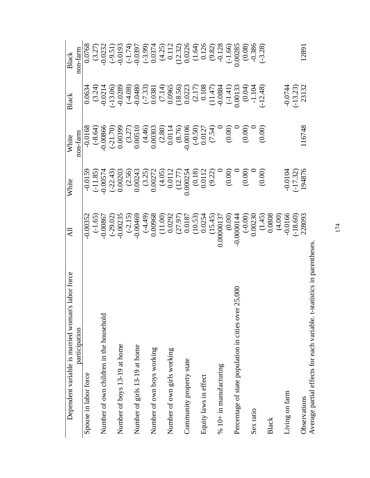| s labor force<br>Dependent variable is married woman                   | 굯                                                                                                                                                                                                                          | White                                                                                                                                                                                                                                                                                        | White                                                                                                                                                                                                                                                                                                   | Black                                                                                                                                                                                                                                                                                                                                                  | Black                                                                                                                                                                                                                          |
|------------------------------------------------------------------------|----------------------------------------------------------------------------------------------------------------------------------------------------------------------------------------------------------------------------|----------------------------------------------------------------------------------------------------------------------------------------------------------------------------------------------------------------------------------------------------------------------------------------------|---------------------------------------------------------------------------------------------------------------------------------------------------------------------------------------------------------------------------------------------------------------------------------------------------------|--------------------------------------------------------------------------------------------------------------------------------------------------------------------------------------------------------------------------------------------------------------------------------------------------------------------------------------------------------|--------------------------------------------------------------------------------------------------------------------------------------------------------------------------------------------------------------------------------|
| participation                                                          |                                                                                                                                                                                                                            |                                                                                                                                                                                                                                                                                              | non-farm                                                                                                                                                                                                                                                                                                |                                                                                                                                                                                                                                                                                                                                                        | non-farm                                                                                                                                                                                                                       |
| Spouse in labor force                                                  | 0.00352                                                                                                                                                                                                                    | $-0.0159$                                                                                                                                                                                                                                                                                    | 8910.0                                                                                                                                                                                                                                                                                                  | 0.0634                                                                                                                                                                                                                                                                                                                                                 | 0.0768                                                                                                                                                                                                                         |
|                                                                        |                                                                                                                                                                                                                            |                                                                                                                                                                                                                                                                                              |                                                                                                                                                                                                                                                                                                         |                                                                                                                                                                                                                                                                                                                                                        |                                                                                                                                                                                                                                |
| Number of own children in the household                                | $(-1.65)$<br>-0.00867                                                                                                                                                                                                      |                                                                                                                                                                                                                                                                                              |                                                                                                                                                                                                                                                                                                         | $(3.24)$<br>$-0.0214$                                                                                                                                                                                                                                                                                                                                  |                                                                                                                                                                                                                                |
|                                                                        |                                                                                                                                                                                                                            |                                                                                                                                                                                                                                                                                              |                                                                                                                                                                                                                                                                                                         |                                                                                                                                                                                                                                                                                                                                                        |                                                                                                                                                                                                                                |
| Number of boys 13-19 at home                                           |                                                                                                                                                                                                                            |                                                                                                                                                                                                                                                                                              |                                                                                                                                                                                                                                                                                                         |                                                                                                                                                                                                                                                                                                                                                        |                                                                                                                                                                                                                                |
|                                                                        |                                                                                                                                                                                                                            |                                                                                                                                                                                                                                                                                              | $(-8.64)$<br>$(-8.64)$<br>$(-3.70)$<br>$(-3.7)$<br>$(-3.7)$<br>$(-3.7)$<br>$(-3.7)$<br>$(-3.7)$<br>$(-3.7)$<br>$(-3.7)$<br>$(-3.7)$<br>$(-3.7)$<br>$(-3.7)$<br>$(-3.7)$<br>$(-3.7)$<br>$(-3.7)$<br>$(-3.7)$<br>$(-3.7)$<br>$(-3.7)$<br>$(-3.7)$<br>$(-3.7)$<br>$(-3.7)$<br>$(-3.7)$<br>$(-3.7)$<br>$(-$ | $\begin{array}{l} (13.06) \\ (-13.08) \\ (-4.08) \\ (-7.33) \\ (-7.33) \\ 0.0381 \\ (1.47) \\ (1.47) \\ (1.47) \\ (1.47) \\ (1.47) \\ (1.49) \\ (-1.49) \\ (-1.49) \\ (-1.43) \\ (-1.48) \\ (-1.49) \\ (-1.49) \\ (-1.49) \\ (-1.49) \\ (-1.49) \\ (-1.49) \\ (-1.49) \\ (-1.49) \\ (-1.49) \\ (-1.49) \\ (-1.49) \\ (-1.49) \\ (-1.49) \\ (-1.49) \\$ | $(3.27)$ $(9.51)$ $(9.51)$ $(9.51)$ $(9.51)$ $(9.51)$ $(9.51)$ $(9.51)$ $(9.51)$ $(9.51)$ $(9.51)$ $(9.51)$ $(9.51)$ $(9.51)$ $(9.51)$ $(9.51)$ $(9.51)$ $(9.51)$ $(9.51)$ $(9.52)$ $(9.51)$ $(9.52)$ $(9.53)$ $(9.53)$ $(9.5$ |
| Number of girls 13-19 at home                                          |                                                                                                                                                                                                                            |                                                                                                                                                                                                                                                                                              |                                                                                                                                                                                                                                                                                                         |                                                                                                                                                                                                                                                                                                                                                        |                                                                                                                                                                                                                                |
|                                                                        |                                                                                                                                                                                                                            |                                                                                                                                                                                                                                                                                              |                                                                                                                                                                                                                                                                                                         |                                                                                                                                                                                                                                                                                                                                                        |                                                                                                                                                                                                                                |
| Number of own boys working                                             |                                                                                                                                                                                                                            |                                                                                                                                                                                                                                                                                              |                                                                                                                                                                                                                                                                                                         |                                                                                                                                                                                                                                                                                                                                                        |                                                                                                                                                                                                                                |
|                                                                        |                                                                                                                                                                                                                            |                                                                                                                                                                                                                                                                                              |                                                                                                                                                                                                                                                                                                         |                                                                                                                                                                                                                                                                                                                                                        |                                                                                                                                                                                                                                |
| Number of own girls working                                            |                                                                                                                                                                                                                            |                                                                                                                                                                                                                                                                                              |                                                                                                                                                                                                                                                                                                         |                                                                                                                                                                                                                                                                                                                                                        |                                                                                                                                                                                                                                |
|                                                                        |                                                                                                                                                                                                                            |                                                                                                                                                                                                                                                                                              |                                                                                                                                                                                                                                                                                                         |                                                                                                                                                                                                                                                                                                                                                        |                                                                                                                                                                                                                                |
| Community property state                                               |                                                                                                                                                                                                                            |                                                                                                                                                                                                                                                                                              |                                                                                                                                                                                                                                                                                                         |                                                                                                                                                                                                                                                                                                                                                        |                                                                                                                                                                                                                                |
|                                                                        |                                                                                                                                                                                                                            |                                                                                                                                                                                                                                                                                              |                                                                                                                                                                                                                                                                                                         |                                                                                                                                                                                                                                                                                                                                                        |                                                                                                                                                                                                                                |
| Equity laws in effect                                                  |                                                                                                                                                                                                                            |                                                                                                                                                                                                                                                                                              |                                                                                                                                                                                                                                                                                                         |                                                                                                                                                                                                                                                                                                                                                        |                                                                                                                                                                                                                                |
|                                                                        |                                                                                                                                                                                                                            |                                                                                                                                                                                                                                                                                              |                                                                                                                                                                                                                                                                                                         |                                                                                                                                                                                                                                                                                                                                                        |                                                                                                                                                                                                                                |
| $% 10+$ in manufacturing                                               |                                                                                                                                                                                                                            |                                                                                                                                                                                                                                                                                              |                                                                                                                                                                                                                                                                                                         |                                                                                                                                                                                                                                                                                                                                                        |                                                                                                                                                                                                                                |
|                                                                        |                                                                                                                                                                                                                            |                                                                                                                                                                                                                                                                                              |                                                                                                                                                                                                                                                                                                         |                                                                                                                                                                                                                                                                                                                                                        |                                                                                                                                                                                                                                |
| 25,000<br>Percentage of state population in cities over                |                                                                                                                                                                                                                            |                                                                                                                                                                                                                                                                                              |                                                                                                                                                                                                                                                                                                         |                                                                                                                                                                                                                                                                                                                                                        |                                                                                                                                                                                                                                |
|                                                                        |                                                                                                                                                                                                                            |                                                                                                                                                                                                                                                                                              |                                                                                                                                                                                                                                                                                                         |                                                                                                                                                                                                                                                                                                                                                        | $(0.08)$<br>0.386                                                                                                                                                                                                              |
| Sex ratio                                                              |                                                                                                                                                                                                                            |                                                                                                                                                                                                                                                                                              |                                                                                                                                                                                                                                                                                                         |                                                                                                                                                                                                                                                                                                                                                        |                                                                                                                                                                                                                                |
|                                                                        |                                                                                                                                                                                                                            | $\begin{array}{l} (-11.85) \\ -0.00574 \\ 0.00203 \\ 0.00243 \\ 0.00243 \\ 0.00272 \\ 0.00272 \\ 0.00112 \\ 0.0112 \\ 0.00134 \\ 0.0112 \\ 0.00112 \\ 0.0112 \\ 0.00112 \\ 0.00112 \\ 0.000354 \\ 0.000354 \\ 0.0000 \\ 0.0000 \\ 0.0000 \\ 0.0000 \\ 0.000 \\ 0.000 \\ 0.000 \\ 0.000 \\ 0$ |                                                                                                                                                                                                                                                                                                         |                                                                                                                                                                                                                                                                                                                                                        | $(-3.28)$                                                                                                                                                                                                                      |
| Black                                                                  |                                                                                                                                                                                                                            |                                                                                                                                                                                                                                                                                              |                                                                                                                                                                                                                                                                                                         |                                                                                                                                                                                                                                                                                                                                                        |                                                                                                                                                                                                                                |
|                                                                        |                                                                                                                                                                                                                            |                                                                                                                                                                                                                                                                                              |                                                                                                                                                                                                                                                                                                         |                                                                                                                                                                                                                                                                                                                                                        |                                                                                                                                                                                                                                |
| Living on farm                                                         | $(29.02)$ $(30.00235)$ $(3.15)$ $(4.49)$ $(0.00469)$ $(11.00)$ $(0.00468)$ $(11.00)$ $(0.00322)$ $(10.53)$ $(15.45)$ $(15.45)$ $(15.45)$ $(0.0000137)$ $(0.000014)$ $(0.000014)$ $(0.0000014)$ $(0.0000014)$ $(0.0000000)$ | $-0.0104$<br>$(-17.32)$<br>$194876$                                                                                                                                                                                                                                                          |                                                                                                                                                                                                                                                                                                         | $-0.0744$<br>$(-13.23)$<br>$23132$                                                                                                                                                                                                                                                                                                                     |                                                                                                                                                                                                                                |
|                                                                        | $(-18.60)$<br>228093                                                                                                                                                                                                       |                                                                                                                                                                                                                                                                                              |                                                                                                                                                                                                                                                                                                         |                                                                                                                                                                                                                                                                                                                                                        |                                                                                                                                                                                                                                |
| Observations                                                           |                                                                                                                                                                                                                            |                                                                                                                                                                                                                                                                                              | 116748                                                                                                                                                                                                                                                                                                  |                                                                                                                                                                                                                                                                                                                                                        | 12891                                                                                                                                                                                                                          |
| Average partial effects for each variable. t-statistics in parentheses |                                                                                                                                                                                                                            |                                                                                                                                                                                                                                                                                              |                                                                                                                                                                                                                                                                                                         |                                                                                                                                                                                                                                                                                                                                                        |                                                                                                                                                                                                                                |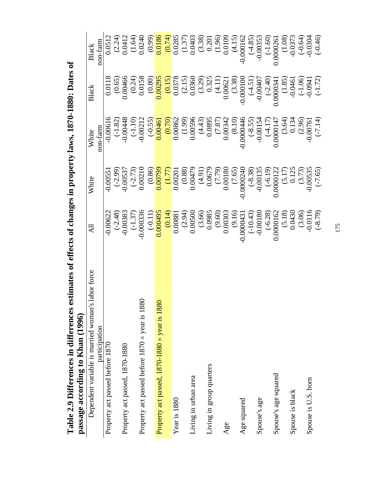Table 2.9 Differences in differences estimates of effects of changes in property laws, 1870-1880: Dates of passage according to Khan (1996) **Table 2.9 Differences in differences estimates of effects of changes in property laws, 1870-1880: Dates of passage according to Khan (1996)** 

| <b>DASSES ACCOLUTE OF NUMBER 33882</b>              |                                                                                                                                                                                                                                                                                         |                                                                                                                                                                                                                                                               |          |       |          |
|-----------------------------------------------------|-----------------------------------------------------------------------------------------------------------------------------------------------------------------------------------------------------------------------------------------------------------------------------------------|---------------------------------------------------------------------------------------------------------------------------------------------------------------------------------------------------------------------------------------------------------------|----------|-------|----------|
| abor force<br>Dependent variable is married woman's | Ę                                                                                                                                                                                                                                                                                       | White                                                                                                                                                                                                                                                         | White    | Black | Black    |
| participation                                       |                                                                                                                                                                                                                                                                                         |                                                                                                                                                                                                                                                               | non-farm |       | non-farm |
| Property act passed before 1870                     |                                                                                                                                                                                                                                                                                         |                                                                                                                                                                                                                                                               |          |       |          |
|                                                     |                                                                                                                                                                                                                                                                                         |                                                                                                                                                                                                                                                               |          |       |          |
| Property act passed, 1870-1880                      |                                                                                                                                                                                                                                                                                         |                                                                                                                                                                                                                                                               |          |       |          |
|                                                     |                                                                                                                                                                                                                                                                                         |                                                                                                                                                                                                                                                               |          |       |          |
| Property act passed before 1870 x year is 1880      |                                                                                                                                                                                                                                                                                         | 0.00551<br>(-2.99)<br>0.00537<br>(-2.73)<br>0.0021                                                                                                                                                                                                            |          |       |          |
|                                                     |                                                                                                                                                                                                                                                                                         |                                                                                                                                                                                                                                                               |          |       |          |
| Property act passed, 1870-1880 × year is 1880       | $\begin{array}{r} 0.00622\\ -2.48)\\ -0.00336\\ -0.00336\\ -0.00336\\ -0.00336\\ -0.00336\\ -0.00336\\ -0.00304\\ -0.00043\\ -0.000043\\ -0.000043\\ -0.000043\\ -0.00000\\ -0.00000\\ -0.00000\\ -0.00000\\ -0.00000\\ -0.00000\\ -0.0000\\ -0.0000\\ -0.0000\\ -0.0000\\ -0.0000\\ -$ | $(0.86) \atop (0.00799) \atop (0.00201) \atop (0.00479) \atop (0.00180) \atop (0.000001) \atop (0.000001) \atop (0.000001) \atop (0.000001) \atop (0.000001) \atop (0.00001) \atop (0.00001) \atop (0.00001) \atop (0.00001) \atop (0.00001) \atop (0.00535)$ |          |       |          |
|                                                     |                                                                                                                                                                                                                                                                                         |                                                                                                                                                                                                                                                               |          |       |          |
| Year is 1880                                        |                                                                                                                                                                                                                                                                                         |                                                                                                                                                                                                                                                               |          |       |          |
|                                                     |                                                                                                                                                                                                                                                                                         |                                                                                                                                                                                                                                                               |          |       |          |
| Living in urban area                                |                                                                                                                                                                                                                                                                                         |                                                                                                                                                                                                                                                               |          |       |          |
|                                                     |                                                                                                                                                                                                                                                                                         |                                                                                                                                                                                                                                                               |          |       |          |
| Living in group quarters                            |                                                                                                                                                                                                                                                                                         |                                                                                                                                                                                                                                                               |          |       |          |
|                                                     |                                                                                                                                                                                                                                                                                         |                                                                                                                                                                                                                                                               |          |       |          |
| Age                                                 |                                                                                                                                                                                                                                                                                         |                                                                                                                                                                                                                                                               |          |       |          |
|                                                     |                                                                                                                                                                                                                                                                                         |                                                                                                                                                                                                                                                               |          |       |          |
| Age squared                                         |                                                                                                                                                                                                                                                                                         |                                                                                                                                                                                                                                                               |          |       |          |
|                                                     |                                                                                                                                                                                                                                                                                         |                                                                                                                                                                                                                                                               |          |       |          |
| Spouse's age                                        |                                                                                                                                                                                                                                                                                         |                                                                                                                                                                                                                                                               |          |       |          |
|                                                     |                                                                                                                                                                                                                                                                                         |                                                                                                                                                                                                                                                               |          |       |          |
| Spouse's age squared                                |                                                                                                                                                                                                                                                                                         |                                                                                                                                                                                                                                                               |          |       |          |
|                                                     |                                                                                                                                                                                                                                                                                         |                                                                                                                                                                                                                                                               |          |       |          |
| Spouse is black                                     |                                                                                                                                                                                                                                                                                         |                                                                                                                                                                                                                                                               |          |       |          |
|                                                     |                                                                                                                                                                                                                                                                                         |                                                                                                                                                                                                                                                               |          |       |          |
| Spouse is U.S. born                                 |                                                                                                                                                                                                                                                                                         |                                                                                                                                                                                                                                                               |          |       |          |
|                                                     |                                                                                                                                                                                                                                                                                         |                                                                                                                                                                                                                                                               |          |       |          |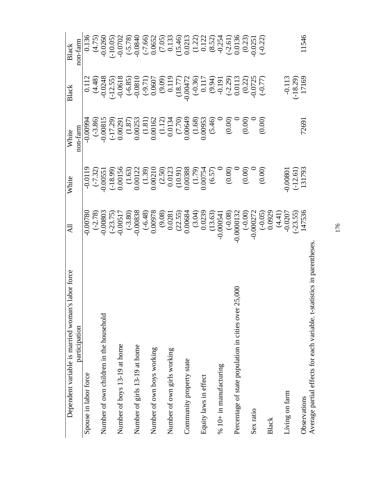| labor force<br>Dependent variable is married woman's                  | <b>All</b>                                                                                                                                                                                                                                                                                                                                                  | White                                                                                                                                                                                                                                                                                         | White                                                                                                                                                                                                  | Black                                                                                                                                                                                                                                                                                                          | Black                                                                                                                                                                                                                                                                                                                                                         |
|-----------------------------------------------------------------------|-------------------------------------------------------------------------------------------------------------------------------------------------------------------------------------------------------------------------------------------------------------------------------------------------------------------------------------------------------------|-----------------------------------------------------------------------------------------------------------------------------------------------------------------------------------------------------------------------------------------------------------------------------------------------|--------------------------------------------------------------------------------------------------------------------------------------------------------------------------------------------------------|----------------------------------------------------------------------------------------------------------------------------------------------------------------------------------------------------------------------------------------------------------------------------------------------------------------|---------------------------------------------------------------------------------------------------------------------------------------------------------------------------------------------------------------------------------------------------------------------------------------------------------------------------------------------------------------|
| participation                                                         |                                                                                                                                                                                                                                                                                                                                                             |                                                                                                                                                                                                                                                                                               | non-farm                                                                                                                                                                                               |                                                                                                                                                                                                                                                                                                                | non-farm                                                                                                                                                                                                                                                                                                                                                      |
| Spouse in labor force                                                 | 0.00780                                                                                                                                                                                                                                                                                                                                                     | $-0.0119$                                                                                                                                                                                                                                                                                     | $-0.00994$                                                                                                                                                                                             | 0.112                                                                                                                                                                                                                                                                                                          | 0.136                                                                                                                                                                                                                                                                                                                                                         |
|                                                                       |                                                                                                                                                                                                                                                                                                                                                             |                                                                                                                                                                                                                                                                                               |                                                                                                                                                                                                        |                                                                                                                                                                                                                                                                                                                | $(4.75)$<br>$-0.0260$                                                                                                                                                                                                                                                                                                                                         |
| Number of own children in the household                               |                                                                                                                                                                                                                                                                                                                                                             |                                                                                                                                                                                                                                                                                               |                                                                                                                                                                                                        |                                                                                                                                                                                                                                                                                                                |                                                                                                                                                                                                                                                                                                                                                               |
|                                                                       | $\begin{array}{l} \mbox{(-2.78)} \\ \mbox{(-23.75)} \\ \mbox{(-0.00803)} \\ \mbox{(-0.00517)} \\ \mbox{(-0.0053)} \\ \mbox{(-0.0058)} \\ \mbox{(0.00978)} \\ \mbox{(0.0088)} \\ \mbox{(0.0084)} \\ \mbox{(0.0084)} \\ \mbox{(0.0084)} \\ \mbox{(0.0084)} \\ \mbox{(0.0084)} \\ \mbox{(0.00054)} \\ \mbox{(0.00054)} \\ \mbox{(0.000132)} \\ \mbox{(0.00013$ | $\begin{array}{l} (-7.32) \\ (-3.20551 \\ 0.00156 \\ 0.00156 \\ 0.0012 \\ 0.0012 \\ 0.0012 \\ 0.0012 \\ 0.0012 \\ 0.0038 \\ 0.0038 \\ 0.00754 \\ 0.0007 \\ 0.0003 \\ 0.00038 \\ 0.000754 \\ 0.0000 \\ 0.0000 \\ 0.0000 \\ 0.0000 \\ 0.0000 \\ 0.0000 \\ 0.0000 \\ 0.0000 \\ 0.0000 \\ 0.0000$ | $(3.86)\n(3.80815\n(3.87)\n(3.87)\n(3.87)\n(3.88)\n(3.87)\n(3.87)\n(3.87)\n(3.88)\n(3.89)\n(3.80)\n(3.81)\n(3.81)\n(3.82)\n(3.81)\n(3.81)\n(3.82)\n(3.83)\n(3.84)\n(3.86)\n(3.88)\n(3.89)\n(3.89)\n(3$ | $(4.48) \\ 0.0248 \\ -0.0518 \\ -0.0618 \\ -0.0810 \\ -0.0607 \\ -0.0047 \\ -0.0047 \\ -0.0047 \\ -0.0047 \\ -0.0011 \\ -0.0013 \\ -0.0013 \\ -0.0013 \\ -0.0013 \\ -0.0013 \\ -0.0013 \\ -0.0013 \\ -0.0013 \\ -0.0013 \\ -0.0013 \\ -0.0013 \\ -0.0013 \\ -0.0013 \\ -0.0013 \\ -0.0013 \\ -0.0013 \\ -0.00$ | $\begin{array}{l} (-10.05) \\ (-5.78) \\ (-6.66) \\ (-7.66) \\ 0.0652 \\ 0.133 \\ (-1.21) \\ (-3.46) \\ (-1.21) \\ (-1.21) \\ (-1.21) \\ (-1.21) \\ (-1.21) \\ (-1.21) \\ (-1.21) \\ (-1.21) \\ (-1.21) \\ (-1.21) \\ (-1.21) \\ (-1.21) \\ (-1.21) \\ (-1.21) \\ (-1.21) \\ (-1.21) \\ (-1.21) \\ (-1.21) \\ (-1.21) \\ (-1.21) \\ (-1.21) \\ (-1.21) \\ (-$ |
| Number of boys 13-19 at home                                          |                                                                                                                                                                                                                                                                                                                                                             |                                                                                                                                                                                                                                                                                               |                                                                                                                                                                                                        |                                                                                                                                                                                                                                                                                                                |                                                                                                                                                                                                                                                                                                                                                               |
|                                                                       |                                                                                                                                                                                                                                                                                                                                                             |                                                                                                                                                                                                                                                                                               |                                                                                                                                                                                                        |                                                                                                                                                                                                                                                                                                                |                                                                                                                                                                                                                                                                                                                                                               |
| Number of girls 13-19 at home                                         |                                                                                                                                                                                                                                                                                                                                                             |                                                                                                                                                                                                                                                                                               |                                                                                                                                                                                                        |                                                                                                                                                                                                                                                                                                                |                                                                                                                                                                                                                                                                                                                                                               |
|                                                                       |                                                                                                                                                                                                                                                                                                                                                             |                                                                                                                                                                                                                                                                                               |                                                                                                                                                                                                        |                                                                                                                                                                                                                                                                                                                |                                                                                                                                                                                                                                                                                                                                                               |
| Number of own boys working                                            |                                                                                                                                                                                                                                                                                                                                                             |                                                                                                                                                                                                                                                                                               |                                                                                                                                                                                                        |                                                                                                                                                                                                                                                                                                                |                                                                                                                                                                                                                                                                                                                                                               |
|                                                                       |                                                                                                                                                                                                                                                                                                                                                             |                                                                                                                                                                                                                                                                                               |                                                                                                                                                                                                        |                                                                                                                                                                                                                                                                                                                |                                                                                                                                                                                                                                                                                                                                                               |
| Number of own girls working                                           |                                                                                                                                                                                                                                                                                                                                                             |                                                                                                                                                                                                                                                                                               |                                                                                                                                                                                                        |                                                                                                                                                                                                                                                                                                                |                                                                                                                                                                                                                                                                                                                                                               |
|                                                                       |                                                                                                                                                                                                                                                                                                                                                             |                                                                                                                                                                                                                                                                                               |                                                                                                                                                                                                        |                                                                                                                                                                                                                                                                                                                |                                                                                                                                                                                                                                                                                                                                                               |
| Community property state                                              |                                                                                                                                                                                                                                                                                                                                                             |                                                                                                                                                                                                                                                                                               |                                                                                                                                                                                                        |                                                                                                                                                                                                                                                                                                                |                                                                                                                                                                                                                                                                                                                                                               |
|                                                                       |                                                                                                                                                                                                                                                                                                                                                             |                                                                                                                                                                                                                                                                                               |                                                                                                                                                                                                        |                                                                                                                                                                                                                                                                                                                |                                                                                                                                                                                                                                                                                                                                                               |
| Equity laws in effect                                                 |                                                                                                                                                                                                                                                                                                                                                             |                                                                                                                                                                                                                                                                                               |                                                                                                                                                                                                        |                                                                                                                                                                                                                                                                                                                |                                                                                                                                                                                                                                                                                                                                                               |
|                                                                       |                                                                                                                                                                                                                                                                                                                                                             |                                                                                                                                                                                                                                                                                               |                                                                                                                                                                                                        |                                                                                                                                                                                                                                                                                                                |                                                                                                                                                                                                                                                                                                                                                               |
| $% 10+$ in manufacturing                                              |                                                                                                                                                                                                                                                                                                                                                             |                                                                                                                                                                                                                                                                                               |                                                                                                                                                                                                        |                                                                                                                                                                                                                                                                                                                |                                                                                                                                                                                                                                                                                                                                                               |
|                                                                       |                                                                                                                                                                                                                                                                                                                                                             |                                                                                                                                                                                                                                                                                               |                                                                                                                                                                                                        |                                                                                                                                                                                                                                                                                                                |                                                                                                                                                                                                                                                                                                                                                               |
| .5,000<br>Percentage of state population in cities over 2             |                                                                                                                                                                                                                                                                                                                                                             |                                                                                                                                                                                                                                                                                               |                                                                                                                                                                                                        |                                                                                                                                                                                                                                                                                                                |                                                                                                                                                                                                                                                                                                                                                               |
|                                                                       |                                                                                                                                                                                                                                                                                                                                                             |                                                                                                                                                                                                                                                                                               |                                                                                                                                                                                                        |                                                                                                                                                                                                                                                                                                                |                                                                                                                                                                                                                                                                                                                                                               |
| Sex ratio                                                             |                                                                                                                                                                                                                                                                                                                                                             |                                                                                                                                                                                                                                                                                               |                                                                                                                                                                                                        |                                                                                                                                                                                                                                                                                                                |                                                                                                                                                                                                                                                                                                                                                               |
|                                                                       |                                                                                                                                                                                                                                                                                                                                                             |                                                                                                                                                                                                                                                                                               |                                                                                                                                                                                                        |                                                                                                                                                                                                                                                                                                                | $(-0.22)$                                                                                                                                                                                                                                                                                                                                                     |
| Black                                                                 |                                                                                                                                                                                                                                                                                                                                                             |                                                                                                                                                                                                                                                                                               |                                                                                                                                                                                                        |                                                                                                                                                                                                                                                                                                                |                                                                                                                                                                                                                                                                                                                                                               |
|                                                                       | $(4.41)$<br>0.0207                                                                                                                                                                                                                                                                                                                                          |                                                                                                                                                                                                                                                                                               |                                                                                                                                                                                                        |                                                                                                                                                                                                                                                                                                                |                                                                                                                                                                                                                                                                                                                                                               |
| Living on farm                                                        |                                                                                                                                                                                                                                                                                                                                                             | 0.00801                                                                                                                                                                                                                                                                                       |                                                                                                                                                                                                        |                                                                                                                                                                                                                                                                                                                |                                                                                                                                                                                                                                                                                                                                                               |
|                                                                       | $(-23.55)$<br>147536                                                                                                                                                                                                                                                                                                                                        | $(-12.61)$<br>131793                                                                                                                                                                                                                                                                          |                                                                                                                                                                                                        | $-0.113$<br>$(-18.29)$<br>$17169$                                                                                                                                                                                                                                                                              |                                                                                                                                                                                                                                                                                                                                                               |
| Observations                                                          |                                                                                                                                                                                                                                                                                                                                                             |                                                                                                                                                                                                                                                                                               | 72691                                                                                                                                                                                                  |                                                                                                                                                                                                                                                                                                                | 11546                                                                                                                                                                                                                                                                                                                                                         |
| sortial affacts for each worights to statistic<br>$\Lambda$ variation |                                                                                                                                                                                                                                                                                                                                                             |                                                                                                                                                                                                                                                                                               |                                                                                                                                                                                                        |                                                                                                                                                                                                                                                                                                                |                                                                                                                                                                                                                                                                                                                                                               |

Average partial effects for each variable. t-statistics in parentheses. Average partial effects for each variable. t-statistics in parentheses.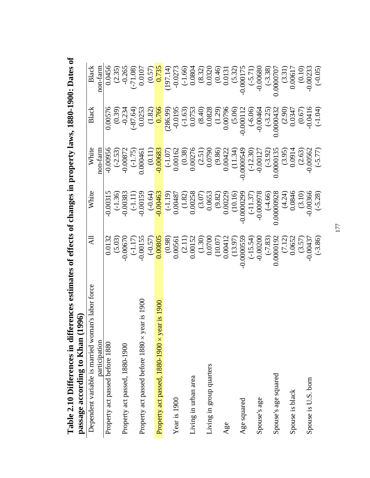| Dependent variable is married woman's labor force  | $\Xi$                                                                                                                                                          | White | White                                                                                                                                                                                                                                                                                                     | Black                                                                                                                                                                                                                                                                      | <b>Black</b>                                                                                                                                                                                             |
|----------------------------------------------------|----------------------------------------------------------------------------------------------------------------------------------------------------------------|-------|-----------------------------------------------------------------------------------------------------------------------------------------------------------------------------------------------------------------------------------------------------------------------------------------------------------|----------------------------------------------------------------------------------------------------------------------------------------------------------------------------------------------------------------------------------------------------------------------------|----------------------------------------------------------------------------------------------------------------------------------------------------------------------------------------------------------|
| participation                                      |                                                                                                                                                                |       | non-farm                                                                                                                                                                                                                                                                                                  |                                                                                                                                                                                                                                                                            | non-farm                                                                                                                                                                                                 |
| Property act passed before 1880                    |                                                                                                                                                                |       |                                                                                                                                                                                                                                                                                                           |                                                                                                                                                                                                                                                                            |                                                                                                                                                                                                          |
|                                                    |                                                                                                                                                                |       |                                                                                                                                                                                                                                                                                                           |                                                                                                                                                                                                                                                                            |                                                                                                                                                                                                          |
| Property act passed, 1880-1900                     |                                                                                                                                                                |       |                                                                                                                                                                                                                                                                                                           |                                                                                                                                                                                                                                                                            |                                                                                                                                                                                                          |
|                                                    | 0.0132<br>(5.03)<br>(-1.17)<br>(-0.000555)<br>(-0.57)<br>(-0.00561)<br>(-0.000559)<br>(-1.2)<br>(-3.86)<br>(-3.86)<br>(-3.86)<br>(-3.86)<br>(-3.86)<br>(-3.86) |       | $\begin{array}{r} -0.00956 \\ (-1.75) \\ -0.00872 \\ 0.000461 \\ -0.000461 \\ -0.000461 \\ -0.00162 \\ 0.00162 \\ -0.00162 \\ 0.00162 \\ -0.0018 \\ 0.00276 \\ -0.000549 \\ -0.00127 \\ -0.0013 \\ -0.00034 \\ 0.00003 \\ -0.00034 \\ -0.00034 \\ -0.00034 \\ -0.00034 \\ -0.00034 \\ -0.00054 \\ -0.000$ | $[ \begin{matrix} 6 & 0.0576 & 0.0576 & 0.039 \\ 0.039 & 0.234 & 0.0253 \\ 0.0253 & 0.0195 & 0.0195 \\ 0.00000 & 0.0195 & 0.0000 \\ 0.00000 & 0.00000 & 0.00000 \\ 0.00000 & 0.00000 & 0.00000 \\ 0.00000 & 0.00000 & 0.0000 \\ 0.00000 & 0.00000 & 0.0000 \\ 0.00000 & 0$ | $(0.0456\n(0.35) \n(0.57) \n(0.57) \n(0.57) \n(0.57) \n(0.57) \n(0.57) \n(0.57) \n(0.57) \n(0.57) \n(0.57) \n(0.57) \n(0.57) \n(0.57) \n(0.57) \n(0.57) \n(0.57) \n(0.57) \n(0.57) \n(0.57) \n(0.57) \n$ |
| ear is 1900<br>Property act passed before 1880 x y |                                                                                                                                                                |       |                                                                                                                                                                                                                                                                                                           |                                                                                                                                                                                                                                                                            |                                                                                                                                                                                                          |
|                                                    |                                                                                                                                                                |       |                                                                                                                                                                                                                                                                                                           |                                                                                                                                                                                                                                                                            |                                                                                                                                                                                                          |
| Property act passed, 1880-1900 × year is 1900      |                                                                                                                                                                |       |                                                                                                                                                                                                                                                                                                           |                                                                                                                                                                                                                                                                            |                                                                                                                                                                                                          |
|                                                    |                                                                                                                                                                |       |                                                                                                                                                                                                                                                                                                           |                                                                                                                                                                                                                                                                            |                                                                                                                                                                                                          |
| Year is 1900                                       |                                                                                                                                                                |       |                                                                                                                                                                                                                                                                                                           |                                                                                                                                                                                                                                                                            |                                                                                                                                                                                                          |
|                                                    |                                                                                                                                                                |       |                                                                                                                                                                                                                                                                                                           |                                                                                                                                                                                                                                                                            |                                                                                                                                                                                                          |
| Living in urban area                               |                                                                                                                                                                |       |                                                                                                                                                                                                                                                                                                           |                                                                                                                                                                                                                                                                            |                                                                                                                                                                                                          |
|                                                    |                                                                                                                                                                |       |                                                                                                                                                                                                                                                                                                           |                                                                                                                                                                                                                                                                            |                                                                                                                                                                                                          |
| Living in group quarters                           |                                                                                                                                                                |       |                                                                                                                                                                                                                                                                                                           |                                                                                                                                                                                                                                                                            |                                                                                                                                                                                                          |
|                                                    |                                                                                                                                                                |       |                                                                                                                                                                                                                                                                                                           |                                                                                                                                                                                                                                                                            |                                                                                                                                                                                                          |
| Age                                                |                                                                                                                                                                |       |                                                                                                                                                                                                                                                                                                           |                                                                                                                                                                                                                                                                            |                                                                                                                                                                                                          |
|                                                    |                                                                                                                                                                |       |                                                                                                                                                                                                                                                                                                           |                                                                                                                                                                                                                                                                            |                                                                                                                                                                                                          |
| Age squared                                        |                                                                                                                                                                |       |                                                                                                                                                                                                                                                                                                           |                                                                                                                                                                                                                                                                            |                                                                                                                                                                                                          |
|                                                    |                                                                                                                                                                |       |                                                                                                                                                                                                                                                                                                           |                                                                                                                                                                                                                                                                            |                                                                                                                                                                                                          |
| Spouse's age                                       |                                                                                                                                                                |       |                                                                                                                                                                                                                                                                                                           |                                                                                                                                                                                                                                                                            |                                                                                                                                                                                                          |
|                                                    |                                                                                                                                                                |       |                                                                                                                                                                                                                                                                                                           |                                                                                                                                                                                                                                                                            |                                                                                                                                                                                                          |
| Spouse's age squared                               |                                                                                                                                                                |       |                                                                                                                                                                                                                                                                                                           |                                                                                                                                                                                                                                                                            |                                                                                                                                                                                                          |
|                                                    |                                                                                                                                                                |       |                                                                                                                                                                                                                                                                                                           |                                                                                                                                                                                                                                                                            |                                                                                                                                                                                                          |
| Spouse is black                                    |                                                                                                                                                                |       |                                                                                                                                                                                                                                                                                                           |                                                                                                                                                                                                                                                                            |                                                                                                                                                                                                          |
|                                                    |                                                                                                                                                                |       |                                                                                                                                                                                                                                                                                                           |                                                                                                                                                                                                                                                                            |                                                                                                                                                                                                          |
| Spouse is U.S. born                                |                                                                                                                                                                |       |                                                                                                                                                                                                                                                                                                           |                                                                                                                                                                                                                                                                            |                                                                                                                                                                                                          |
|                                                    |                                                                                                                                                                |       |                                                                                                                                                                                                                                                                                                           |                                                                                                                                                                                                                                                                            |                                                                                                                                                                                                          |

**Table 2.10 Differences in differences estimates of effects of changes in property laws, 1880-1900: Dates of**  Table 2.10 Differences in differences estimates of effects of changes in property laws, 1880-1900: Dates of nume 2012 and 2010 to Khan (1996) **passage according to Khan (1996)**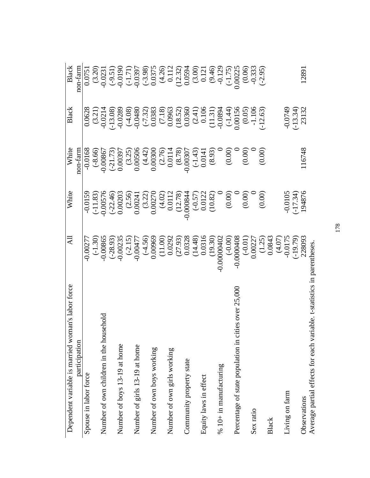| Dependent variable is married woman's labor force                       | All                                                                                                                                                                                                                     | White                                                                                                                                                                                                                          | White                                                                                                                                                                                                      | Black                                                                                                                                                                                                                                                                                                                        | Black                                                                                                                                    |
|-------------------------------------------------------------------------|-------------------------------------------------------------------------------------------------------------------------------------------------------------------------------------------------------------------------|--------------------------------------------------------------------------------------------------------------------------------------------------------------------------------------------------------------------------------|------------------------------------------------------------------------------------------------------------------------------------------------------------------------------------------------------------|------------------------------------------------------------------------------------------------------------------------------------------------------------------------------------------------------------------------------------------------------------------------------------------------------------------------------|------------------------------------------------------------------------------------------------------------------------------------------|
| participation                                                           |                                                                                                                                                                                                                         |                                                                                                                                                                                                                                | non-farm                                                                                                                                                                                                   |                                                                                                                                                                                                                                                                                                                              | non-farm                                                                                                                                 |
| Spouse in labor force                                                   | $-0.0027$                                                                                                                                                                                                               | $-0.0159$                                                                                                                                                                                                                      | $-0.0168$                                                                                                                                                                                                  | 0.0628                                                                                                                                                                                                                                                                                                                       | 0.0751                                                                                                                                   |
|                                                                         | $(-1.30)$<br>-0.00865                                                                                                                                                                                                   |                                                                                                                                                                                                                                |                                                                                                                                                                                                            |                                                                                                                                                                                                                                                                                                                              | $(3.20)$<br>$-0.0231$                                                                                                                    |
| Number of own children in the household                                 |                                                                                                                                                                                                                         |                                                                                                                                                                                                                                |                                                                                                                                                                                                            |                                                                                                                                                                                                                                                                                                                              |                                                                                                                                          |
|                                                                         |                                                                                                                                                                                                                         |                                                                                                                                                                                                                                |                                                                                                                                                                                                            |                                                                                                                                                                                                                                                                                                                              |                                                                                                                                          |
| Number of boys 13-19 at home                                            |                                                                                                                                                                                                                         |                                                                                                                                                                                                                                |                                                                                                                                                                                                            |                                                                                                                                                                                                                                                                                                                              |                                                                                                                                          |
|                                                                         | $\begin{array}{l} (-28.93) \\ -0.00235 \\ -0.00477 \\ 0.00477 \\ 0.00969 \\ 0.00969 \\ 0.11.00) \\ (27.93) \\ (14.48) \\ 0.0328 \\ (14.48) \\ 0.0316 \\ (19.30) \\ 0.0000402 \\ 0.0000040 \\ -0.0000040 \\ \end{array}$ |                                                                                                                                                                                                                                |                                                                                                                                                                                                            | $\left(\begin{smallmatrix} 3.21 \\ 3.21 \\ -0.0214 \\ -0.0289 \\ -0.0480 \\ -0.0480 \\ -0.0383 \\ -0.0363 \\ -0.00963 \\ -0.00963 \\ -0.0000 \\ -0.0000 \\ -0.0000 \\ -0.0000 \\ -0.0000 \\ -0.0001 \\ -0.0015 \\ -0.0001 \\ -0.0001 \\ -0.0001 \\ -0.0001 \\ -0.0001 \\ -0.0001 \\ -0.0001 \\ -0.0001 \\ -0.0001 \\ -0.000$ | $(9.51)$ $(1.71)$ $(1.71)$ $(0.0397)$ $(0.0375)$ $(0.0375)$ $(1.23)$ $(1.23)$ $(0.0594)$ $(0.0594)$ $(0.00594)$ $(0.000225)$ $(0.00025)$ |
| Number of girls 13-19 at home                                           |                                                                                                                                                                                                                         |                                                                                                                                                                                                                                |                                                                                                                                                                                                            |                                                                                                                                                                                                                                                                                                                              |                                                                                                                                          |
|                                                                         |                                                                                                                                                                                                                         |                                                                                                                                                                                                                                |                                                                                                                                                                                                            |                                                                                                                                                                                                                                                                                                                              |                                                                                                                                          |
| Number of own boys working                                              |                                                                                                                                                                                                                         |                                                                                                                                                                                                                                |                                                                                                                                                                                                            |                                                                                                                                                                                                                                                                                                                              |                                                                                                                                          |
|                                                                         |                                                                                                                                                                                                                         |                                                                                                                                                                                                                                |                                                                                                                                                                                                            |                                                                                                                                                                                                                                                                                                                              |                                                                                                                                          |
| Number of own girls working                                             |                                                                                                                                                                                                                         |                                                                                                                                                                                                                                |                                                                                                                                                                                                            |                                                                                                                                                                                                                                                                                                                              |                                                                                                                                          |
|                                                                         |                                                                                                                                                                                                                         |                                                                                                                                                                                                                                |                                                                                                                                                                                                            |                                                                                                                                                                                                                                                                                                                              |                                                                                                                                          |
| Community property state                                                |                                                                                                                                                                                                                         |                                                                                                                                                                                                                                |                                                                                                                                                                                                            |                                                                                                                                                                                                                                                                                                                              |                                                                                                                                          |
|                                                                         |                                                                                                                                                                                                                         |                                                                                                                                                                                                                                |                                                                                                                                                                                                            |                                                                                                                                                                                                                                                                                                                              |                                                                                                                                          |
| Equity laws in effect                                                   |                                                                                                                                                                                                                         |                                                                                                                                                                                                                                |                                                                                                                                                                                                            |                                                                                                                                                                                                                                                                                                                              |                                                                                                                                          |
|                                                                         |                                                                                                                                                                                                                         |                                                                                                                                                                                                                                |                                                                                                                                                                                                            |                                                                                                                                                                                                                                                                                                                              |                                                                                                                                          |
| $% 10+$ in manufacturing                                                |                                                                                                                                                                                                                         |                                                                                                                                                                                                                                |                                                                                                                                                                                                            |                                                                                                                                                                                                                                                                                                                              |                                                                                                                                          |
|                                                                         |                                                                                                                                                                                                                         |                                                                                                                                                                                                                                |                                                                                                                                                                                                            |                                                                                                                                                                                                                                                                                                                              |                                                                                                                                          |
| Percentage of state population in cities over 25,000                    |                                                                                                                                                                                                                         |                                                                                                                                                                                                                                |                                                                                                                                                                                                            |                                                                                                                                                                                                                                                                                                                              |                                                                                                                                          |
|                                                                         | $(-0.01)$<br>0.00227                                                                                                                                                                                                    |                                                                                                                                                                                                                                |                                                                                                                                                                                                            | $(0.05)$<br>-1.106                                                                                                                                                                                                                                                                                                           | $(0.06)$<br>$-0.333$                                                                                                                     |
| Sex ratio                                                               |                                                                                                                                                                                                                         |                                                                                                                                                                                                                                |                                                                                                                                                                                                            |                                                                                                                                                                                                                                                                                                                              |                                                                                                                                          |
|                                                                         | $\begin{array}{c} (1.25) \\ 0.0843 \\ (4.07) \\ 0.0175 \\ (-19.79) \\ (2.8093 \end{array}$                                                                                                                              | $(11.83)$ $(0.00576)$ $(0.00203)$ $(0.00203)$ $(0.00241)$ $(0.00241)$ $(0.0027)$ $(0.0027)$ $(0.0027)$ $(0.00344)$ $(0.00344)$ $(0.000844)$ $(0.000844)$ $(0.000844)$ $(0.000844)$ $(0.000844)$ $(0.000844)$ $(0.000844)$ $(0$ | $(9.66) \n(9.00867) \n(1.73) \n(1.73) \n(1.73) \n(1.73) \n(1.73) \n(1.73) \n(1.73) \n(1.73) \n(1.73) \n(1.73) \n(1.73) \n(1.73) \n(1.73) \n(1.73) \n(1.73) \n(1.73) \n(1.73) \n(1.73) \n(1.73) \n(1.73) <$ | $-12.63$                                                                                                                                                                                                                                                                                                                     | $(-2.95)$                                                                                                                                |
| Black                                                                   |                                                                                                                                                                                                                         |                                                                                                                                                                                                                                |                                                                                                                                                                                                            |                                                                                                                                                                                                                                                                                                                              |                                                                                                                                          |
|                                                                         |                                                                                                                                                                                                                         |                                                                                                                                                                                                                                |                                                                                                                                                                                                            |                                                                                                                                                                                                                                                                                                                              |                                                                                                                                          |
| Living on farm                                                          |                                                                                                                                                                                                                         | $-0.0105$<br>$(-17.34)$<br>$194876$                                                                                                                                                                                            |                                                                                                                                                                                                            | $-0.0749$<br>$(-13.34)$<br>$23132$                                                                                                                                                                                                                                                                                           |                                                                                                                                          |
|                                                                         |                                                                                                                                                                                                                         |                                                                                                                                                                                                                                |                                                                                                                                                                                                            |                                                                                                                                                                                                                                                                                                                              |                                                                                                                                          |
| Observations                                                            |                                                                                                                                                                                                                         |                                                                                                                                                                                                                                | 116748                                                                                                                                                                                                     |                                                                                                                                                                                                                                                                                                                              | 12891                                                                                                                                    |
| Average partial effects for each variable. t-statistics in parentheses. |                                                                                                                                                                                                                         |                                                                                                                                                                                                                                |                                                                                                                                                                                                            |                                                                                                                                                                                                                                                                                                                              |                                                                                                                                          |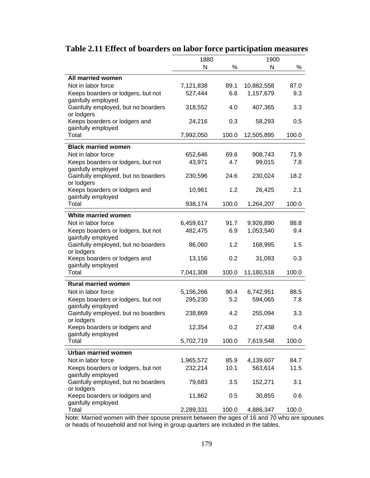|                                                   | 1880      |       | 1900       |       |
|---------------------------------------------------|-----------|-------|------------|-------|
|                                                   | N         | ℅     | N          | %     |
| <b>All married women</b>                          |           |       |            |       |
| Not in labor force                                | 7,121,838 | 89.1  | 10,882,558 | 87.0  |
| Keeps boarders or lodgers, but not                | 527,444   | 6.6   | 1,157,679  | 9.3   |
| gainfully employed                                |           |       |            |       |
| Gainfully employed, but no boarders               | 318,552   | 4.0   | 407,365    | 3.3   |
| or lodgers                                        |           |       |            |       |
| Keeps boarders or lodgers and                     | 24,216    | 0.3   | 58,293     | 0.5   |
| gainfully employed                                |           |       |            |       |
| Total                                             | 7,992,050 | 100.0 | 12,505,895 | 100.0 |
|                                                   |           |       |            |       |
| <b>Black married women</b>                        |           |       |            |       |
| Not in labor force                                | 652,646   | 69.6  | 908,743    | 71.9  |
| Keeps boarders or lodgers, but not                | 43,971    | 4.7   | 99,015     | 7.8   |
| gainfully employed                                |           |       |            |       |
| Gainfully employed, but no boarders<br>or lodgers | 230,596   | 24.6  | 230,024    | 18.2  |
| Keeps boarders or lodgers and                     | 10,961    | 1.2   | 26,425     | 2.1   |
| gainfully employed                                |           |       |            |       |
| Total                                             | 938,174   | 100.0 | 1,264,207  | 100.0 |
|                                                   |           |       |            |       |
| White married women                               |           |       |            |       |
| Not in labor force                                | 6,459,617 | 91.7  | 9,926,890  | 88.8  |
| Keeps boarders or lodgers, but not                | 482,475   | 6.9   | 1,053,540  | 9.4   |
| gainfully employed                                |           |       |            |       |
| Gainfully employed, but no boarders               | 86,060    | 1.2   | 168,995    | 1.5   |
| or lodgers                                        |           |       |            |       |
| Keeps boarders or lodgers and                     | 13,156    | 0.2   | 31,093     | 0.3   |
| gainfully employed<br>Total                       |           |       |            |       |
|                                                   | 7,041,308 | 100.0 | 11,180,518 | 100.0 |
| <b>Rural married women</b>                        |           |       |            |       |
| Not in labor force                                | 5,156,266 | 90.4  | 6,742,951  | 88.5  |
| Keeps boarders or lodgers, but not                | 295,230   | 5.2   | 594,065    | 7.8   |
| gainfully employed                                |           |       |            |       |
| Gainfully employed, but no boarders               | 238,869   | 4.2   | 255,094    | 3.3   |
| or lodgers                                        |           |       |            |       |
| Keeps boarders or lodgers and                     | 12,354    | 0.2   | 27,438     | 0.4   |
| gainfully employed                                |           |       |            |       |
| Total                                             | 5,702,719 | 100.0 | 7,619,548  | 100.0 |
| <b>Urban married women</b>                        |           |       |            |       |
| Not in labor force                                | 1,965,572 | 85.9  | 4,139,607  | 84.7  |
| Keeps boarders or lodgers, but not                | 232,214   | 10.1  | 563,614    | 11.5  |
| gainfully employed                                |           |       |            |       |
| Gainfully employed, but no boarders               | 79,683    | 3.5   | 152,271    | 3.1   |
| or lodgers                                        |           |       |            |       |
| Keeps boarders or lodgers and                     | 11,862    | 0.5   | 30,855     | 0.6   |
| gainfully employed                                |           |       |            |       |
| Total                                             | 2,289,331 | 100.0 | 4,886,347  | 100.0 |

# **Table 2.11 Effect of boarders on labor force participation measures**

Note: Married women with their spouse present between the ages of 16 and 70 who are spouses or heads of household and not living in group quarters are included in the tables.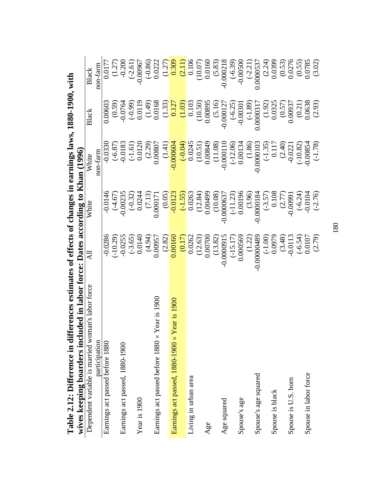| rapie 2.172: Dillerence in dillerences estimates of errects of changes in earlings laws, root-rybu, with<br>wives keeping boarders included in labor force: Dates according to Khan (1996) |                                                                            |                                                                                                                                                                    |                                                                                                                                                    |                                                                                                                   |                                                                                                    |
|--------------------------------------------------------------------------------------------------------------------------------------------------------------------------------------------|----------------------------------------------------------------------------|--------------------------------------------------------------------------------------------------------------------------------------------------------------------|----------------------------------------------------------------------------------------------------------------------------------------------------|-------------------------------------------------------------------------------------------------------------------|----------------------------------------------------------------------------------------------------|
| Dependent variable is married woman's labor force                                                                                                                                          | ₹                                                                          | White                                                                                                                                                              | White                                                                                                                                              | Black                                                                                                             | Black                                                                                              |
| participation                                                                                                                                                                              |                                                                            |                                                                                                                                                                    | non-farm                                                                                                                                           |                                                                                                                   | non-farm                                                                                           |
| Earnings act passed before 1880                                                                                                                                                            | $-0.0286$                                                                  | $-0.0146$                                                                                                                                                          | $-0.0330$                                                                                                                                          | 0.00603                                                                                                           | 0.0177                                                                                             |
|                                                                                                                                                                                            | $(-10.29)$                                                                 |                                                                                                                                                                    |                                                                                                                                                    |                                                                                                                   |                                                                                                    |
| Earnings act passed, 1880-1900                                                                                                                                                             | $-0.0255$                                                                  | $(-4.67)$<br>-0.00235                                                                                                                                              | $(-6.87)$<br>-0.0183                                                                                                                               | $\begin{array}{c} (0.59) \\ (0.50) \\ (-0.0764) \\ (-0.99) \\ (1.19) \\ (1.49) \\ (1.49) \\ (0.0168) \end{array}$ | $(1.27)$<br>$-0.200$                                                                               |
|                                                                                                                                                                                            | $(-3.65)$                                                                  |                                                                                                                                                                    |                                                                                                                                                    |                                                                                                                   | $(-2.61)$                                                                                          |
| Year is 1900                                                                                                                                                                               | 0.0140                                                                     |                                                                                                                                                                    | $(-1.61)$<br>0.0120                                                                                                                                |                                                                                                                   | $-0.00967$                                                                                         |
|                                                                                                                                                                                            | (4.94)                                                                     | $(-0.32)$<br>0.0244<br>(7.13)<br>(7.13)                                                                                                                            | $(2.29)$<br>$0.00807$                                                                                                                              |                                                                                                                   |                                                                                                    |
| Earnings act passed before 1880 × Year is 1900                                                                                                                                             | 0.00957                                                                    |                                                                                                                                                                    |                                                                                                                                                    |                                                                                                                   | $(-0.86)$<br>0.0222                                                                                |
|                                                                                                                                                                                            | (2.82)                                                                     | $(0.05)$<br>$-0.0123$                                                                                                                                              | $(1.41)$<br>$-0.000604$                                                                                                                            | $\frac{(1.33)}{0.127}$                                                                                            | $\begin{array}{c} (1.27)\\ -0.309\\ \hline (2.11)\\ 0.106\\ \hline (10.07)\\ 0.0160\\ \end{array}$ |
| Earnings act passed, 1880-1900 × Year is 1900                                                                                                                                              | 0.00160                                                                    |                                                                                                                                                                    |                                                                                                                                                    |                                                                                                                   |                                                                                                    |
|                                                                                                                                                                                            |                                                                            |                                                                                                                                                                    |                                                                                                                                                    | $\frac{(1.03)}{0.103}$                                                                                            |                                                                                                    |
| Living in urban area                                                                                                                                                                       | $\frac{(0.17)}{0.0262}$                                                    |                                                                                                                                                                    |                                                                                                                                                    |                                                                                                                   |                                                                                                    |
|                                                                                                                                                                                            |                                                                            |                                                                                                                                                                    |                                                                                                                                                    |                                                                                                                   |                                                                                                    |
| Age                                                                                                                                                                                        | $\begin{array}{c} (12.63) \\ 0.00700 \\ (13.82) \\ -0.0009915 \end{array}$ | $\begin{array}{r} \hline (-1.55) \\ \hline (10.0263 \\ (12.84) \\ 0.00499 \\ (10.08) \\ (10.08) \\ (10.08) \\ (-11.23) \\ \hline (-11.23) \\ (0.00196 \end{array}$ | $\begin{array}{r} \hline (-0.04) \\ -0.0245 \\ 0.00349 \\ 0.00849 \\ 0.10349 \\ -0.000110 \\ -0.000110 \\ \hline (-12.06) \\ -0.00134 \end{array}$ | $(10.50)$<br>$0.00895$                                                                                            |                                                                                                    |
|                                                                                                                                                                                            |                                                                            |                                                                                                                                                                    |                                                                                                                                                    |                                                                                                                   | $(5.83)$<br>-0.000218                                                                              |
| Age squared                                                                                                                                                                                |                                                                            |                                                                                                                                                                    |                                                                                                                                                    | $(5.16)$<br>$(0.000127)$                                                                                          |                                                                                                    |
|                                                                                                                                                                                            | $(-15.17)$<br>0.000569                                                     |                                                                                                                                                                    |                                                                                                                                                    | $(-6.25)$<br>-0.00301                                                                                             |                                                                                                    |
| Spouse's age                                                                                                                                                                               |                                                                            |                                                                                                                                                                    |                                                                                                                                                    |                                                                                                                   | $(-6.39)$<br>-0.00500                                                                              |
|                                                                                                                                                                                            |                                                                            |                                                                                                                                                                    |                                                                                                                                                    | $(4.89)$<br>0.000317                                                                                              | $(-2.21)$                                                                                          |
| Spouse's age squared                                                                                                                                                                       | $(1.22)$<br>.00000489                                                      | $(3.96)$<br>0.0000184                                                                                                                                              | $(1.86)$<br>0.0000103                                                                                                                              |                                                                                                                   | 0.0000537                                                                                          |
|                                                                                                                                                                                            | $(-1.00)$<br>0.0979                                                        | $(-3.57)$<br>0.108                                                                                                                                                 | $\frac{(-1.35)}{0.117}$                                                                                                                            | $(1.92)$<br>0.0325                                                                                                | $(2.24)$<br>$0.0399$                                                                               |
| Spouse is black                                                                                                                                                                            |                                                                            |                                                                                                                                                                    |                                                                                                                                                    |                                                                                                                   |                                                                                                    |
|                                                                                                                                                                                            | $(3.48)$<br>-0.0113                                                        | $(2.77)$<br>-0.00991                                                                                                                                               | $(2.40)$<br>$-0.0221$                                                                                                                              | $(0.57)$<br>0.00937                                                                                               |                                                                                                    |
| Spouse is U.S. born                                                                                                                                                                        |                                                                            |                                                                                                                                                                    |                                                                                                                                                    |                                                                                                                   | $(0.53)$<br>$0.0276$                                                                               |
|                                                                                                                                                                                            | $(-6.54)$<br>0.0107                                                        | $(-6.24)$<br>$-0.0104$<br>$(-2.76)$                                                                                                                                | $(-10.82)$                                                                                                                                         | $\begin{array}{c} (0.21) \\ 0.0638 \\ (2.93) \end{array}$                                                         | $\begin{array}{c} (0.55) \\ 0.0785 \\ (3.02) \end{array}$                                          |
| Spouse in labor force                                                                                                                                                                      |                                                                            |                                                                                                                                                                    | $-0.00854$                                                                                                                                         |                                                                                                                   |                                                                                                    |
|                                                                                                                                                                                            | (2.79)                                                                     |                                                                                                                                                                    | $(-1.78)$                                                                                                                                          |                                                                                                                   |                                                                                                    |

**Table 2.12: Difference in differences estimates of effects of changes in earnings laws, 1880-1900, with**   $\approx 1880 - 1900$  with  $\frac{1}{2}$  $\frac{1}{2}$ atos of offoots of ch  $\sim$   $+$   $\sim$ co in diffe Table 2 12: Differ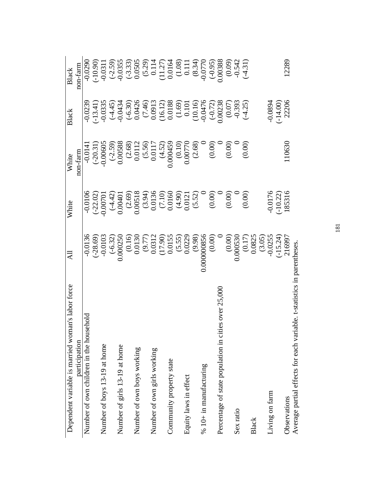| Dependent variable is married woman's labor force    | $\overline{A}$                                                                                                                                                                          | White                                                                                                                                                                                                                                                                                | White                                                                                                                                                                                                                                                                                                                | Black                                                                                                                                                                                                                                                                                        | <b>Black</b>                                                                                                                                                                                                                                                                                                                       |
|------------------------------------------------------|-----------------------------------------------------------------------------------------------------------------------------------------------------------------------------------------|--------------------------------------------------------------------------------------------------------------------------------------------------------------------------------------------------------------------------------------------------------------------------------------|----------------------------------------------------------------------------------------------------------------------------------------------------------------------------------------------------------------------------------------------------------------------------------------------------------------------|----------------------------------------------------------------------------------------------------------------------------------------------------------------------------------------------------------------------------------------------------------------------------------------------|------------------------------------------------------------------------------------------------------------------------------------------------------------------------------------------------------------------------------------------------------------------------------------------------------------------------------------|
| participation                                        |                                                                                                                                                                                         |                                                                                                                                                                                                                                                                                      | non-farm                                                                                                                                                                                                                                                                                                             |                                                                                                                                                                                                                                                                                              | non-farm                                                                                                                                                                                                                                                                                                                           |
| Бlоı<br>Number of own children in the househ         |                                                                                                                                                                                         |                                                                                                                                                                                                                                                                                      |                                                                                                                                                                                                                                                                                                                      |                                                                                                                                                                                                                                                                                              |                                                                                                                                                                                                                                                                                                                                    |
|                                                      |                                                                                                                                                                                         |                                                                                                                                                                                                                                                                                      |                                                                                                                                                                                                                                                                                                                      |                                                                                                                                                                                                                                                                                              | $-0.0290$<br>$(-10.90)$<br>$-0.0311$                                                                                                                                                                                                                                                                                               |
| Number of boys 13-19 at home                         |                                                                                                                                                                                         |                                                                                                                                                                                                                                                                                      |                                                                                                                                                                                                                                                                                                                      |                                                                                                                                                                                                                                                                                              |                                                                                                                                                                                                                                                                                                                                    |
|                                                      |                                                                                                                                                                                         |                                                                                                                                                                                                                                                                                      |                                                                                                                                                                                                                                                                                                                      |                                                                                                                                                                                                                                                                                              |                                                                                                                                                                                                                                                                                                                                    |
| Number of girls 13-19 at home                        |                                                                                                                                                                                         |                                                                                                                                                                                                                                                                                      |                                                                                                                                                                                                                                                                                                                      |                                                                                                                                                                                                                                                                                              |                                                                                                                                                                                                                                                                                                                                    |
|                                                      |                                                                                                                                                                                         |                                                                                                                                                                                                                                                                                      |                                                                                                                                                                                                                                                                                                                      |                                                                                                                                                                                                                                                                                              |                                                                                                                                                                                                                                                                                                                                    |
| Number of own boys working                           |                                                                                                                                                                                         |                                                                                                                                                                                                                                                                                      |                                                                                                                                                                                                                                                                                                                      |                                                                                                                                                                                                                                                                                              |                                                                                                                                                                                                                                                                                                                                    |
|                                                      |                                                                                                                                                                                         |                                                                                                                                                                                                                                                                                      |                                                                                                                                                                                                                                                                                                                      |                                                                                                                                                                                                                                                                                              |                                                                                                                                                                                                                                                                                                                                    |
| Number of own girls working                          |                                                                                                                                                                                         |                                                                                                                                                                                                                                                                                      |                                                                                                                                                                                                                                                                                                                      |                                                                                                                                                                                                                                                                                              |                                                                                                                                                                                                                                                                                                                                    |
|                                                      |                                                                                                                                                                                         |                                                                                                                                                                                                                                                                                      |                                                                                                                                                                                                                                                                                                                      |                                                                                                                                                                                                                                                                                              |                                                                                                                                                                                                                                                                                                                                    |
| Community property state                             |                                                                                                                                                                                         |                                                                                                                                                                                                                                                                                      |                                                                                                                                                                                                                                                                                                                      |                                                                                                                                                                                                                                                                                              |                                                                                                                                                                                                                                                                                                                                    |
|                                                      |                                                                                                                                                                                         |                                                                                                                                                                                                                                                                                      |                                                                                                                                                                                                                                                                                                                      |                                                                                                                                                                                                                                                                                              |                                                                                                                                                                                                                                                                                                                                    |
| Equity laws in effect                                |                                                                                                                                                                                         |                                                                                                                                                                                                                                                                                      |                                                                                                                                                                                                                                                                                                                      |                                                                                                                                                                                                                                                                                              |                                                                                                                                                                                                                                                                                                                                    |
|                                                      |                                                                                                                                                                                         |                                                                                                                                                                                                                                                                                      |                                                                                                                                                                                                                                                                                                                      |                                                                                                                                                                                                                                                                                              |                                                                                                                                                                                                                                                                                                                                    |
| % 10+ in manufacturing                               |                                                                                                                                                                                         |                                                                                                                                                                                                                                                                                      |                                                                                                                                                                                                                                                                                                                      |                                                                                                                                                                                                                                                                                              |                                                                                                                                                                                                                                                                                                                                    |
|                                                      | $-0.0136$<br>$(-28.69)$<br>$-0.0103$<br>$(-6.32)$<br>$(0.16)$<br>$(0.16)$<br>$(0.17)$<br>$(0.0132$<br>$(17.90)$<br>$(5.55)$<br>$(5.55)$<br>$(9.98)$<br>$(9.98)$<br>$(9.98)$<br>$(9.98)$ | 90106<br>(22.02)<br>(32.02)<br>(32.02)<br>(3.02)<br>(3.02)<br>(3.02)<br>(3.02)<br>(3.02)<br>(3.02)<br>(3.02)<br>(3.02)<br>(3.02)<br>(3.02)<br>(3.03)<br>(3.03)<br>(3.03)<br>(3.03)<br>(3.03)<br>(3.03)<br>(3.03)<br>(3.03)<br>(3.03)<br>(3.03)<br>(3.03)<br>(3.03)<br>(3.03)<br>(3.0 | $\begin{array}{l} -0.0141 \\ (-20.31) \\ (-20.39) \\ (-2.59) \\ 0.00608 \\ (2.68) \\ 0.0112 \\ (3.50) \\ 0.0117 \\ (4.52) \\ 0.00770 \\ (0.00) \\ 0.0070 \\ (0.00) \\ 0.000 \\ (0.00) \\ 0.000 \\ (0.00) \\ 0.000 \\ (0.00) \\ 0.000 \\ (0.00) \\ 0.000 \\ (0.00) \\ 0.000 \\ (0.00) \\ 0.000 \\ (0.00) \\ 0.000 \\$ | $\begin{array}{l} 0.0239 \\ -0.0335 \\ -0.0335 \\ -0.0434 \\ -0.0434 \\ 0.0434 \\ -0.0434 \\ 0.00426 \\ 0.0013 \\ 0.0013 \\ 0.0018 \\ 0.0001 \\ -0.00476 \\ -0.00476 \\ 0.000238 \\ 0.00238 \\ 0.000238 \\ 0.000238 \\ 0.000238 \\ 0.000238 \\ 0.000238 \\ 0.000238 \\ 0.000238 \\ 0.000238$ | $\begin{array}{l} (-2.59) \\[-4pt] -0.0355 \\[-4pt] -0.0505 \\[-4pt] -0.0505 \\[-4pt] -0.0505 \\[-4pt] -0.114 \\[-4pt] -0.114 \\[-4pt] -0.0164 \\[-4pt] -0.0038 \\[-4pt] -0.0038 \\[-4pt] -0.0038 \\[-4pt] -0.0038 \\[-4pt] -0.0038 \\[-4pt] -0.0038 \\[-4pt] -0.0038 \\[-4pt] -0.0038 \\[-4pt] -0.0038 \\[-4pt] -0.0038 \\[-4pt]$ |
| Percentage of state population in cities over 25,000 |                                                                                                                                                                                         |                                                                                                                                                                                                                                                                                      |                                                                                                                                                                                                                                                                                                                      |                                                                                                                                                                                                                                                                                              |                                                                                                                                                                                                                                                                                                                                    |
|                                                      |                                                                                                                                                                                         |                                                                                                                                                                                                                                                                                      |                                                                                                                                                                                                                                                                                                                      |                                                                                                                                                                                                                                                                                              |                                                                                                                                                                                                                                                                                                                                    |
| Sex ratio                                            |                                                                                                                                                                                         |                                                                                                                                                                                                                                                                                      |                                                                                                                                                                                                                                                                                                                      | $(0.07)$<br>$-0.393$<br>$(-4.25)$                                                                                                                                                                                                                                                            |                                                                                                                                                                                                                                                                                                                                    |
|                                                      |                                                                                                                                                                                         |                                                                                                                                                                                                                                                                                      |                                                                                                                                                                                                                                                                                                                      |                                                                                                                                                                                                                                                                                              | $(-4.31)$                                                                                                                                                                                                                                                                                                                          |
| Black                                                |                                                                                                                                                                                         |                                                                                                                                                                                                                                                                                      |                                                                                                                                                                                                                                                                                                                      |                                                                                                                                                                                                                                                                                              |                                                                                                                                                                                                                                                                                                                                    |
|                                                      |                                                                                                                                                                                         |                                                                                                                                                                                                                                                                                      |                                                                                                                                                                                                                                                                                                                      |                                                                                                                                                                                                                                                                                              |                                                                                                                                                                                                                                                                                                                                    |
| Living on farm                                       | $(0.00)$<br>$(0.000530)$<br>$(0.17)$<br>$(0.07)$<br>$(3.05)$<br>$(3.05)$                                                                                                                | 0.0176                                                                                                                                                                                                                                                                               |                                                                                                                                                                                                                                                                                                                      | $-0.0894$                                                                                                                                                                                                                                                                                    |                                                                                                                                                                                                                                                                                                                                    |
|                                                      | $(-15.24)$<br>216997                                                                                                                                                                    | $(-10.22)$<br>185316                                                                                                                                                                                                                                                                 |                                                                                                                                                                                                                                                                                                                      | $(-14.00)$<br>22206                                                                                                                                                                                                                                                                          |                                                                                                                                                                                                                                                                                                                                    |
| Observations                                         |                                                                                                                                                                                         |                                                                                                                                                                                                                                                                                      | 110630                                                                                                                                                                                                                                                                                                               |                                                                                                                                                                                                                                                                                              | 12289                                                                                                                                                                                                                                                                                                                              |
| J<br>$\overline{c}$                                  |                                                                                                                                                                                         |                                                                                                                                                                                                                                                                                      |                                                                                                                                                                                                                                                                                                                      |                                                                                                                                                                                                                                                                                              |                                                                                                                                                                                                                                                                                                                                    |

Average partial effects for each variable. t-statistics in parentheses. Average partial effects for each variable. t-statistics in parentheses.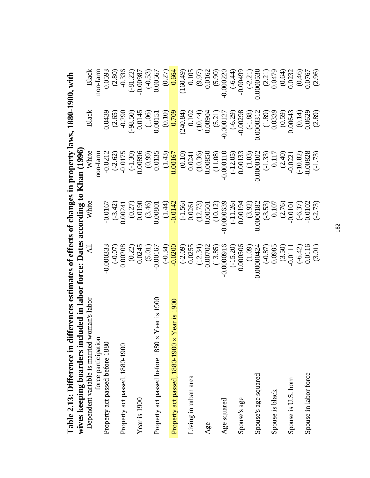| ranic 2.13. Dure ence in unit ences estimates or ences or changes in property laws, robu-ryon, with<br>wives keeping boarders incl | uded in labor force: Dates according to Khan (1996) |                                                                        |                                                                                                                                 |                                                             |                              |
|------------------------------------------------------------------------------------------------------------------------------------|-----------------------------------------------------|------------------------------------------------------------------------|---------------------------------------------------------------------------------------------------------------------------------|-------------------------------------------------------------|------------------------------|
| oman's labor<br>Dependent variable is married w                                                                                    | $\Xi$                                               | White                                                                  | White                                                                                                                           | Black                                                       | <b>Black</b>                 |
| force participation                                                                                                                |                                                     |                                                                        | non-farm                                                                                                                        |                                                             | non-farm                     |
| Property act passed before 1880                                                                                                    | $-0.000333$                                         | $-0.0167$                                                              | $-0.0212$                                                                                                                       | 0.0439                                                      |                              |
|                                                                                                                                    | $(-0.07)$                                           | $(-3.42)$                                                              | $(-2.62)$                                                                                                                       |                                                             | $\frac{0.0593}{(2.80)}$      |
| Property act passed, 1880-1900                                                                                                     | 0.00208                                             | 0.00241                                                                | $-0.0175$<br>$(-1.30)$                                                                                                          | $(2.65)$<br>$-0.290$                                        | $-0.336$<br>$(-81.22)$       |
|                                                                                                                                    |                                                     |                                                                        |                                                                                                                                 | $(-98.50)$                                                  |                              |
| Year is 1900                                                                                                                       | $(0.22)$<br>$0.0245$                                | $(0.27)$<br>0.0190                                                     | 0.00896                                                                                                                         |                                                             | $-0.00987$                   |
|                                                                                                                                    | $(5.01)$<br>-0.00167                                | $(3.46)$<br>0.00801                                                    |                                                                                                                                 |                                                             |                              |
| Year is 1900<br>Property act passed before 1880 x                                                                                  |                                                     |                                                                        | $(0.99)$<br>0.0135<br>(1.43)                                                                                                    | $\begin{array}{c} 0.0145 \\ (1.06) \\ 0.00151 \end{array}$  | $(-0.53)$<br>0.00567         |
|                                                                                                                                    | $(-0.34)$                                           |                                                                        |                                                                                                                                 | $\frac{(0.10)}{0.709}$                                      | (0.27)                       |
| Property act passed, 1880-1900 × Year is 1900                                                                                      | $-0.0200$                                           | $(1.44)$<br>$-0.0142$                                                  | 0.00167                                                                                                                         |                                                             | 0.664                        |
|                                                                                                                                    |                                                     |                                                                        |                                                                                                                                 |                                                             |                              |
| Living in urban area                                                                                                               | $(-2.09)$<br>0.0255                                 |                                                                        |                                                                                                                                 |                                                             | $(160.49)$<br>0.105          |
|                                                                                                                                    |                                                     |                                                                        |                                                                                                                                 |                                                             |                              |
| Age                                                                                                                                | $(12.34)$<br>$0.00702$                              | $\begin{array}{c} (-1.56) \\ 0.0261 \\ (12.73) \\ 0.00501 \end{array}$ | $\begin{array}{c} (0.10) \\ 0.0241 \\ (10.36) \\ 0.00850 \\ (11.08) \\ (11.08) \\ -0.000110 \\ (-12.05) \\ 0.00133 \end{array}$ | $(240.84)$ $0.102$ $(10.44)$ $0.00904$ $0.50304$ $0.000127$ | $(9.97)$<br>0.0162           |
|                                                                                                                                    |                                                     |                                                                        |                                                                                                                                 |                                                             | $(5.90)$<br>0.000220         |
| Age squared                                                                                                                        | $(13.85)$<br>$-0.0000916$                           | $(10.12)$<br>$-0.0000639$                                              |                                                                                                                                 |                                                             |                              |
|                                                                                                                                    | $(-15.20)$<br>0.000506                              | $(-11.26)$<br>0.00194                                                  |                                                                                                                                 |                                                             | $(-6.44)$<br>-0.00499        |
| Spouse's age                                                                                                                       |                                                     |                                                                        |                                                                                                                                 | $(-6.29)$<br>-0.00298                                       |                              |
|                                                                                                                                    | $(1.09)$<br>$(1.09)$                                | $(3.92)$<br>-0.0000182                                                 |                                                                                                                                 | $(-1.88)$<br>0000312                                        | $(-2.21)$<br>0.0000530       |
| Spouse's age squared                                                                                                               |                                                     |                                                                        | $(1.83)$<br>0.0000102                                                                                                           |                                                             |                              |
|                                                                                                                                    |                                                     | $(-3.53)$<br>0.107                                                     |                                                                                                                                 |                                                             | $(2.21)$<br>$0.0479$         |
| Spouse is black                                                                                                                    | $(0.87)$<br>0.0985                                  |                                                                        |                                                                                                                                 | $(1.89)$<br>0.0339                                          |                              |
|                                                                                                                                    |                                                     | $(2.76)$<br>-0.0101                                                    |                                                                                                                                 | $(0.59)$<br>0.00643                                         | $(0.64)$<br>$0.0232$         |
| Spouse is U.S. born                                                                                                                | $(3.50)$<br>-0.0111                                 |                                                                        | $\begin{array}{c} (-1.33) \\ 0.117 \\ (2.40) \\ -0.0221 \end{array}$                                                            |                                                             |                              |
|                                                                                                                                    | $(-6.42)$<br>0.0116                                 | $(-6.37)$<br>$-0.0102$                                                 |                                                                                                                                 | $(0.14)$<br>0.0629                                          |                              |
| Spouse in labor force                                                                                                              |                                                     |                                                                        | $(-10.82)$<br>0.00828                                                                                                           |                                                             | $(0.46)$<br>0.0767<br>(2.96) |
|                                                                                                                                    | (3.01)                                              | $(-2.73)$                                                              | $(-1.73)$                                                                                                                       | (2.89)                                                      |                              |

**Table 2.13: Difference in differences estimates of effects of changes in property laws, 1880-1900, with**  Table 2.13: Difference in differences estimates of effects of changes in property laws, 1880-1900, with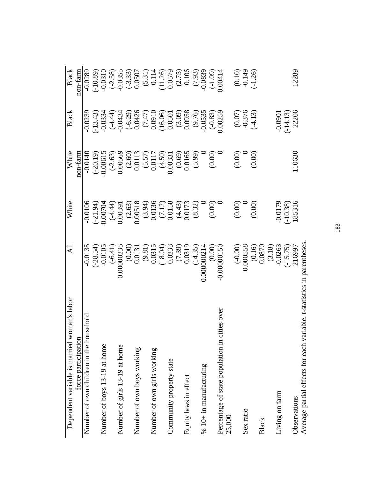| woman's labor<br>Dependent variable is married                         | All                                                                                                                                                       | White                                                                                                                                                                                                                                                                                                           | White                                                                                                                                                     | <b>Black</b>                                                                                        | Black                                                                                                                                                                           |
|------------------------------------------------------------------------|-----------------------------------------------------------------------------------------------------------------------------------------------------------|-----------------------------------------------------------------------------------------------------------------------------------------------------------------------------------------------------------------------------------------------------------------------------------------------------------------|-----------------------------------------------------------------------------------------------------------------------------------------------------------|-----------------------------------------------------------------------------------------------------|---------------------------------------------------------------------------------------------------------------------------------------------------------------------------------|
| force participation                                                    |                                                                                                                                                           |                                                                                                                                                                                                                                                                                                                 | non-farm                                                                                                                                                  |                                                                                                     | non-farm                                                                                                                                                                        |
| Number of own children in the household                                | $-0.0135$                                                                                                                                                 | $-0.0106$                                                                                                                                                                                                                                                                                                       | $-0.0140$                                                                                                                                                 | $-0.0239$                                                                                           | $-0.0289$                                                                                                                                                                       |
|                                                                        |                                                                                                                                                           |                                                                                                                                                                                                                                                                                                                 |                                                                                                                                                           | $(-13.43)$                                                                                          | $(-10.89)$                                                                                                                                                                      |
| Number of boys 13-19 at home                                           |                                                                                                                                                           |                                                                                                                                                                                                                                                                                                                 |                                                                                                                                                           |                                                                                                     |                                                                                                                                                                                 |
|                                                                        |                                                                                                                                                           |                                                                                                                                                                                                                                                                                                                 |                                                                                                                                                           |                                                                                                     |                                                                                                                                                                                 |
| Number of girls 13-19 at home                                          |                                                                                                                                                           |                                                                                                                                                                                                                                                                                                                 |                                                                                                                                                           |                                                                                                     |                                                                                                                                                                                 |
|                                                                        | $\begin{array}{c} (-28.54) \\ -0.0105 \\ (-6.41) \\ (0.0000235 \\ (0.000) \\ (0.0131 \\ (0.81) \\ (0.315 \\ (18.04) \\ (18.04) \\ (18.04) \\ \end{array}$ | $\begin{array}{l} (-21.94) \\[-4pt] (-4.44) \\[-4pt] 0.00391 \\[-4pt] 0.00318 \\[-4pt] 0.00518 \\[-4pt] 0.00518 \\[-4pt] 0.0136 \\[-4pt] 0.0136 \\[-4pt] 0.0136 \\[-4pt] 0.0138 \\[-4pt] 0.0136 \\[-4pt] 0.0138 \\[-4pt] 0.0030 \\[-4pt] 0.0030 \\[-4pt] 0.0030 \\[-4pt] 0.0030 \\[-4pt] 0.0030 \\[-4pt] 0.003$ | $\begin{array}{l} ( - 20.19 ) \\ 0.00615 \\ ( - 2.63 ) \\ 0.00569 \\ ( 2.60 ) \\ ( 0.0113 \\ ( 5.57 ) \\ ( 0.0117 \\ ( 4.50 ) \\ ( 0.0331 \\ \end{array}$ | $-0.0334\n(-4.44)\n(-6.29)\n(-6.29)\n(-6.29)\n0.0426\n0.05010\n0.05010$                             | $\begin{array}{l} 0.0310\\ (-2.58)\\ (-3.33)\\ 0.0507\\ (6.31)\\ 0.114\\ (11.26)\\ (0.579)\\ (11.26)\\ (0.106)\\ (0.106)\\ (-1.09)\\ (-1.09)\\ (-1.09)\\ 0.00414\\ \end{array}$ |
| Number of own boys working                                             |                                                                                                                                                           |                                                                                                                                                                                                                                                                                                                 |                                                                                                                                                           |                                                                                                     |                                                                                                                                                                                 |
|                                                                        |                                                                                                                                                           |                                                                                                                                                                                                                                                                                                                 |                                                                                                                                                           |                                                                                                     |                                                                                                                                                                                 |
| Number of own girls working                                            |                                                                                                                                                           |                                                                                                                                                                                                                                                                                                                 |                                                                                                                                                           |                                                                                                     |                                                                                                                                                                                 |
|                                                                        |                                                                                                                                                           |                                                                                                                                                                                                                                                                                                                 |                                                                                                                                                           |                                                                                                     |                                                                                                                                                                                 |
| Community property state                                               |                                                                                                                                                           |                                                                                                                                                                                                                                                                                                                 |                                                                                                                                                           |                                                                                                     |                                                                                                                                                                                 |
|                                                                        |                                                                                                                                                           |                                                                                                                                                                                                                                                                                                                 |                                                                                                                                                           |                                                                                                     |                                                                                                                                                                                 |
| Equity laws in effect                                                  |                                                                                                                                                           |                                                                                                                                                                                                                                                                                                                 | $(0.69)$<br>0.0165<br>0.0165<br>0.00)                                                                                                                     |                                                                                                     |                                                                                                                                                                                 |
|                                                                        |                                                                                                                                                           |                                                                                                                                                                                                                                                                                                                 |                                                                                                                                                           |                                                                                                     |                                                                                                                                                                                 |
| $\%$ 10+ in manufacturing                                              |                                                                                                                                                           |                                                                                                                                                                                                                                                                                                                 |                                                                                                                                                           |                                                                                                     |                                                                                                                                                                                 |
|                                                                        |                                                                                                                                                           |                                                                                                                                                                                                                                                                                                                 |                                                                                                                                                           |                                                                                                     |                                                                                                                                                                                 |
| cities over<br>Percentage of state population in<br>25,000             | $(7.39)$ $(14.35)$ $(14.35)$ $(0.00000214)$ $(0.00000150)$                                                                                                |                                                                                                                                                                                                                                                                                                                 |                                                                                                                                                           | $\begin{array}{c} (3.09) \\ 0.0958 \\ (9.76) \\ 0.0535 \\ (-0.83) \\ (-0.83) \\ 0.0259 \end{array}$ |                                                                                                                                                                                 |
|                                                                        |                                                                                                                                                           | (0.00)                                                                                                                                                                                                                                                                                                          | (0.00)                                                                                                                                                    |                                                                                                     | $(0.10)$<br>$-0.149$                                                                                                                                                            |
| Sex ratio                                                              | $(-0.00)$<br>0.000558                                                                                                                                     |                                                                                                                                                                                                                                                                                                                 |                                                                                                                                                           |                                                                                                     |                                                                                                                                                                                 |
|                                                                        |                                                                                                                                                           | (0.00)                                                                                                                                                                                                                                                                                                          | (0.00)                                                                                                                                                    | $(0.07)$<br>$-0.376$<br>$(-4.13)$                                                                   | $(-1.26)$                                                                                                                                                                       |
| Black                                                                  |                                                                                                                                                           |                                                                                                                                                                                                                                                                                                                 |                                                                                                                                                           |                                                                                                     |                                                                                                                                                                                 |
|                                                                        |                                                                                                                                                           |                                                                                                                                                                                                                                                                                                                 |                                                                                                                                                           |                                                                                                     |                                                                                                                                                                                 |
| Living on farm                                                         | $\begin{array}{c} (0.16) \\ 0.0870 \\ (3.18) \\ -0.0263 \\ (-15.75) \\ 216997 \end{array}$                                                                | $-0.0179$<br>$(-10.38)$                                                                                                                                                                                                                                                                                         |                                                                                                                                                           | $-0.0901$<br>$(-14.13)$<br>22206                                                                    |                                                                                                                                                                                 |
|                                                                        |                                                                                                                                                           |                                                                                                                                                                                                                                                                                                                 |                                                                                                                                                           |                                                                                                     |                                                                                                                                                                                 |
| Observations                                                           |                                                                                                                                                           | 185316                                                                                                                                                                                                                                                                                                          | 110630                                                                                                                                                    |                                                                                                     | 12289                                                                                                                                                                           |
| Average partial effects for each variable. t-statistics in parentheses |                                                                                                                                                           |                                                                                                                                                                                                                                                                                                                 |                                                                                                                                                           |                                                                                                     |                                                                                                                                                                                 |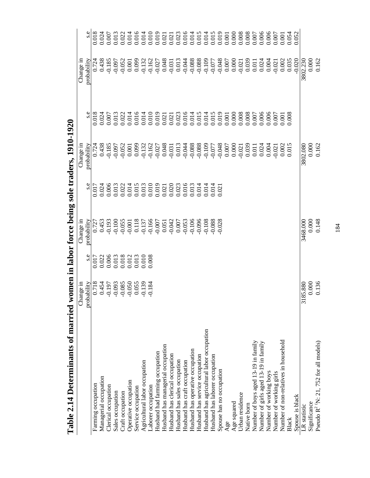| <b>Dell'introduction of the first liter</b><br>THE AIRST |                   |       |                                                                                                                                                                                                                                                                                                                                | $\sim$                                                                                                                                                                                                                                                                                              | $\frac{5}{2}$     |       |                     |                                                                                                                                                                                                                                                                                                     |
|----------------------------------------------------------|-------------------|-------|--------------------------------------------------------------------------------------------------------------------------------------------------------------------------------------------------------------------------------------------------------------------------------------------------------------------------------|-----------------------------------------------------------------------------------------------------------------------------------------------------------------------------------------------------------------------------------------------------------------------------------------------------|-------------------|-------|---------------------|-----------------------------------------------------------------------------------------------------------------------------------------------------------------------------------------------------------------------------------------------------------------------------------------------------|
|                                                          | Change in         |       | Change in                                                                                                                                                                                                                                                                                                                      |                                                                                                                                                                                                                                                                                                     | Change in         |       | Change in           |                                                                                                                                                                                                                                                                                                     |
|                                                          | probability       | s.e   | probability                                                                                                                                                                                                                                                                                                                    | s.e                                                                                                                                                                                                                                                                                                 | probability       | s.e   | probability         | s.e                                                                                                                                                                                                                                                                                                 |
| Farming occupation                                       | 0.718             | 0.017 | 0.727                                                                                                                                                                                                                                                                                                                          | 0.017                                                                                                                                                                                                                                                                                               | 0.724             | 0.018 |                     | 0.018                                                                                                                                                                                                                                                                                               |
| Managerial occupation                                    | 0.454             | 0.022 | 0.453                                                                                                                                                                                                                                                                                                                          | 0.024                                                                                                                                                                                                                                                                                               | 0.438             | 0.024 | 0.438               | 0.024                                                                                                                                                                                                                                                                                               |
| Clerical occupation                                      | $-0.197$          | 0.006 | $-0.193$                                                                                                                                                                                                                                                                                                                       | 0.006                                                                                                                                                                                                                                                                                               | $-0.185$          | 0.007 | $-0.185$            | 0.007                                                                                                                                                                                                                                                                                               |
| Sales occupation                                         | $-0.093$          | 0.013 | $-0.100$                                                                                                                                                                                                                                                                                                                       | 0.013                                                                                                                                                                                                                                                                                               | $-0.097$          | 0.013 | $-0.097$            | 0.013                                                                                                                                                                                                                                                                                               |
| Craft occupation                                         | $-0.085$          | 0.018 | $-0.055$                                                                                                                                                                                                                                                                                                                       |                                                                                                                                                                                                                                                                                                     | $-0.052$          | 0.022 | $-0.052$            | 0.022                                                                                                                                                                                                                                                                                               |
| Operative occupation                                     | $-0.050$          | 0.012 | $\begin{array}{l} 0.001 \\ 0.118 \\ 0.137 \\ 0.007 \\ -0.007 \\ -0.007 \\ -0.007 \\ -0.007 \\ -0.003 \\ -0.009 \\ -0.096 \\ -0.096 \\ -0.096 \\ -0.096 \\ -0.096 \\ -0.096 \\ -0.096 \\ -0.096 \\ -0.096 \\ -0.096 \\ -0.096 \\ -0.096 \\ -0.096 \\ -0.096 \\ -0.096 \\ -0.096 \\ -0.096 \\ -0.096 \\ -0.096 \\ -0.096 \\ -0.$ | $\begin{array}{l} 0.022 \\ 0.014 \\ 0.015 \\ 0.010 \\ 0.010 \\ 0.000 \\ 0.000 \\ 0.000 \\ 0.000 \\ 0.001 \\ 0.014 \\ 0.014 \\ 0.014 \\ 0.014 \\ 0.014 \\ 0.014 \\ 0.014 \\ 0.014 \\ 0.014 \\ 0.014 \\ 0.014 \\ 0.014 \\ 0.014 \\ 0.014 \\ 0.014 \\ 0.014 \\ 0.014 \\ 0.014 \\ 0.014 \\ 0.014 \\ 0.$ | 0.001             |       | 0.001               | 0.014                                                                                                                                                                                                                                                                                               |
| Service occupation                                       | 0.055             | 0.013 |                                                                                                                                                                                                                                                                                                                                |                                                                                                                                                                                                                                                                                                     | 0.099             |       | 0.099               | 0.016                                                                                                                                                                                                                                                                                               |
| Agricultural labor occupation                            | $-0.139$          | 0.010 |                                                                                                                                                                                                                                                                                                                                |                                                                                                                                                                                                                                                                                                     | $-0.132$          |       |                     | 0.014                                                                                                                                                                                                                                                                                               |
| Laborer occupation                                       | $-0.184$          | 0.008 |                                                                                                                                                                                                                                                                                                                                |                                                                                                                                                                                                                                                                                                     |                   |       |                     | 0.010                                                                                                                                                                                                                                                                                               |
| Husband had farming occupation                           |                   |       |                                                                                                                                                                                                                                                                                                                                |                                                                                                                                                                                                                                                                                                     |                   |       |                     |                                                                                                                                                                                                                                                                                                     |
| Husband has managerial occupation                        |                   |       |                                                                                                                                                                                                                                                                                                                                |                                                                                                                                                                                                                                                                                                     |                   |       |                     |                                                                                                                                                                                                                                                                                                     |
| Husband has clerical occupation                          |                   |       |                                                                                                                                                                                                                                                                                                                                |                                                                                                                                                                                                                                                                                                     |                   |       |                     |                                                                                                                                                                                                                                                                                                     |
| Husband has sales occupation                             |                   |       |                                                                                                                                                                                                                                                                                                                                |                                                                                                                                                                                                                                                                                                     |                   |       |                     |                                                                                                                                                                                                                                                                                                     |
| Husband has craft occupation                             |                   |       |                                                                                                                                                                                                                                                                                                                                |                                                                                                                                                                                                                                                                                                     |                   |       |                     |                                                                                                                                                                                                                                                                                                     |
| Husband has operative occupation                         |                   |       |                                                                                                                                                                                                                                                                                                                                |                                                                                                                                                                                                                                                                                                     |                   |       |                     | $\begin{array}{l} 0.019 \\ 0.021 \\ 0.021 \\ 0.003 \\ 0.014 \\ 0.014 \\ 0.014 \\ 0.014 \\ 0.014 \\ 0.014 \\ 0.019 \\ 0.000 \\ 0.000 \\ 0.000 \\ 0.000 \\ 0.000 \\ 0.000 \\ 0.000 \\ 0.000 \\ 0.000 \\ 0.000 \\ 0.000 \\ 0.000 \\ 0.000 \\ 0.000 \\ 0.000 \\ 0.000 \\ 0.000 \\ 0.000 \\ 0.000 \\ 0.$ |
| Husband has service occupation                           |                   |       |                                                                                                                                                                                                                                                                                                                                |                                                                                                                                                                                                                                                                                                     |                   |       |                     |                                                                                                                                                                                                                                                                                                     |
| Husband has agricultural labor occupation                |                   |       | $-0.108$                                                                                                                                                                                                                                                                                                                       | 0.014                                                                                                                                                                                                                                                                                               |                   |       |                     |                                                                                                                                                                                                                                                                                                     |
| Husband has laborer occupation                           |                   |       | $-0.088$                                                                                                                                                                                                                                                                                                                       | 0.014                                                                                                                                                                                                                                                                                               |                   |       |                     |                                                                                                                                                                                                                                                                                                     |
| Spouse has no occupation                                 |                   |       | $-0.028$                                                                                                                                                                                                                                                                                                                       | 0.021                                                                                                                                                                                                                                                                                               |                   |       | $-0.048$            |                                                                                                                                                                                                                                                                                                     |
| Age                                                      |                   |       |                                                                                                                                                                                                                                                                                                                                |                                                                                                                                                                                                                                                                                                     |                   | 0.001 | 0.007               | 0.001                                                                                                                                                                                                                                                                                               |
| Age squared                                              |                   |       |                                                                                                                                                                                                                                                                                                                                |                                                                                                                                                                                                                                                                                                     |                   | 0.000 | 0.000               | 0.000                                                                                                                                                                                                                                                                                               |
| Urban residence                                          |                   |       |                                                                                                                                                                                                                                                                                                                                |                                                                                                                                                                                                                                                                                                     | $-0.021$          | 0.008 | $-0.021$            | 0.008                                                                                                                                                                                                                                                                                               |
| Native born                                              |                   |       |                                                                                                                                                                                                                                                                                                                                |                                                                                                                                                                                                                                                                                                     | 0.039             | 0.008 | 0.039               | 0.008                                                                                                                                                                                                                                                                                               |
| Number of boys aged 13-19 in family                      |                   |       |                                                                                                                                                                                                                                                                                                                                |                                                                                                                                                                                                                                                                                                     | 0.011             | 0.007 | 0.011               | 0.007                                                                                                                                                                                                                                                                                               |
| Number of girls aged 13-19 in family                     |                   |       |                                                                                                                                                                                                                                                                                                                                |                                                                                                                                                                                                                                                                                                     | 0.024             | 0.006 | 0.024               | 0.006                                                                                                                                                                                                                                                                                               |
| Number of working boys                                   |                   |       |                                                                                                                                                                                                                                                                                                                                |                                                                                                                                                                                                                                                                                                     | 0.004             | 0.006 | 0.004               | 0.006                                                                                                                                                                                                                                                                                               |
| Number of working girls                                  |                   |       |                                                                                                                                                                                                                                                                                                                                |                                                                                                                                                                                                                                                                                                     | 0.021             | 0.007 | $-0.021$            | $0.007\,$                                                                                                                                                                                                                                                                                           |
| Number of non-relatives in household                     |                   |       |                                                                                                                                                                                                                                                                                                                                |                                                                                                                                                                                                                                                                                                     | 0.002<br>0.015    | 0.001 | 0.002               | 0.001                                                                                                                                                                                                                                                                                               |
| Black                                                    |                   |       |                                                                                                                                                                                                                                                                                                                                |                                                                                                                                                                                                                                                                                                     |                   | 0.008 | 0.035               | 0.054                                                                                                                                                                                                                                                                                               |
| Spouse is black                                          |                   |       |                                                                                                                                                                                                                                                                                                                                |                                                                                                                                                                                                                                                                                                     |                   |       | $-0.020$            | 0.052                                                                                                                                                                                                                                                                                               |
| Significance<br>LR statistic                             | 3185.880<br>0.000 |       | 0.000<br>3468.000                                                                                                                                                                                                                                                                                                              |                                                                                                                                                                                                                                                                                                     | 0.000<br>3802.080 |       | $0.000$<br>3802.230 |                                                                                                                                                                                                                                                                                                     |
| Pseudo $R^2$ 'N: 21, 752 for all models)                 | 0.136             |       | 0.148                                                                                                                                                                                                                                                                                                                          |                                                                                                                                                                                                                                                                                                     | 0.162             |       | 0.162               |                                                                                                                                                                                                                                                                                                     |

Table 2.14 Determinants of married women in labor force being sole traders, 1910-1920 **Table 2.14 Determinants of married women in labor force being sole traders, 1910-1920**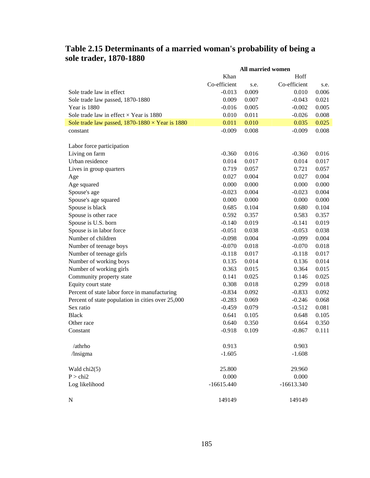|                                                        |              | <b>All married women</b> |              |       |
|--------------------------------------------------------|--------------|--------------------------|--------------|-------|
|                                                        | Khan         |                          | Hoff         |       |
|                                                        | Co-efficient | s.e.                     | Co-efficient | s.e.  |
| Sole trade law in effect                               | $-0.013$     | 0.009                    | 0.010        | 0.006 |
| Sole trade law passed, 1870-1880                       | 0.009        | 0.007                    | $-0.043$     | 0.021 |
| Year is 1880                                           | $-0.016$     | 0.005                    | $-0.002$     | 0.005 |
| Sole trade law in effect $\times$ Year is 1880         | 0.010        | 0.011                    | $-0.026$     | 0.008 |
| Sole trade law passed, $1870-1880 \times$ Year is 1880 | 0.011        | 0.010                    | 0.035        | 0.025 |
| constant                                               | $-0.009$     | 0.008                    | $-0.009$     | 0.008 |
|                                                        |              |                          |              |       |
| Labor force participation                              |              |                          |              |       |
| Living on farm                                         | $-0.360$     | 0.016                    | $-0.360$     | 0.016 |
| Urban residence                                        | 0.014        | 0.017                    | 0.014        | 0.017 |
| Lives in group quarters                                | 0.719        | 0.057                    | 0.721        | 0.057 |
| Age                                                    | 0.027        | 0.004                    | 0.027        | 0.004 |
| Age squared                                            | 0.000        | 0.000                    | 0.000        | 0.000 |
| Spouse's age                                           | $-0.023$     | 0.004                    | $-0.023$     | 0.004 |
| Spouse's age squared                                   | 0.000        | 0.000                    | 0.000        | 0.000 |
| Spouse is black                                        | 0.685        | 0.104                    | 0.680        | 0.104 |
| Spouse is other race                                   | 0.592        | 0.357                    | 0.583        | 0.357 |
| Spouse is U.S. born                                    | $-0.140$     | 0.019                    | $-0.141$     | 0.019 |
| Spouse is in labor force                               | $-0.051$     | 0.038                    | $-0.053$     | 0.038 |
| Number of children                                     | $-0.098$     | 0.004                    | $-0.099$     | 0.004 |
| Number of teenage boys                                 | $-0.070$     | 0.018                    | $-0.070$     | 0.018 |
| Number of teenage girls                                | $-0.118$     | 0.017                    | $-0.118$     | 0.017 |
| Number of working boys                                 | 0.135        | 0.014                    | 0.136        | 0.014 |
| Number of working girls                                | 0.363        | 0.015                    | 0.364        | 0.015 |
| Community property state                               | 0.141        | 0.025                    | 0.146        | 0.025 |
| Equity court state                                     | 0.308        | 0.018                    | 0.299        | 0.018 |
| Percent of state labor force in manufacturing          | $-0.834$     | 0.092                    | $-0.833$     | 0.092 |
| Percent of state population in cities over 25,000      | $-0.283$     | 0.069                    | $-0.246$     | 0.068 |
| Sex ratio                                              | $-0.459$     | 0.079                    | $-0.512$     | 0.081 |
| <b>Black</b>                                           | 0.641        | 0.105                    | 0.648        | 0.105 |
| Other race                                             | 0.640        | 0.350                    | 0.664        | 0.350 |
| Constant                                               | $-0.918$     | 0.109                    | $-0.867$     | 0.111 |
|                                                        |              |                          |              |       |
| /athrho                                                | 0.913        |                          | 0.903        |       |
| /lnsigma                                               | $-1.605$     |                          | $-1.608$     |       |
|                                                        |              |                          |              |       |
| Wald chi2(5)                                           | 25.800       |                          | 29.960       |       |
| P > chi2                                               | 0.000        |                          | 0.000        |       |
| Log likelihood                                         | $-16615.440$ |                          | $-16613.340$ |       |
|                                                        |              |                          |              |       |
| $\mathbf N$                                            | 149149       |                          | 149149       |       |

## **Table 2.15 Determinants of a married woman's probability of being a sole trader, 1870-1880**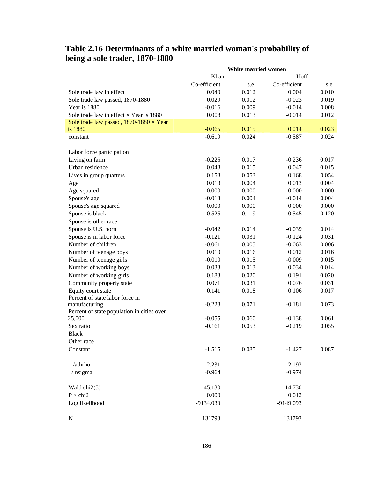## **Table 2.16 Determinants of a white married woman's probability of being a sole trader, 1870-1880**

|                                                |              | White married women |              |       |
|------------------------------------------------|--------------|---------------------|--------------|-------|
|                                                | Khan         |                     | Hoff         |       |
|                                                | Co-efficient | s.e.                | Co-efficient | s.e.  |
| Sole trade law in effect                       | 0.040        | 0.012               | 0.004        | 0.010 |
| Sole trade law passed, 1870-1880               | 0.029        | 0.012               | $-0.023$     | 0.019 |
| Year is 1880                                   | $-0.016$     | 0.009               | $-0.014$     | 0.008 |
| Sole trade law in effect $\times$ Year is 1880 | 0.008        | 0.013               | $-0.014$     | 0.012 |
| Sole trade law passed, $1870-1880 \times Year$ |              |                     |              |       |
| is 1880                                        | $-0.065$     | 0.015               | 0.014        | 0.023 |
| constant                                       | $-0.619$     | 0.024               | $-0.587$     | 0.024 |
| Labor force participation                      |              |                     |              |       |
| Living on farm                                 | $-0.225$     | 0.017               | $-0.236$     | 0.017 |
| Urban residence                                | 0.048        | 0.015               | 0.047        | 0.015 |
| Lives in group quarters                        | 0.158        | 0.053               | 0.168        | 0.054 |
| Age                                            | 0.013        | 0.004               | 0.013        | 0.004 |
| Age squared                                    | 0.000        | 0.000               | 0.000        | 0.000 |
| Spouse's age                                   | $-0.013$     | 0.004               | $-0.014$     | 0.004 |
| Spouse's age squared                           | 0.000        | 0.000               | 0.000        | 0.000 |
| Spouse is black                                | 0.525        | 0.119               | 0.545        | 0.120 |
| Spouse is other race                           |              |                     |              |       |
| Spouse is U.S. born                            | $-0.042$     | 0.014               | $-0.039$     | 0.014 |
| Spouse is in labor force                       | $-0.121$     | 0.031               | $-0.124$     | 0.031 |
| Number of children                             | $-0.061$     | 0.005               | $-0.063$     | 0.006 |
| Number of teenage boys                         | 0.010        | 0.016               | 0.012        | 0.016 |
| Number of teenage girls                        | $-0.010$     | 0.015               | $-0.009$     | 0.015 |
| Number of working boys                         | 0.033        | 0.013               | 0.034        | 0.014 |
| Number of working girls                        | 0.183        | 0.020               | 0.191        | 0.020 |
| Community property state                       | 0.071        | 0.031               | 0.076        | 0.031 |
| Equity court state                             | 0.141        | 0.018               | 0.106        | 0.017 |
| Percent of state labor force in                |              |                     |              |       |
| manufacturing                                  | $-0.228$     | 0.071               | $-0.181$     | 0.073 |
| Percent of state population in cities over     |              |                     |              |       |
| 25,000                                         | $-0.055$     | 0.060               | $-0.138$     | 0.061 |
| Sex ratio                                      | $-0.161$     | 0.053               | $-0.219$     | 0.055 |
| <b>Black</b>                                   |              |                     |              |       |
| Other race                                     |              |                     |              |       |
| Constant                                       | $-1.515$     | 0.085               | $-1.427$     | 0.087 |
| /athrho                                        | 2.231        |                     | 2.193        |       |
| /Insigma                                       | $-0.964$     |                     | $-0.974$     |       |
| Wald $chi2(5)$                                 | 45.130       |                     | 14.730       |       |
| P > chi2                                       | 0.000        |                     | 0.012        |       |
| Log likelihood                                 | -9134.030    |                     | -9149.093    |       |
| N                                              | 131793       |                     | 131793       |       |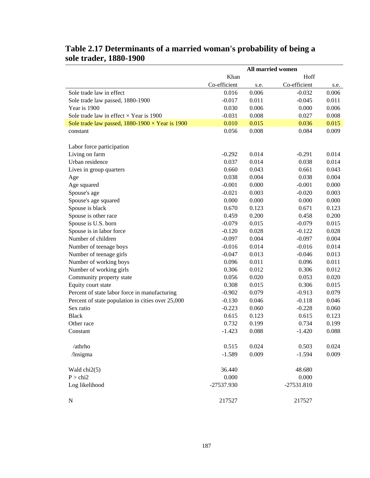|                                                        |              |       | All married women |       |
|--------------------------------------------------------|--------------|-------|-------------------|-------|
|                                                        | Khan         |       | Hoff              |       |
|                                                        | Co-efficient | s.e.  | Co-efficient      | s.e.  |
| Sole trade law in effect                               | 0.016        | 0.006 | $-0.032$          | 0.006 |
| Sole trade law passed, 1880-1900                       | $-0.017$     | 0.011 | $-0.045$          | 0.011 |
| Year is 1900                                           | 0.030        | 0.006 | 0.000             | 0.006 |
| Sole trade law in effect $\times$ Year is 1900         | $-0.031$     | 0.008 | 0.027             | 0.008 |
| Sole trade law passed, $1880-1900 \times$ Year is 1900 | 0.010        | 0.015 | 0.036             | 0.015 |
| constant                                               | 0.056        | 0.008 | 0.084             | 0.009 |
|                                                        |              |       |                   |       |
| Labor force participation                              |              |       |                   |       |
| Living on farm                                         | $-0.292$     | 0.014 | $-0.291$          | 0.014 |
| Urban residence                                        | 0.037        | 0.014 | 0.038             | 0.014 |
| Lives in group quarters                                | 0.660        | 0.043 | 0.661             | 0.043 |
| Age                                                    | 0.038        | 0.004 | 0.038             | 0.004 |
| Age squared                                            | $-0.001$     | 0.000 | $-0.001$          | 0.000 |
| Spouse's age                                           | $-0.021$     | 0.003 | $-0.020$          | 0.003 |
| Spouse's age squared                                   | 0.000        | 0.000 | 0.000             | 0.000 |
| Spouse is black                                        | 0.670        | 0.123 | 0.671             | 0.123 |
| Spouse is other race                                   | 0.459        | 0.200 | 0.458             | 0.200 |
| Spouse is U.S. born                                    | $-0.079$     | 0.015 | $-0.079$          | 0.015 |
| Spouse is in labor force                               | $-0.120$     | 0.028 | $-0.122$          | 0.028 |
| Number of children                                     | $-0.097$     | 0.004 | $-0.097$          | 0.004 |
| Number of teenage boys                                 | $-0.016$     | 0.014 | $-0.016$          | 0.014 |
| Number of teenage girls                                | $-0.047$     | 0.013 | $-0.046$          | 0.013 |
| Number of working boys                                 | 0.096        | 0.011 | 0.096             | 0.011 |
| Number of working girls                                | 0.306        | 0.012 | 0.306             | 0.012 |
| Community property state                               | 0.056        | 0.020 | 0.053             | 0.020 |
| Equity court state                                     | 0.308        | 0.015 | 0.306             | 0.015 |
| Percent of state labor force in manufacturing          | $-0.902$     | 0.079 | $-0.913$          | 0.079 |
| Percent of state population in cities over 25,000      | $-0.130$     | 0.046 | $-0.118$          | 0.046 |
| Sex ratio                                              | $-0.223$     | 0.060 | $-0.228$          | 0.060 |
| <b>Black</b>                                           | 0.615        | 0.123 | 0.615             | 0.123 |
| Other race                                             | 0.732        | 0.199 | 0.734             | 0.199 |
| Constant                                               | $-1.423$     | 0.088 | $-1.420$          | 0.088 |
|                                                        |              |       |                   |       |
| /athrho                                                | 0.515        | 0.024 | 0.503             | 0.024 |
| /Insigma                                               | $-1.589$     | 0.009 | $-1.594$          | 0.009 |
|                                                        |              |       |                   |       |
| Wald $chi2(5)$                                         | 36.440       |       | 48.680            |       |
| P > chi2                                               | 0.000        |       | 0.000             |       |
| Log likelihood                                         | -27537.930   |       | $-27531.810$      |       |
| $\mathbf N$                                            | 217527       |       | 217527            |       |
|                                                        |              |       |                   |       |

## **Table 2.17 Determinants of a married woman's probability of being a sole trader, 1880-1900**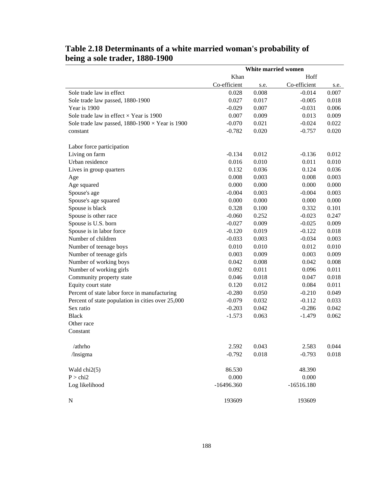|                                                        |              |       | White married women |       |
|--------------------------------------------------------|--------------|-------|---------------------|-------|
|                                                        | Khan         |       | Hoff                |       |
|                                                        | Co-efficient | s.e.  | Co-efficient        | s.e.  |
| Sole trade law in effect                               | 0.028        | 0.008 | $-0.014$            | 0.007 |
| Sole trade law passed, 1880-1900                       | 0.027        | 0.017 | $-0.005$            | 0.018 |
| Year is 1900                                           | $-0.029$     | 0.007 | $-0.031$            | 0.006 |
| Sole trade law in effect $\times$ Year is 1900         | 0.007        | 0.009 | 0.013               | 0.009 |
| Sole trade law passed, $1880-1900 \times$ Year is 1900 | $-0.070$     | 0.021 | $-0.024$            | 0.022 |
| constant                                               | $-0.782$     | 0.020 | $-0.757$            | 0.020 |
| Labor force participation                              |              |       |                     |       |
| Living on farm                                         | $-0.134$     | 0.012 | $-0.136$            | 0.012 |
| Urban residence                                        | 0.016        | 0.010 | 0.011               | 0.010 |
| Lives in group quarters                                | 0.132        | 0.036 | 0.124               | 0.036 |
| Age                                                    | 0.008        | 0.003 | 0.008               | 0.003 |
| Age squared                                            | 0.000        | 0.000 | 0.000               | 0.000 |
| Spouse's age                                           | $-0.004$     | 0.003 | $-0.004$            | 0.003 |
| Spouse's age squared                                   | 0.000        | 0.000 | 0.000               | 0.000 |
| Spouse is black                                        | 0.328        | 0.100 | 0.332               | 0.101 |
| Spouse is other race                                   | $-0.060$     | 0.252 | $-0.023$            | 0.247 |
| Spouse is U.S. born                                    | $-0.027$     | 0.009 | $-0.025$            | 0.009 |
| Spouse is in labor force                               | $-0.120$     | 0.019 | $-0.122$            | 0.018 |
| Number of children                                     | $-0.033$     | 0.003 | $-0.034$            | 0.003 |
| Number of teenage boys                                 | 0.010        | 0.010 | 0.012               | 0.010 |
| Number of teenage girls                                | 0.003        | 0.009 | 0.003               | 0.009 |
| Number of working boys                                 | 0.042        | 0.008 | 0.042               | 0.008 |
| Number of working girls                                | 0.092        | 0.011 | 0.096               | 0.011 |
| Community property state                               | 0.046        | 0.018 | 0.047               | 0.018 |
| Equity court state                                     | 0.120        | 0.012 | 0.084               | 0.011 |
| Percent of state labor force in manufacturing          | $-0.280$     | 0.050 | $-0.210$            | 0.049 |
| Percent of state population in cities over 25,000      | $-0.079$     | 0.032 | $-0.112$            | 0.033 |
| Sex ratio                                              | $-0.203$     | 0.042 | $-0.286$            | 0.042 |
| <b>Black</b>                                           | $-1.573$     | 0.063 | $-1.479$            | 0.062 |
| Other race                                             |              |       |                     |       |
| Constant                                               |              |       |                     |       |
| /athrho                                                | 2.592        | 0.043 | 2.583               | 0.044 |
| /lnsigma                                               | $-0.792$     | 0.018 | $-0.793$            | 0.018 |
| Wald $chi2(5)$                                         | 86.530       |       | 48.390              |       |
| P > chi2                                               | 0.000        |       | 0.000               |       |
| Log likelihood                                         | $-16496.360$ |       | $-16516.180$        |       |
| $\mathbf N$                                            | 193609       |       | 193609              |       |

## **Table 2.18 Determinants of a white married woman's probability of being a sole trader, 1880-1900**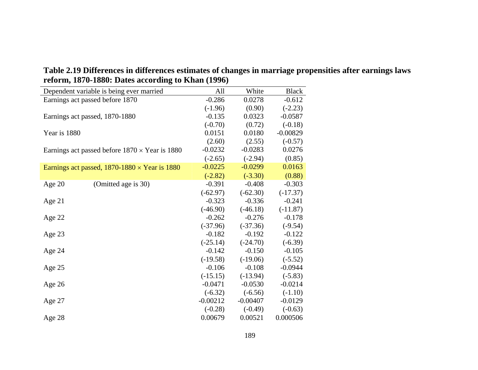| $\frac{1}{2}$ , $\frac{1}{2}$ , $\frac{1}{2}$ , $\frac{1}{2}$ |            |            |              |
|---------------------------------------------------------------|------------|------------|--------------|
| Dependent variable is being ever married                      | All        | White      | <b>Black</b> |
| Earnings act passed before 1870                               | $-0.286$   | 0.0278     | $-0.612$     |
|                                                               | $(-1.96)$  | (0.90)     | $(-2.23)$    |
| Earnings act passed, 1870-1880                                | $-0.135$   | 0.0323     | $-0.0587$    |
|                                                               | $(-0.70)$  | (0.72)     | $(-0.18)$    |
| Year is 1880                                                  | 0.0151     | 0.0180     | $-0.00829$   |
|                                                               | (2.60)     | (2.55)     | $(-0.57)$    |
| Earnings act passed before $1870 \times$ Year is 1880         | $-0.0232$  | $-0.0283$  | 0.0276       |
|                                                               | $(-2.65)$  | $(-2.94)$  | (0.85)       |
| Earnings act passed, $1870-1880 \times$ Year is 1880          | $-0.0225$  | $-0.0299$  | 0.0163       |
|                                                               | $(-2.82)$  | $(-3.30)$  | (0.88)       |
| Age $20$<br>(Omitted age is 30)                               | $-0.391$   | $-0.408$   | $-0.303$     |
|                                                               | $(-62.97)$ | $(-62.30)$ | $(-17.37)$   |
| Age $21$                                                      | $-0.323$   | $-0.336$   | $-0.241$     |
|                                                               | $(-46.90)$ | $(-46.18)$ | $(-11.87)$   |
| Age $22$                                                      | $-0.262$   | $-0.276$   | $-0.178$     |
|                                                               | $(-37.96)$ | $(-37.36)$ | $(-9.54)$    |
| Age $23$                                                      | $-0.182$   | $-0.192$   | $-0.122$     |
|                                                               | $(-25.14)$ | $(-24.70)$ | $(-6.39)$    |
| Age $24$                                                      | $-0.142$   | $-0.150$   | $-0.105$     |
|                                                               | $(-19.58)$ | $(-19.06)$ | $(-5.52)$    |
| Age 25                                                        | $-0.106$   | $-0.108$   | $-0.0944$    |
|                                                               | $(-15.15)$ | $(-13.94)$ | $(-5.83)$    |
| Age $26$                                                      | $-0.0471$  | $-0.0530$  | $-0.0214$    |
|                                                               | $(-6.32)$  | $(-6.56)$  | $(-1.10)$    |
| Age $27$                                                      | $-0.00212$ | $-0.00407$ | $-0.0129$    |
|                                                               | $(-0.28)$  | $(-0.49)$  | $(-0.63)$    |
| Age 28                                                        | 0.00679    | 0.00521    | 0.000506     |

**Table 2.19 Differences in differences estimates of changes in marriage propensities after earnings laws reform, 1870-1880: Dates according to Khan (1996)**   $\overline{\phantom{0}}$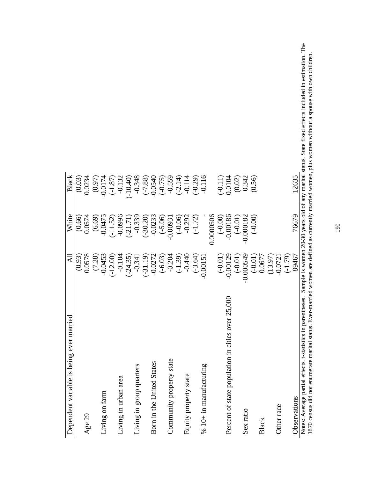| Dependent variable is being ever married                     | Я           | White       | Black                                                      |
|--------------------------------------------------------------|-------------|-------------|------------------------------------------------------------|
|                                                              | (0.93)      | (0.66)      | (0.03)                                                     |
| Age 29                                                       | 0.0578      | 0.0574      | 0.0234                                                     |
|                                                              | (7.28)      | (6.69)      | (0.97)                                                     |
| Living on farm                                               | $-0.0453$   | $-0.0475$   | $-0.0174$                                                  |
|                                                              | $(-12.00)$  | $(-11.52)$  | $(-1.87)$                                                  |
| Living in urban area                                         | $-0.104$    | $-0.0996$   | $-0.132$                                                   |
|                                                              | $(-24.35)$  | $(-21.71)$  | $-10.40$                                                   |
| Living in group quarters                                     | $-0.341$    | $-0.339$    | $-0.348$                                                   |
|                                                              | $(-31.19)$  | $(-30.20)$  | $(-7.88)$<br>-0.0540                                       |
| Born in the United States                                    | $-0.0272$   | $-0.0233$   |                                                            |
|                                                              | $(-6.03)$   | $(-5.06)$   | $(-0.75)$                                                  |
| Community property state                                     | $-0.204$    | $-0.00931$  | $-0.559$                                                   |
|                                                              | $(-1.39)$   | $(-0.06)$   | $(-2.14)$                                                  |
| Equity property state                                        | $-0.440$    | $-0.292$    | $-0.114$<br>$(-0.29)$                                      |
|                                                              | $(-3.64)$   | $(-1.72)$   |                                                            |
| $% 10+$ in manufacturing                                     | $-0.0015$   |             | $-0.116$                                                   |
|                                                              |             | 0.0000506   |                                                            |
|                                                              | $(-0.01)$   | $(-0.00)$   | $(-0.11)$                                                  |
| Percent of state population in cities over 25,000            | $-0.00129$  | $-0.00186$  | 0.0104                                                     |
|                                                              | $(-0.01)$   | $(-0.01)$   | (0.02)                                                     |
| Sex ratio                                                    | $-0.000549$ | $-0.000182$ | 0.342                                                      |
|                                                              | $(-0.01)$   | $(-0.00)$   | (0.56)                                                     |
| Black                                                        | 0.0677      |             |                                                            |
|                                                              | (13.97)     |             |                                                            |
| Other race                                                   | $-0.0721$   |             |                                                            |
|                                                              | $(-1.79)$   |             |                                                            |
| Observations                                                 | 89467       | 76679       | 12635                                                      |
| Notes: Average partial effects. t-statistics in parentheses. |             |             | Sample is women 20-30 years old of any marital status. Sta |

Notes: Average partial effects. t-statistics in parentheses. Sample is women 20-30 years old of any marital status. State fixed effects included in estimation. The 1870 census did not enumerate marital status. Ever-married Notes: Average partial effects. t-statistics in parentheses. Sample is women 20-30 years old of any marital status. State fixed effects included in estimation. The 1870 census did not enumerate marital status. Ever-married women are defined as currently married women, plus women without a spouse with own children. Ί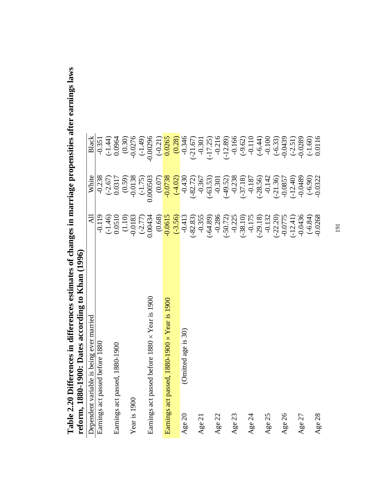|                                 | O                                              |            |            |                        |
|---------------------------------|------------------------------------------------|------------|------------|------------------------|
|                                 | Dependent variable is being ever married       | ₹          | White      | Black                  |
| Earnings act passed before 1880 |                                                | $-0.119$   | $-0.238$   | $-0.351$               |
|                                 |                                                | $(-1.46)$  | $(-2.67)$  | $(-1.44)$<br>0.0964    |
| Earnings act passed, 1880-1900  |                                                |            | 0.0317     |                        |
|                                 |                                                | (0.0510)   | (0.59)     |                        |
| Year is 1900                    |                                                | $-0.0183$  | $-0.0138$  | $(0.30)$<br>$-0.0276$  |
|                                 |                                                | $(-2.77)$  | $(-1.75)$  | $(-1.49)$              |
|                                 | Earnings act passed before 1880 x Year is 1900 | 0.00434    | 0.000503   | $-0.00296$             |
|                                 |                                                | (0.68)     | (0.07)     | $(-0.21)$              |
|                                 | Earnings act passed, 1880-1900 × Year is 1900  | $-0.0615$  | $-0.0738$  | 0.0265                 |
|                                 |                                                | $(-3.56)$  | $(-4.02)$  | (0.28)                 |
| Age 20                          | (Omitted age is 30)                            | $-0.413$   | $-0.430$   | $-0.346$               |
|                                 |                                                | $(-82.83)$ | $(-82.72)$ | $(-21.67)$             |
| Age 21                          |                                                | $-0.355$   | $-0.367$   | $-0.301$               |
|                                 |                                                | $(-64.89)$ | $(-63.53)$ | $(-17.25)$             |
| Age 22                          |                                                | $-0.286$   | $-0.301$   | $-0.216$               |
|                                 |                                                | $(-50.72)$ | $(-49.52)$ | $(-12.89)$             |
| Age 23                          |                                                | $-0.225$   | $-0.238$   |                        |
|                                 |                                                | $(-38.10)$ | $(-37.18)$ | $-0.166$<br>$(-9.62)$  |
| Age 24                          |                                                | $-0.175$   | $-0.187$   | $-0.110$               |
|                                 |                                                | $(-29.18)$ | $(-28.56)$ | $(-6.44)$<br>$-0.100$  |
| Age 25                          |                                                | $-0.132$   | $-0.142$   |                        |
|                                 |                                                | $(-22.20)$ | $-21.36$   | $(-6.33)$<br>$-0.0439$ |
| Age 26                          |                                                | $-0.0775$  | $-0.0857$  |                        |
|                                 |                                                | $(-12.41)$ | $(-12.40)$ | $(-2.51)$              |
| Age 27                          |                                                | $-0.0436$  | $-0.0489$  | $-0.0289$<br>$(-1.60)$ |
|                                 |                                                | $(-6.84)$  | $(-6.90)$  |                        |
| Age 28                          |                                                | $-0.0268$  | $-0.0322$  | 0.0116                 |

Table 2.20 Differences in differences estimates of changes in marriage propensities after earnings laws **Table 2.20 Differences in differences estimates of changes in marriage propensities after earnings laws**  reform, 1880-1900: Dates according to Khan (1996) **reform, 1880-1900: Dates according to Khan (1996)**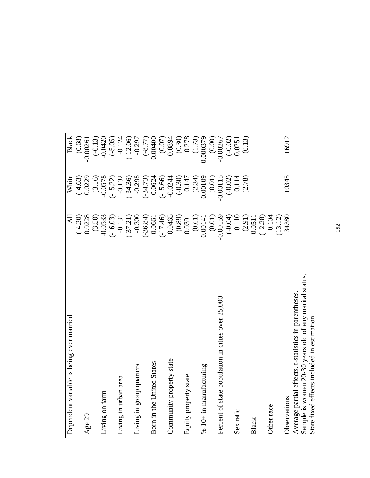| Dependent variable is being ever married                                                                      | $\overline{A}$     | White      | Black               |
|---------------------------------------------------------------------------------------------------------------|--------------------|------------|---------------------|
|                                                                                                               | $(-4.30)$          | $(-4.63)$  | (0.68)              |
| Age 29                                                                                                        | 0.0228             | 0.0229     | $-0.00261$          |
|                                                                                                               | (3.50)             | (3.16)     | $(-0.13)$           |
| Living on farm                                                                                                | $-0.0533$          | $-0.0578$  | $-0.0420$           |
|                                                                                                               | $(-16.03)$         | $(-15.22)$ | $(-5.05)$           |
| Living in urban area                                                                                          | $-0.131$           | $-0.132$   | $-0.124$            |
|                                                                                                               | $(-37.21)$         | $(-34.36)$ | $-12.06$            |
| Living in group quarters                                                                                      | $-0.300$           | $-0.298$   | $-0.297$            |
|                                                                                                               | $(-36.84)$         | $(-34.73)$ | $(-8.77)$           |
| Born in the United States                                                                                     | $-0.0661$          | $-0.0624$  | 0.00400             |
|                                                                                                               | $(-17.46)$         | $(-15.66)$ | $(0.07)$<br>0.0894  |
| Community property state                                                                                      | 0.0465             | $-0.0244$  |                     |
|                                                                                                               | $(0.89)$<br>0.0391 | $(-0.30)$  | $(0.30)$<br>$0.278$ |
| Equity property state                                                                                         |                    | 0.147      |                     |
|                                                                                                               | (0.61)             | (2.34)     | (1.73)              |
| % 10+ in manufacturing                                                                                        | 0.00141            | 0.00109    | 0.000379            |
|                                                                                                               | (0.01)             | (0.01)     | (0.00)              |
| Percent of state population in cities over 25,000                                                             | $-0.00159$         | $-0.00115$ | $-0.00267$          |
|                                                                                                               | $(-0.04)$          | $(-0.02)$  | $(-0.02)$           |
| Sex ratio                                                                                                     | 0.110              | 0.114      | 0.0251              |
|                                                                                                               | (2.91)             | (2.78)     | (0.13)              |
| Black                                                                                                         | 0.0511             |            |                     |
|                                                                                                               | (12.28)            |            |                     |
| Other race                                                                                                    | 0.104              |            |                     |
|                                                                                                               | (13.12)            |            |                     |
| Observations                                                                                                  | 34380              | 110345     | 16912               |
| Sample is women 20-30 years old of any marital status<br>Average partial effects. t-statistics in parentheses |                    |            |                     |

 $\mathsf{l}$ 

Sample is women 20-30 years old of any marital status.<br>State fixed effects included in estimation. Sample is women 20-30 years old of any marital status.

State fixed effects included in estimation.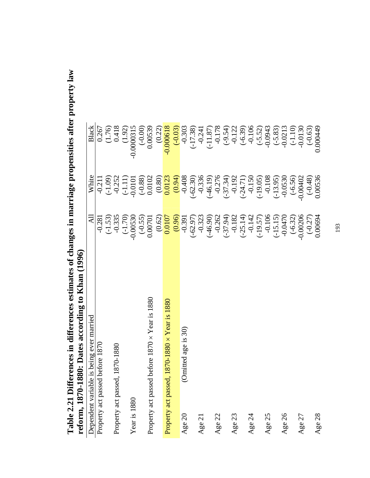|                      | reform, 18/0-1880: Dates according to Khan (1996) |                         |                                    |                                                                 |
|----------------------|---------------------------------------------------|-------------------------|------------------------------------|-----------------------------------------------------------------|
| Dependent variable   | is being ever married                             | ₹                       | White                              | Black                                                           |
| Property act passed  | before 1870                                       | $-0.281$                | $-0.211$                           |                                                                 |
|                      |                                                   | $(-1.53)$               | $(-1.09)$                          |                                                                 |
| Property act passed, | 1870-1880                                         | $-0.335$                |                                    |                                                                 |
|                      |                                                   | $(-1.70)$               | $-0.252$<br>( $-1.11$ )            | $\begin{array}{c} 0.267 \\ 1.76) \\ 0.418 \\ 0.92) \end{array}$ |
| Year is 1880         |                                                   | $-0.00530$              | $-0.0101$<br>$(-0.88)$<br>0.0102   | $-0.0000315$                                                    |
|                      |                                                   | $(-0.55)$<br>0.00701    |                                    | $(-0.00)$                                                       |
| Property act passed  | before $1870 \times$ Year is 1880                 |                         |                                    | 0.00539                                                         |
|                      |                                                   | $\frac{(0.62)}{0.0107}$ | $\frac{(0.80)}{0.0123}$            | (0.22)                                                          |
| Property act passed, | $1870 - 1880 \times \text{Year}$ is 1880          |                         |                                    | $-0.000618$                                                     |
|                      |                                                   | (0.96)                  | (0.94)                             | $(-0.03)$                                                       |
| Age 20               | (Omitted age is 30)                               | $-0.391$                | $-0.408$                           | $-0.303$                                                        |
|                      |                                                   | $(-62.97)$              | $(-62.30)$                         | $(-17.38)$                                                      |
| Age 21               |                                                   | $-0.323$                | $-0.336$<br>$(-46.19)$             | $-0.241$<br>$(-11.87)$                                          |
|                      |                                                   | $(-46.90)$              |                                    |                                                                 |
| Age 22               |                                                   | $-0.262$                | $-0.276$                           |                                                                 |
|                      |                                                   | $(-37.94)$              | $(-37.34)$                         | $-0.178$<br>$(-9.54)$<br>$-0.122$<br>$(-6.39)$<br>$-0.106$      |
| Age 23               |                                                   | $-0.182$                |                                    |                                                                 |
|                      |                                                   | $(-25.14)$<br>-0.142    |                                    |                                                                 |
| Age 24               |                                                   |                         | $-0.192$<br>$(-24.71)$<br>$-0.150$ |                                                                 |
|                      |                                                   | $(-19.57)$<br>-0.106    | $(-19.05)$                         | $(-5.52)$<br>-0.0943                                            |
| Age 25               |                                                   |                         | $-0.108$                           |                                                                 |
|                      |                                                   | $(-15.15)$              | $(-13.95)$                         |                                                                 |
| Age 26               |                                                   | $-0.0470$               | $-0.0530$                          | $(-5.83)$<br>$-0.0213$                                          |
|                      |                                                   | $(-6.32)$               | $(-6.56)$<br>0.00402               | $(-1.10)$<br>$-0.0130$                                          |
| Age 27               |                                                   | 0.00206                 |                                    |                                                                 |
|                      |                                                   | $(-0.27)$               | $(-0.48)$                          | $(-0.63)$                                                       |
| Age 28               |                                                   | 0.00694                 | 0.00536                            | 0.000449                                                        |

Table 2.21 Differences in differences estimates of changes in marriage propensities after property law<br>reform 1870-1880: Dates according to Khan (1996) **Table 2.21 Differences in differences estimates of changes in marriage propensities after property law reform, 1870-1880: Dates according to Khan (1996)**  refor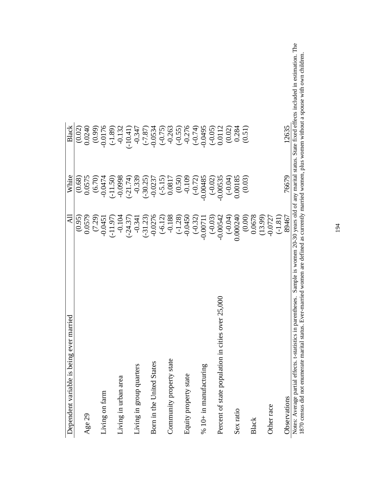| being ever married<br>Dependent variable is                                                                                           | $\overline{a}$ | White               | Black                     |
|---------------------------------------------------------------------------------------------------------------------------------------|----------------|---------------------|---------------------------|
|                                                                                                                                       | (0.95)         | (0.68)              | (0.02)                    |
| Age 29                                                                                                                                | 0.0579         | 0.0575              | 0.0240                    |
|                                                                                                                                       | (7.29)         | $(6.70)$<br>-0.0474 | $(0.99)$<br>0.0176        |
| Living on farm                                                                                                                        | $-0.0451$      |                     |                           |
|                                                                                                                                       | $(-11.97)$     | $(-11.50)$          | $(-1.89)$                 |
| Living in urban area                                                                                                                  | $-0.104$       | $8660^{o}$          | $-0.132$                  |
|                                                                                                                                       | $(-24.37)$     | $(-21.74)$          | $(-10.41)$                |
| Living in group quarters                                                                                                              | $-0.341$       | $-0.339$            | $-0.347$                  |
|                                                                                                                                       | $(-31.23)$     | $(-30.25)$          |                           |
| Born in the United States                                                                                                             | $-0.0276$      | $-0.0237$           | $(-7.87)$<br>0.0534       |
|                                                                                                                                       | $(-6.12)$      | $(-5.15)$<br>0.0817 | $(-0.75)$<br>$-0.263$     |
| Community property state                                                                                                              | $-0.188$       |                     |                           |
|                                                                                                                                       | $(-1.28)$      | (0.50)              | $( -0.55)$                |
| Equity property state                                                                                                                 | $-0.0450$      | $-0.109$            | $-0.276$<br>$(-0.74)$     |
|                                                                                                                                       | $(-0.32)$      | $(-0.72)$           |                           |
| $\%$ 10+ in manufacturing                                                                                                             | $-0.0071$      | 0.00485             | 0.0495                    |
|                                                                                                                                       | $(-0.03)$      | $(-0.02)$           | $(-0.05)$<br>0.0112       |
| tion in cities over 25,000<br>Percent of state popular                                                                                | $-0.00542$     | 0.00535             |                           |
|                                                                                                                                       | $(-0.04)$      | $(-0.04)$           | (0.02)                    |
| Sex ratio                                                                                                                             | 0000240        | 0.00185             | 0.284                     |
|                                                                                                                                       | (0.00)         | (0.03)              | (0.51)                    |
| Black                                                                                                                                 | 0.0678         |                     |                           |
|                                                                                                                                       | (13.99)        |                     |                           |
| Other race                                                                                                                            | $-0.0727$      |                     |                           |
|                                                                                                                                       | $(-1.81)$      |                     |                           |
| Observations                                                                                                                          | 89467          | 76679               | 12635                     |
| Sample is women 20-30 years old of any marital status.<br>Notes: Average partial effects. t-statistics in parentheses.<br>$\tilde{z}$ |                |                     | State fixed effects inclu |

Notes: Average partial effects. t-statistics in parentheses. Sample is women 20-30 years old of any marital status. State fixed effects included in estimation. The 1870 census did not enumerate marital status. Ever-married Notes: Average partial effects. t-statistics in parentheses. Sample is women 20-30 years old of any marital status. State fixed effects included in estimation. The 1870 census did not enumerate marital status. Ever-married women are defined as currently married women, plus women without a spouse with own children.  $\mathbf{r}$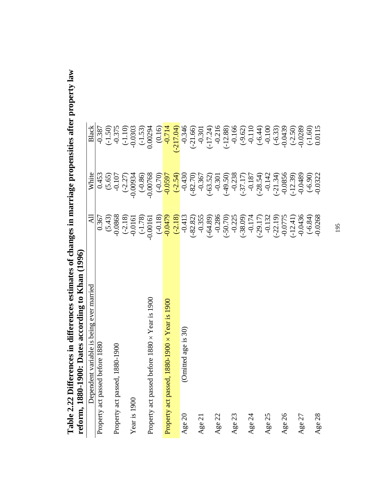| reform, 1880-1900:              | Dates according to Khan (1996)                 |                         |                        |                        |  |
|---------------------------------|------------------------------------------------|-------------------------|------------------------|------------------------|--|
|                                 | Dependent variable is being ever married       | ₹                       | White                  | Black                  |  |
| Property act passed before 1880 |                                                | 0.367                   | 0.453                  |                        |  |
|                                 |                                                | (5.43)                  | (5.65)                 | $-0.387$<br>$(-1.50)$  |  |
| Property act passed, 1880-1900  |                                                | $-0.0868$               | $-0.107$               |                        |  |
|                                 |                                                | $(-2.18)$               | $(-2.27)$              | $-0.375$<br>$(-1.10)$  |  |
| Year is 1900                    |                                                | $-0.0161$               | $-0.00934$             | $-0.0303$              |  |
|                                 |                                                | $(-1.78)$               | $(-0.86)$              | $(-1.53)$              |  |
|                                 | Property act passed before 1880 × Year is 1900 | $-0.00161$              | $-0.00768$             | 0.00294                |  |
|                                 |                                                |                         |                        |                        |  |
|                                 | Property act passed, 1880-1900 × Year is 1900  | $\frac{-0.18}{0.0479}$  | $\frac{-0.70}{0.0597}$ | $\frac{0.16}{0.714}$   |  |
|                                 |                                                | $(-2.18)$               | $(-2.54)$              | $(-217.04)$            |  |
| Age 20                          | ed age is 30)<br>(Omitte)                      | $-0.413$                | $-0.430$               | $-0.346$               |  |
|                                 |                                                | $(-82.82)$              | $(-82.70)$             | $(-21.66)$             |  |
| Age 21                          |                                                | $-0.355$                | $-0.367$               | $-0.301$               |  |
|                                 |                                                | $(-64.89)$              | $(-63.52)$             | $(-17.24)$             |  |
| Age 22                          |                                                | $-0.286$                | $-0.301$               | $-0.216$               |  |
|                                 |                                                | $(-50.70)$              | $(-49.50)$             | $(-12.88)$             |  |
| Age 23                          |                                                | $-0.225$                | $-0.238$               | $-0.166$               |  |
|                                 |                                                | $(-38.09)$              | $(-37.17)$             | $(-9.62)$              |  |
| Age 24                          |                                                | $-0.174$<br>$( -29.17)$ | $-0.187$               | $-0.110$               |  |
|                                 |                                                |                         | $(-28.54)$             | $(-6.44)$              |  |
| Age 25                          |                                                | $-0.132$                | $-0.142$               | $-0.100$               |  |
|                                 |                                                | $(-22.19)$              | $(-21.34)$             | $(-6.33)$              |  |
| Age 26                          |                                                | $-0.0775$<br>$(-12.41)$ | $-0.0856$              | $-0.0439$              |  |
|                                 |                                                |                         | $(-12.39)$             | $(-2.50)$              |  |
| Age 27                          |                                                | $-0.0436$               | $-0.0489$              | $-0.0289$<br>$(-1.60)$ |  |
|                                 |                                                | $(-6.84)$               | $(-6.90)$              |                        |  |
| Age 28                          |                                                | $-0.0268$               | $-0.0322$              | 0.0115                 |  |

**Table 2.22 Differences in differences estimates of changes in marriage propensities after property law**  Table 2.22 Differences in differences estimates of changes in marriage propensities after property law  $\mathbf{r}$ e

Age 28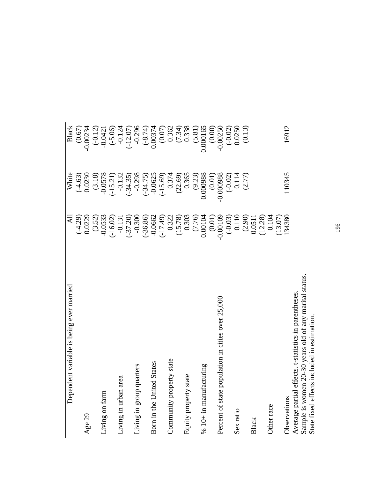| Dependent variable is being ever married               | $\Delta \Pi$         | White       | Black             |
|--------------------------------------------------------|----------------------|-------------|-------------------|
|                                                        | $(-4.29)$            | $(-4.63)$   | (0.67)            |
| Age 29                                                 | 0.0229               | 0.0230      | $-0.00234$        |
|                                                        | (3.52)               | (3.18)      | $(-0.12)$         |
| Living on farm                                         | $-0.0533$            | $-0.0578$   | $-0.0421$         |
|                                                        | $(-16.02)$           | $(-15.21)$  | $(-5.06)$         |
| Living in urban area                                   | $-0.131$             | $-0.132$    | $-0.124$          |
|                                                        | $(-37.20)$           | $(-34.35)$  | $(-12.07)$        |
| Living in group quarters                               | $-0.300$             | $-0.298$    | $-0.296$          |
|                                                        | $(-36.86)$           | $(-34.75)$  | $(-8.74)$         |
| Born in the United States                              | $-0.0662$            | $-0.0625$   | 0.00374           |
|                                                        | $( -17.49)$          | $(-15.69)$  | (0.07)            |
| Community property state                               | 0.322                | 0.374       | 0.362             |
|                                                        | (15.78)              | (22.69)     |                   |
| Equity property state                                  | 0.303                | 0.365       | $(7.34)$<br>0.338 |
|                                                        | (7.76)               | (9.23)      | (5.81)            |
| $%10+$ in manufacturing                                | 0.00104              | 0.000988    | 0.000165          |
|                                                        | (0.01)               | (0.01)      | (0.00)            |
| Percent of state population in cities over 25,000      | $-0.00109$           | $-0.000988$ | $-0.00250$        |
|                                                        | $(-0.03)$            | $(-0.02)$   | $(-0.02)$         |
| Sex ratio                                              | 0.110                | 0.114       | 0.0250            |
|                                                        |                      | (2.77)      | (0.13)            |
| Black                                                  | $(2.90)$<br>$0.0511$ |             |                   |
|                                                        | (12.28)              |             |                   |
| Other race                                             | 0.104                |             |                   |
|                                                        | (13.07)              |             |                   |
| Observations                                           | 134380               | 110345      | 16912             |
| Average partial effects. t-statistics in parentheses   |                      |             |                   |
| Sample is women 20-30 years old of any marital status. |                      |             |                   |
| State fixed effects included in estimation.            |                      |             |                   |

J.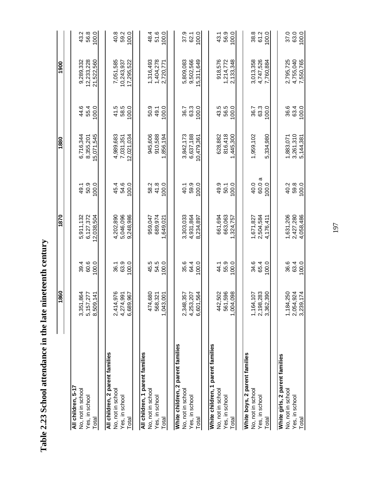| l                                                          |
|------------------------------------------------------------|
| うりゅう りゅう りゅうしょう                                            |
| ֧֧֧֧֧ׅ֧ׅ֧֧֧֧֧֧֧֚֚֚֚֚֚֚֚֚֚֚֚֚֚֚֚֚֚֚֚֚֚֚֚֚֡֝֝֝֝֜֝֬֝֬֝֬֝֬֝֬֝֬ |
| $\frac{1}{2}$<br>:                                         |
| $\frac{1}{2}$                                              |
| i<br>S<br>l                                                |
| いてくる                                                       |
| 1<br>$\frac{1}{2}$                                         |

|                                         | 1860             |       | 1870       |           | 1880      |       | 1900       |       |
|-----------------------------------------|------------------|-------|------------|-----------|-----------|-------|------------|-------|
|                                         |                  |       |            |           |           |       |            |       |
| All children, 5-17<br>No, not in school | ङ्के<br>3,351,8  | 39.4  | 5,911,132  | 49.1      | 6,716,344 | 44.6  | 9,289,332  | 43.2  |
| Yes, in school                          | 5,157,277        | 60.6  | 6,127,372  | 50.9      | 8,355,201 | 55.4  | 12,233,228 | 56.8  |
| Total                                   | $\pm$<br>8,509,1 | 100.0 | 12,038,504 | 100.0     | 5,071,545 | 100.0 | 21,522,560 | 100.0 |
| All children, 2 parent families         |                  |       |            |           |           |       |            |       |
| No, not in school                       | 2,414,976        | 36.1  | 4,202,890  | 45.4      | 4,989,683 | 41.5  | 7,051,585  | 40.8  |
| Yes, in school                          | 4,274,991        | 63.9  | 5,046,096  | 54.6      | 7,031,351 | 58.5  | 10,243,937 | 59.2  |
| Total                                   | 67<br>6,689,9    | 100.0 | 9,248,986  | 100.0     | 2.021.034 | 100.0 | 7,295,522  | 100.0 |
|                                         |                  |       |            |           |           |       |            |       |
| All children, 1 parent families         |                  |       |            |           |           |       |            |       |
| No, not in school                       | 474,680          | 45.5  | 959,047    | 58.2      | 945,606   | 50.9  | 1,316,493  | 48.4  |
| Yes, in school                          | 568,321          | 54.5  | 689,974    | 41.8      | 910,588   | 49.1  | 1.404.278  | 51.6  |
| Total                                   | 1,043,001        | 100.0 | .649.02    | 100.0     | 856,194   | 100.0 | 2,720,771  | 100.0 |
|                                         |                  |       |            |           |           |       |            |       |
| White children, 2 parent families       |                  |       |            |           |           |       |            |       |
| No, not in school                       | 2,348,357        | 35.6  | 3,303,033  | 40.1      | 3,842,173 | 36.7  | 5,809,083  | 37.9  |
| Yes, in school                          | 4,253,207        | 64.4  | 4,931,864  | 59.9      | 6,637,188 | 63.3  | 9,502,566  | 62.1  |
| Total                                   | 6,601,564        | 100.0 | 8,234,897  | 100.0     | 0.479.361 | 100.0 | 5,311,649  | 100.0 |
|                                         |                  |       |            |           |           |       |            |       |
| White children, 1 parent families       |                  |       |            |           |           |       |            |       |
| No, not in school                       | 442,502          | 44.1  | 661,694    | 49.9      | 628,882   | 43.5  | 918,576    | 43.1  |
| Yes, in school                          | 561,596          | 55.9  | 663,063    | 50.1      | 816,418   | 56.5  | 1,214,772  | 56.9  |
| Total                                   | 1,004,098        | 100.0 | 324,757    | 100.0     | ,445,300  | 100.0 | 2,133,348  | 100.0 |
|                                         |                  |       |            |           |           |       |            |       |
| White boys, 2 parent families           |                  |       |            |           |           |       |            |       |
| No, not in school                       | 1,164,107        | 34.6  | 1,671,827  | 40.0      | 1,959,102 | 36.7  | 3,013,358  | 38.8  |
| Yes, in school                          | 2,198,283        | 65.4  | 2,504,584  | σ<br>60.0 |           | 63.3  | 4,747,526  | 61.2  |
| Total                                   | 3,362,390        | 100.0 | 4.176.411  | 100.0     | 5,334,980 | 100.0 | 7.760.884  | 100.0 |
|                                         |                  |       |            |           |           |       |            |       |
| White girls, 2 parent families          |                  |       |            |           |           |       |            |       |
| No, not in school                       | δg<br>1,184,2    | 36.6  | 1,631,206  | 40.2      | 1,883,071 | 36.6  | 2,795,725  | 37.0  |
| Yes, in school                          | 2,054,924        | 63.4  | 2,427,280  | 59.8      | 3,261,310 | 63.4  | 4,755,040  | 63.0  |
| Total                                   | 3,239,174        | 100.0 | 4.058.486  | 100.0     | 5.144.38  | 100.0 | 7.550.765  | 100.0 |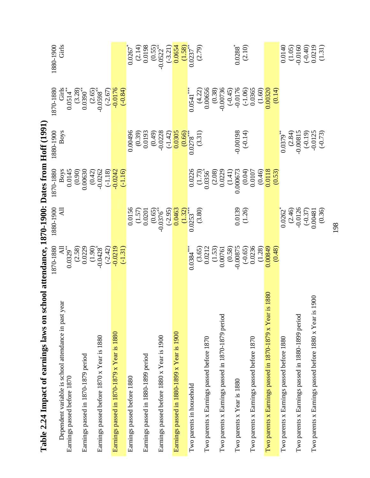| uo swa samulusa no ionulus on a zi                                                     | senooi allendance, 1870-1990: Dales from Hoh (1991                   |                                                                                                                                                                      |                                                                                                      |                                                                                                                     |                                                                                                                                                                    |                                                                                                                                                                                                                                                                                                   |
|----------------------------------------------------------------------------------------|----------------------------------------------------------------------|----------------------------------------------------------------------------------------------------------------------------------------------------------------------|------------------------------------------------------------------------------------------------------|---------------------------------------------------------------------------------------------------------------------|--------------------------------------------------------------------------------------------------------------------------------------------------------------------|---------------------------------------------------------------------------------------------------------------------------------------------------------------------------------------------------------------------------------------------------------------------------------------------------|
| year<br>Dependent variable is school attendance in past<br>Earnings passed before 1870 | 1870-1880<br>All<br>$0.0329^{**}$                                    | 1880-1900<br>$\overline{AB}$                                                                                                                                         | 1870-1880<br>Boys<br>0.0145                                                                          | <b>Boys</b><br>1880-1900                                                                                            | 870-1880<br>Girls<br>0.0514**                                                                                                                                      | Girls<br>1880-1900                                                                                                                                                                                                                                                                                |
| Earnings passed in 1870-1879 period                                                    | $(2.58)$<br>$0.0229$                                                 |                                                                                                                                                                      | $(0.90)$<br>0.00630                                                                                  |                                                                                                                     | $(3.28)$<br>0.0390 <sup>**</sup>                                                                                                                                   |                                                                                                                                                                                                                                                                                                   |
|                                                                                        | $(1.90)$<br>-0.0428*                                                 |                                                                                                                                                                      |                                                                                                      |                                                                                                                     |                                                                                                                                                                    |                                                                                                                                                                                                                                                                                                   |
| Earnings passed before 1870 x Year is 1880                                             | $(-2.42)$                                                            |                                                                                                                                                                      | $(0.42)$<br>$-0.0262$<br>$(-1.18)$<br>$-0.0242$<br>$-1.16$                                           |                                                                                                                     | $(2.65)$<br>-0.0598 <sup>**</sup><br>(-2.67)<br>-0.0176                                                                                                            |                                                                                                                                                                                                                                                                                                   |
| Earnings passed in 1870-1879 x Year is 1880                                            | $-0.0219$<br>$(-1.31)$                                               |                                                                                                                                                                      |                                                                                                      |                                                                                                                     | $(-0.84)$                                                                                                                                                          |                                                                                                                                                                                                                                                                                                   |
| Earnings passed before 1880                                                            |                                                                      |                                                                                                                                                                      |                                                                                                      | 0.00496                                                                                                             |                                                                                                                                                                    | 0.0267                                                                                                                                                                                                                                                                                            |
|                                                                                        |                                                                      | $\frac{0.0156}{(1.57)}$<br>0.0201                                                                                                                                    |                                                                                                      |                                                                                                                     |                                                                                                                                                                    |                                                                                                                                                                                                                                                                                                   |
| Earnings passed in 1880-1899 period                                                    |                                                                      |                                                                                                                                                                      |                                                                                                      |                                                                                                                     |                                                                                                                                                                    |                                                                                                                                                                                                                                                                                                   |
| Earnings passed before 1880 x Year is 1900                                             |                                                                      | $(0.65)$<br>-0.0376**                                                                                                                                                |                                                                                                      | $\begin{array}{c} (0.39) \\ 0.0193 \\ (0.49) \\ (0.42) \\ -0.0228 \\ (-1.42) \\ 0.0305 \end{array}$                 |                                                                                                                                                                    | $(2.14) \atop 0.0198 \atop 0.0522^{*} \atop -0.0522^{*} \atop 0.0532^{*} \atop 0.0537^{*} \atop 0.0237^{*} \atop 0.0237^{*} \atop 0.0237^{*} \atop 0.0237^{*} \atop 0.0237^{*} \atop 0.0237^{*} \atop 0.0237^{*} \atop 0.0237^{*} \atop 0.0237^{*} \atop 0.0237^{*} \atop 0.0237^{*} \atop 0.023$ |
| Earnings passed in 1880-1899 x Year is 1900                                            |                                                                      | $\frac{(-2.95)}{0.0463}$                                                                                                                                             |                                                                                                      |                                                                                                                     |                                                                                                                                                                    |                                                                                                                                                                                                                                                                                                   |
|                                                                                        |                                                                      | $\frac{(1.32)}{0.0253}$                                                                                                                                              |                                                                                                      | $\frac{(0.66)}{0.0278}$                                                                                             |                                                                                                                                                                    |                                                                                                                                                                                                                                                                                                   |
| Two parents in household                                                               | $0.0384***$                                                          | (3.80)                                                                                                                                                               | $\begin{array}{c} 0.0226 \\ (1.73) \\ 0.0356 \end{array}$                                            | (3.31)                                                                                                              |                                                                                                                                                                    | (2.79)                                                                                                                                                                                                                                                                                            |
| Two parents x Earnings passed before 1870                                              | $\begin{array}{c} (3.65) \\ 0.0212 \\ (1.53) \\ 0.00761 \end{array}$ |                                                                                                                                                                      |                                                                                                      |                                                                                                                     |                                                                                                                                                                    |                                                                                                                                                                                                                                                                                                   |
| Two parents x Earnings passed in 1870-1879 period                                      |                                                                      |                                                                                                                                                                      |                                                                                                      |                                                                                                                     |                                                                                                                                                                    |                                                                                                                                                                                                                                                                                                   |
| Two parents x Year is 1880                                                             | $(0.58)$<br>-0.00875                                                 |                                                                                                                                                                      | $(2.08) \\ 0.0229 \\ 0.00673 \\ 0.006673 \\ 0.0107 \\ 0.0107 \\ 0.0107 \\ 0.0108 \\ 0.0108 \\ 0.033$ |                                                                                                                     | $\begin{array}{l} 0.0541^{***} \\ (4.22) \\ 0.00656 \\ (0.38) \\ 0.00736 \\ (-0.0176) \\ (-1.06) \\ 0.0365 \\ (1.60) \\ 0.0365 \\ (1.60) \\ 0.0363 \\ \end{array}$ | $0.0288^{*}$                                                                                                                                                                                                                                                                                      |
| Two parents x Earnings passed before 1870                                              | $(-0.65)$<br>0.0236                                                  | 0.0139<br>(1.26)                                                                                                                                                     |                                                                                                      | $(41.0)$ -0.000                                                                                                     |                                                                                                                                                                    | (2.10)                                                                                                                                                                                                                                                                                            |
|                                                                                        | (1.28)                                                               |                                                                                                                                                                      |                                                                                                      |                                                                                                                     |                                                                                                                                                                    |                                                                                                                                                                                                                                                                                                   |
| Two parents x Earnings passed in 1870-1879 x Year is 1880                              | 0.00849<br>(0.48)                                                    |                                                                                                                                                                      |                                                                                                      |                                                                                                                     | (0.14)                                                                                                                                                             |                                                                                                                                                                                                                                                                                                   |
| Two parents x Earnings passed before 1880                                              |                                                                      | $\begin{array}{c} \n \text{18.4} \\  0.0262 \\  \text{2.46} \\  0.0126 \\  \text{3.7} \\  0.00481 \\  \text{4.30} \\  0.00481 \\  \text{5.6} \\  0.36\n \end{array}$ |                                                                                                      | $\begin{array}{c} \n 0.0379^* \\  (2.84) \\  (2.84) \\  -0.00815 \\  (-0.19) \\  -0.0125 \\  (-0.73)\n \end{array}$ |                                                                                                                                                                    |                                                                                                                                                                                                                                                                                                   |
| Two parents x Earnings passed in 1880-1899 period                                      |                                                                      |                                                                                                                                                                      |                                                                                                      |                                                                                                                     |                                                                                                                                                                    | $\begin{array}{c} 0.0140 \\ (1.05) \\ -0.0160 \\ (-0.40) \\ 0.0219 \\ (1.31) \end{array}$                                                                                                                                                                                                         |
|                                                                                        |                                                                      |                                                                                                                                                                      |                                                                                                      |                                                                                                                     |                                                                                                                                                                    |                                                                                                                                                                                                                                                                                                   |
| Two parents x Earnings passed before 1880 x Year is 1900                               |                                                                      |                                                                                                                                                                      |                                                                                                      |                                                                                                                     |                                                                                                                                                                    |                                                                                                                                                                                                                                                                                                   |
|                                                                                        |                                                                      |                                                                                                                                                                      |                                                                                                      |                                                                                                                     |                                                                                                                                                                    |                                                                                                                                                                                                                                                                                                   |

**Table 2.24 Impact of earnings laws on school attendance, 1870-1900: Dates from Hoff (1991)**   $\mathbf{H}_{\alpha}$  $\mathbf{f}$  $\mathbf{f}$   $(1001)$  $\frac{1}{2}$ 1970 1000. D j.  $\ddot{\phantom{0}}$ F  $\tilde{\mathbf{z}}$  $\epsilon$ Toble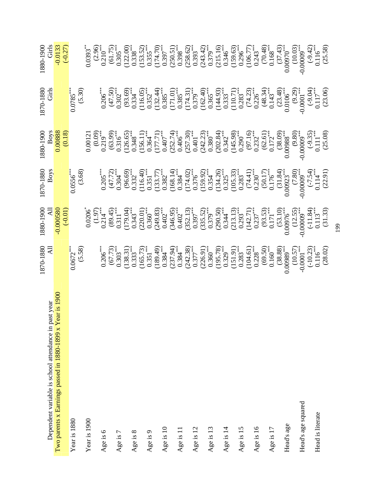|                                                                                                               | 1870-1880<br>All                                                                                                                                                                                                                                                                                                  | (10'0-)<br>Hy<br>O85000'0-<br>O85000'0-0881                                                                                                                                                                                                                                                      | 1870-1880<br>Boys                                                                                                                                                                                                                                                                                                       | $\begin{array}{c} 1880\text{-}1900 \\ \text{Boys} \\ 0.00888 \\ \text{0.00888} \\ \end{array}$                                                                                                                                                                                                      | 1870-1880<br>Girls                                                                                                                                                                                                                                                                                                        | $\begin{array}{c} 1880 - 1900 \\ \text{Girts} \\ -0.0133 \\ \text{(-0.27)} \end{array}$ |
|---------------------------------------------------------------------------------------------------------------|-------------------------------------------------------------------------------------------------------------------------------------------------------------------------------------------------------------------------------------------------------------------------------------------------------------------|--------------------------------------------------------------------------------------------------------------------------------------------------------------------------------------------------------------------------------------------------------------------------------------------------|-------------------------------------------------------------------------------------------------------------------------------------------------------------------------------------------------------------------------------------------------------------------------------------------------------------------------|-----------------------------------------------------------------------------------------------------------------------------------------------------------------------------------------------------------------------------------------------------------------------------------------------------|---------------------------------------------------------------------------------------------------------------------------------------------------------------------------------------------------------------------------------------------------------------------------------------------------------------------------|-----------------------------------------------------------------------------------------|
| Dependent variable is school attendance in past year<br>narents x Farnings passed in 1880-1899 x Year is 1900 |                                                                                                                                                                                                                                                                                                                   |                                                                                                                                                                                                                                                                                                  |                                                                                                                                                                                                                                                                                                                         |                                                                                                                                                                                                                                                                                                     |                                                                                                                                                                                                                                                                                                                           |                                                                                         |
| Two parents x Earnings passed in 1880-1899 x Year                                                             |                                                                                                                                                                                                                                                                                                                   |                                                                                                                                                                                                                                                                                                  |                                                                                                                                                                                                                                                                                                                         |                                                                                                                                                                                                                                                                                                     |                                                                                                                                                                                                                                                                                                                           |                                                                                         |
|                                                                                                               |                                                                                                                                                                                                                                                                                                                   |                                                                                                                                                                                                                                                                                                  |                                                                                                                                                                                                                                                                                                                         |                                                                                                                                                                                                                                                                                                     |                                                                                                                                                                                                                                                                                                                           |                                                                                         |
| Year is 1880                                                                                                  | $\frac{0.0672^{***}}{(5.58)}$                                                                                                                                                                                                                                                                                     |                                                                                                                                                                                                                                                                                                  | $\frac{0.0556^{***}}{(3.68)}$                                                                                                                                                                                                                                                                                           |                                                                                                                                                                                                                                                                                                     | $0.0785$<br>(5.30)                                                                                                                                                                                                                                                                                                        |                                                                                         |
|                                                                                                               |                                                                                                                                                                                                                                                                                                                   |                                                                                                                                                                                                                                                                                                  |                                                                                                                                                                                                                                                                                                                         |                                                                                                                                                                                                                                                                                                     |                                                                                                                                                                                                                                                                                                                           |                                                                                         |
| Year is 1900                                                                                                  |                                                                                                                                                                                                                                                                                                                   |                                                                                                                                                                                                                                                                                                  |                                                                                                                                                                                                                                                                                                                         |                                                                                                                                                                                                                                                                                                     |                                                                                                                                                                                                                                                                                                                           |                                                                                         |
| Age is 6                                                                                                      |                                                                                                                                                                                                                                                                                                                   |                                                                                                                                                                                                                                                                                                  |                                                                                                                                                                                                                                                                                                                         |                                                                                                                                                                                                                                                                                                     |                                                                                                                                                                                                                                                                                                                           |                                                                                         |
|                                                                                                               |                                                                                                                                                                                                                                                                                                                   |                                                                                                                                                                                                                                                                                                  |                                                                                                                                                                                                                                                                                                                         |                                                                                                                                                                                                                                                                                                     |                                                                                                                                                                                                                                                                                                                           |                                                                                         |
| Age is 7                                                                                                      |                                                                                                                                                                                                                                                                                                                   |                                                                                                                                                                                                                                                                                                  |                                                                                                                                                                                                                                                                                                                         |                                                                                                                                                                                                                                                                                                     |                                                                                                                                                                                                                                                                                                                           |                                                                                         |
| Age is 8                                                                                                      |                                                                                                                                                                                                                                                                                                                   |                                                                                                                                                                                                                                                                                                  |                                                                                                                                                                                                                                                                                                                         |                                                                                                                                                                                                                                                                                                     |                                                                                                                                                                                                                                                                                                                           |                                                                                         |
| Age is 9                                                                                                      |                                                                                                                                                                                                                                                                                                                   |                                                                                                                                                                                                                                                                                                  |                                                                                                                                                                                                                                                                                                                         |                                                                                                                                                                                                                                                                                                     |                                                                                                                                                                                                                                                                                                                           |                                                                                         |
|                                                                                                               |                                                                                                                                                                                                                                                                                                                   |                                                                                                                                                                                                                                                                                                  |                                                                                                                                                                                                                                                                                                                         |                                                                                                                                                                                                                                                                                                     |                                                                                                                                                                                                                                                                                                                           |                                                                                         |
| Age is 10                                                                                                     |                                                                                                                                                                                                                                                                                                                   |                                                                                                                                                                                                                                                                                                  |                                                                                                                                                                                                                                                                                                                         |                                                                                                                                                                                                                                                                                                     |                                                                                                                                                                                                                                                                                                                           |                                                                                         |
|                                                                                                               |                                                                                                                                                                                                                                                                                                                   |                                                                                                                                                                                                                                                                                                  |                                                                                                                                                                                                                                                                                                                         |                                                                                                                                                                                                                                                                                                     |                                                                                                                                                                                                                                                                                                                           |                                                                                         |
| Age is 11                                                                                                     |                                                                                                                                                                                                                                                                                                                   |                                                                                                                                                                                                                                                                                                  |                                                                                                                                                                                                                                                                                                                         |                                                                                                                                                                                                                                                                                                     |                                                                                                                                                                                                                                                                                                                           |                                                                                         |
| Age is 12                                                                                                     |                                                                                                                                                                                                                                                                                                                   |                                                                                                                                                                                                                                                                                                  |                                                                                                                                                                                                                                                                                                                         |                                                                                                                                                                                                                                                                                                     |                                                                                                                                                                                                                                                                                                                           |                                                                                         |
|                                                                                                               |                                                                                                                                                                                                                                                                                                                   |                                                                                                                                                                                                                                                                                                  |                                                                                                                                                                                                                                                                                                                         |                                                                                                                                                                                                                                                                                                     |                                                                                                                                                                                                                                                                                                                           |                                                                                         |
| Age is 13                                                                                                     |                                                                                                                                                                                                                                                                                                                   |                                                                                                                                                                                                                                                                                                  |                                                                                                                                                                                                                                                                                                                         |                                                                                                                                                                                                                                                                                                     |                                                                                                                                                                                                                                                                                                                           |                                                                                         |
|                                                                                                               |                                                                                                                                                                                                                                                                                                                   |                                                                                                                                                                                                                                                                                                  |                                                                                                                                                                                                                                                                                                                         |                                                                                                                                                                                                                                                                                                     |                                                                                                                                                                                                                                                                                                                           |                                                                                         |
| Age is 14                                                                                                     |                                                                                                                                                                                                                                                                                                                   |                                                                                                                                                                                                                                                                                                  |                                                                                                                                                                                                                                                                                                                         |                                                                                                                                                                                                                                                                                                     |                                                                                                                                                                                                                                                                                                                           |                                                                                         |
| Age is 15                                                                                                     |                                                                                                                                                                                                                                                                                                                   |                                                                                                                                                                                                                                                                                                  |                                                                                                                                                                                                                                                                                                                         |                                                                                                                                                                                                                                                                                                     |                                                                                                                                                                                                                                                                                                                           |                                                                                         |
|                                                                                                               |                                                                                                                                                                                                                                                                                                                   |                                                                                                                                                                                                                                                                                                  |                                                                                                                                                                                                                                                                                                                         |                                                                                                                                                                                                                                                                                                     |                                                                                                                                                                                                                                                                                                                           |                                                                                         |
| Age is 16                                                                                                     |                                                                                                                                                                                                                                                                                                                   |                                                                                                                                                                                                                                                                                                  |                                                                                                                                                                                                                                                                                                                         |                                                                                                                                                                                                                                                                                                     |                                                                                                                                                                                                                                                                                                                           |                                                                                         |
|                                                                                                               |                                                                                                                                                                                                                                                                                                                   |                                                                                                                                                                                                                                                                                                  |                                                                                                                                                                                                                                                                                                                         |                                                                                                                                                                                                                                                                                                     |                                                                                                                                                                                                                                                                                                                           |                                                                                         |
| Age is 17                                                                                                     |                                                                                                                                                                                                                                                                                                                   |                                                                                                                                                                                                                                                                                                  |                                                                                                                                                                                                                                                                                                                         |                                                                                                                                                                                                                                                                                                     |                                                                                                                                                                                                                                                                                                                           |                                                                                         |
| Head's age                                                                                                    |                                                                                                                                                                                                                                                                                                                   |                                                                                                                                                                                                                                                                                                  |                                                                                                                                                                                                                                                                                                                         |                                                                                                                                                                                                                                                                                                     |                                                                                                                                                                                                                                                                                                                           |                                                                                         |
|                                                                                                               |                                                                                                                                                                                                                                                                                                                   |                                                                                                                                                                                                                                                                                                  |                                                                                                                                                                                                                                                                                                                         |                                                                                                                                                                                                                                                                                                     |                                                                                                                                                                                                                                                                                                                           |                                                                                         |
| Head's age squared                                                                                            |                                                                                                                                                                                                                                                                                                                   |                                                                                                                                                                                                                                                                                                  |                                                                                                                                                                                                                                                                                                                         |                                                                                                                                                                                                                                                                                                     |                                                                                                                                                                                                                                                                                                                           |                                                                                         |
|                                                                                                               |                                                                                                                                                                                                                                                                                                                   |                                                                                                                                                                                                                                                                                                  |                                                                                                                                                                                                                                                                                                                         |                                                                                                                                                                                                                                                                                                     |                                                                                                                                                                                                                                                                                                                           |                                                                                         |
| Head is literate                                                                                              | $\begin{array}{l} 0.206^{***} \\ (67.73) \\ (138.31) \\ (138.31^{**} \\ (165.73) \\ (189.49) \\ (169.49) \\ (169.49) \\ (169.49) \\ (169.41) \\ (169.42) \\ (169.43) \\ (169.44) \\ (169.45) \\ (169.46) \\ (169.47) \\ (169.48) \\ (169.49) \\ (169.49) \\ (160.40) \\ (160.41) \\ (160.42) \\ (160.43) \\ (160$ | $\begin{array}{c} 0.0206\\[-4pt] 0.214\\[-4pt] 0.214\\[-4pt] 0.311\\[-4pt] 0.311\\[-4pt] 0.304\\[-4pt] 0.300\\[-4pt] 0.300\\[-4pt] 0.300\\[-4pt] 0.300\\[-4pt] 0.300\\[-4pt] 0.300\\[-4pt] 0.300\\[-4pt] 0.300\\[-4pt] 0.300\\[-4pt] 0.300\\[-4pt] 0.300\\[-4pt] 0.300\\[-4pt] 0.300\\[-4pt] 0.$ | $\begin{array}{l} \left( \begin{matrix} 205 \\ 47.72 \\ 0.304 \\ 0.304 \\ 0.351 \\ 0.40 \\ 0.51 \\ 0.51 \\ 0.51 \\ 0.51 \\ 0.51 \\ 0.51 \\ 0.52 \\ 0.532 \\ 0.54 \\ 0.54 \\ 0.55 \\ 0.54 \\ 0.55 \\ 0.54 \\ 0.55 \\ 0.55 \\ 0.54 \\ 0.55 \\ 0.55 \\ 0.56 \\ 0.57 \\ 0.57 \\ 0.57 \\ 0.57 \\ 0.57 \\ 0.57 \\ 0.57 \\ 0.$ | $\begin{array}{l} 0.0121 \\ 0.019 \\ 0.219 \\ 0.316 \\ 0.438 \\ 0.509 \\ 0.504 \\ 0.509 \\ 0.650 \\ 0.714 \\ 0.609 \\ 0.714 \\ 0.714 \\ 0.714 \\ 0.714 \\ 0.714 \\ 0.714 \\ 0.714 \\ 0.714 \\ 0.714 \\ 0.714 \\ 0.714 \\ 0.714 \\ 0.714 \\ 0.714 \\ 0.714 \\ 0.714 \\ 0.714 \\ 0.714 \\ 0.714 \\ 0$ | $\begin{array}{l} \left( \begin{matrix} 2.50 \\ 4.50 \\ 2.00 \\ 0.30 \\ 0.00 \\ 0.00 \\ 0.00 \\ 0.00 \\ 0.00 \\ 0.00 \\ 0.00 \\ 0.00 \\ 0.00 \\ 0.00 \\ 0.00 \\ 0.00 \\ 0.00 \\ 0.00 \\ 0.00 \\ 0.00 \\ 0.00 \\ 0.00 \\ 0.00 \\ 0.00 \\ 0.00 \\ 0.00 \\ 0.00 \\ 0.00 \\ 0.00 \\ 0.00 \\ 0.00 \\ 0.00 \\ 0.00 \\ 0.00 \\ $ |                                                                                         |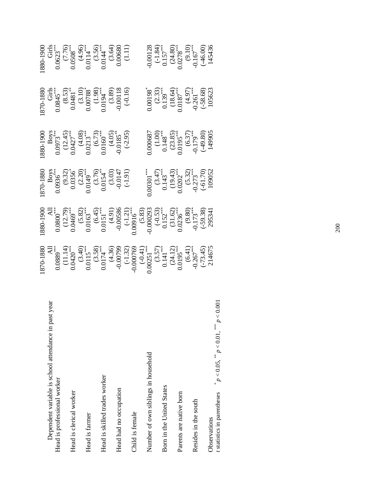| year<br>Dependent variable is school attendance in past                            |                                                                                                                                                                                                                                                                                                                                                                                                                                  |                                                                                                                                                                                                                                                                                                                                                                             |                                                                                                                                    |                                                                                                                                                      |                                                                                                                                                                                                                                                                                             |                                                                                                                                                                                                                                                                                                  |
|------------------------------------------------------------------------------------|----------------------------------------------------------------------------------------------------------------------------------------------------------------------------------------------------------------------------------------------------------------------------------------------------------------------------------------------------------------------------------------------------------------------------------|-----------------------------------------------------------------------------------------------------------------------------------------------------------------------------------------------------------------------------------------------------------------------------------------------------------------------------------------------------------------------------|------------------------------------------------------------------------------------------------------------------------------------|------------------------------------------------------------------------------------------------------------------------------------------------------|---------------------------------------------------------------------------------------------------------------------------------------------------------------------------------------------------------------------------------------------------------------------------------------------|--------------------------------------------------------------------------------------------------------------------------------------------------------------------------------------------------------------------------------------------------------------------------------------------------|
| Head is professional worker                                                        |                                                                                                                                                                                                                                                                                                                                                                                                                                  |                                                                                                                                                                                                                                                                                                                                                                             |                                                                                                                                    |                                                                                                                                                      |                                                                                                                                                                                                                                                                                             |                                                                                                                                                                                                                                                                                                  |
|                                                                                    |                                                                                                                                                                                                                                                                                                                                                                                                                                  |                                                                                                                                                                                                                                                                                                                                                                             |                                                                                                                                    |                                                                                                                                                      |                                                                                                                                                                                                                                                                                             |                                                                                                                                                                                                                                                                                                  |
| Head is clerical worker                                                            |                                                                                                                                                                                                                                                                                                                                                                                                                                  |                                                                                                                                                                                                                                                                                                                                                                             |                                                                                                                                    |                                                                                                                                                      |                                                                                                                                                                                                                                                                                             |                                                                                                                                                                                                                                                                                                  |
|                                                                                    |                                                                                                                                                                                                                                                                                                                                                                                                                                  |                                                                                                                                                                                                                                                                                                                                                                             | $870-1880$<br>$Boys$<br>$0.0936$<br>$(9.32)$<br>$(0.0356)$<br>$(2.20)$<br>$(3.76)$<br>$(3.03)$<br>$(3.03)$<br>$(3.03)$<br>$(3.03)$ | $880-1900$<br>$B_{\rm O}$<br>$0.0973$<br>$(12.45)$<br>$(4.08)$<br>$(6.73)$<br>$(6.73)$<br>$(6.73)$<br>$(6.05)$<br>$(6.05)$<br>$(10.05)$<br>$(10.05)$ | $870-1880$<br>Girls<br>Gish<br>Gish<br>Gish<br>Cital<br>Cital<br>Cital<br>Cital<br>Cital<br>Cital<br>Cital<br>Cital<br>Cital<br>Cital<br>Cital<br>Cital<br>Cital<br>Cital<br>Cital<br>Cital<br>Cital<br>Cital<br>Cital<br>Cital<br>Cital<br>Cital<br>Cital<br>Cital<br>Cital<br>Cital<br>Ci | $\begin{array}{r} {\rm (380-1900)} \\ {\rm Girts} \\ {\rm O.0623}^{***} \\ {\rm O.0508}^{***} \\ {\rm O.0508}^{***} \\ {\rm O.0508}^{***} \\ {\rm O.014}^{***} \\ {\rm O.014}^{***} \\ {\rm O.014}^{***} \\ {\rm O.014}^{***} \\ {\rm O.014}^{***} \\ {\rm O.014} \\ {\rm O.014} \\ \end{array}$ |
| Head is farmer                                                                     |                                                                                                                                                                                                                                                                                                                                                                                                                                  |                                                                                                                                                                                                                                                                                                                                                                             |                                                                                                                                    |                                                                                                                                                      |                                                                                                                                                                                                                                                                                             |                                                                                                                                                                                                                                                                                                  |
|                                                                                    |                                                                                                                                                                                                                                                                                                                                                                                                                                  |                                                                                                                                                                                                                                                                                                                                                                             |                                                                                                                                    |                                                                                                                                                      |                                                                                                                                                                                                                                                                                             |                                                                                                                                                                                                                                                                                                  |
| Head is skilled trades worker                                                      |                                                                                                                                                                                                                                                                                                                                                                                                                                  |                                                                                                                                                                                                                                                                                                                                                                             |                                                                                                                                    |                                                                                                                                                      |                                                                                                                                                                                                                                                                                             |                                                                                                                                                                                                                                                                                                  |
|                                                                                    |                                                                                                                                                                                                                                                                                                                                                                                                                                  |                                                                                                                                                                                                                                                                                                                                                                             |                                                                                                                                    |                                                                                                                                                      |                                                                                                                                                                                                                                                                                             |                                                                                                                                                                                                                                                                                                  |
| Head had no occupation                                                             |                                                                                                                                                                                                                                                                                                                                                                                                                                  |                                                                                                                                                                                                                                                                                                                                                                             |                                                                                                                                    |                                                                                                                                                      |                                                                                                                                                                                                                                                                                             |                                                                                                                                                                                                                                                                                                  |
|                                                                                    |                                                                                                                                                                                                                                                                                                                                                                                                                                  |                                                                                                                                                                                                                                                                                                                                                                             |                                                                                                                                    |                                                                                                                                                      |                                                                                                                                                                                                                                                                                             |                                                                                                                                                                                                                                                                                                  |
| Child is female                                                                    |                                                                                                                                                                                                                                                                                                                                                                                                                                  |                                                                                                                                                                                                                                                                                                                                                                             |                                                                                                                                    |                                                                                                                                                      |                                                                                                                                                                                                                                                                                             |                                                                                                                                                                                                                                                                                                  |
|                                                                                    |                                                                                                                                                                                                                                                                                                                                                                                                                                  |                                                                                                                                                                                                                                                                                                                                                                             |                                                                                                                                    |                                                                                                                                                      |                                                                                                                                                                                                                                                                                             |                                                                                                                                                                                                                                                                                                  |
| Number of own siblings in household                                                |                                                                                                                                                                                                                                                                                                                                                                                                                                  |                                                                                                                                                                                                                                                                                                                                                                             |                                                                                                                                    |                                                                                                                                                      |                                                                                                                                                                                                                                                                                             |                                                                                                                                                                                                                                                                                                  |
|                                                                                    |                                                                                                                                                                                                                                                                                                                                                                                                                                  |                                                                                                                                                                                                                                                                                                                                                                             |                                                                                                                                    |                                                                                                                                                      |                                                                                                                                                                                                                                                                                             |                                                                                                                                                                                                                                                                                                  |
| Bom in the United States                                                           |                                                                                                                                                                                                                                                                                                                                                                                                                                  |                                                                                                                                                                                                                                                                                                                                                                             |                                                                                                                                    |                                                                                                                                                      |                                                                                                                                                                                                                                                                                             |                                                                                                                                                                                                                                                                                                  |
|                                                                                    |                                                                                                                                                                                                                                                                                                                                                                                                                                  |                                                                                                                                                                                                                                                                                                                                                                             |                                                                                                                                    |                                                                                                                                                      |                                                                                                                                                                                                                                                                                             |                                                                                                                                                                                                                                                                                                  |
| Parents are native born                                                            |                                                                                                                                                                                                                                                                                                                                                                                                                                  |                                                                                                                                                                                                                                                                                                                                                                             |                                                                                                                                    |                                                                                                                                                      |                                                                                                                                                                                                                                                                                             |                                                                                                                                                                                                                                                                                                  |
|                                                                                    |                                                                                                                                                                                                                                                                                                                                                                                                                                  |                                                                                                                                                                                                                                                                                                                                                                             |                                                                                                                                    |                                                                                                                                                      |                                                                                                                                                                                                                                                                                             |                                                                                                                                                                                                                                                                                                  |
| Resides in the south                                                               |                                                                                                                                                                                                                                                                                                                                                                                                                                  |                                                                                                                                                                                                                                                                                                                                                                             |                                                                                                                                    |                                                                                                                                                      |                                                                                                                                                                                                                                                                                             |                                                                                                                                                                                                                                                                                                  |
|                                                                                    | $[870-1880^\ast_{-1} \qquad \qquad \textrm{AD} \\ 80.0889^\ast_{\bullet\bullet} \qquad \qquad \textrm{AD} \\ 0.0420^\ast_{\bullet\bullet} \qquad \qquad \textrm{CD} \\ 0.0115^\ast_{\bullet\bullet} \qquad \qquad \textrm{CD} \\ 0.0115^\ast_{\bullet\bullet} \qquad \qquad \textrm{CD} \\ 0.0115^\ast_{\bullet\bullet} \qquad \qquad \textrm{CD} \\ 0.00769 \qquad \qquad \textrm{CD} \\ 0.00769 \qquad \qquad \textrm{CD} \\ $ | $\begin{array}{rcl} &\text{A1} &\text{A1} &\text{A2} &\text{A3} &\text{A4} &\text{A5} \\ \text{A2} &\text{A3} &\text{A4} &\text{A5} &\text{A6} &\text{A7} \\ \text{B3} &\text{B4} &\text{B5} &\text{B5} &\text{A7} \\ \text{B4} &\text{B5} &\text{B5} &\text{B6} &\text{B7} \\ \text{C5} &\text{A5} &\text{A7} &\text{A7} &\text{A7} \\ \text{D5} &\text{D5} &\text{D5} &\$ | $0.00301$<br>$(3.47)$<br>$0.143$<br>$(19.43)$<br>$(0.0202)$<br>$(5.32)$<br>$-0.273$<br>$(-61.70)$                                  | 0.00687<br>(1.00)<br>(1.00)<br>(1.05.85)<br>(1.05.95)<br>(1.05.949)<br>(1.05.95)<br>(1.05.95)<br>(1.05.95)                                           | $\begin{array}{r} 0.00198^* \ (2.33) \ 0.139^{***} \ (18.64) \ (18.7) \ -0.187^{***} \ (18.9) \ -0.261^{***} \ (-58.68) \ (-58.68) \end{array}$                                                                                                                                             | $-0.00128$<br>$(-1.84)$<br>$0.157$<br>$(24.80)$<br>$(24.80)$<br>$(0.101)$<br>$(0.00)$<br>$(-46.00)$                                                                                                                                                                                              |
| Observations                                                                       |                                                                                                                                                                                                                                                                                                                                                                                                                                  |                                                                                                                                                                                                                                                                                                                                                                             |                                                                                                                                    |                                                                                                                                                      |                                                                                                                                                                                                                                                                                             |                                                                                                                                                                                                                                                                                                  |
| 0.001<br>* $p < 0.05$ , ** $p < 0.01$ , *** $p < 0$<br>t statistics in parentheses |                                                                                                                                                                                                                                                                                                                                                                                                                                  |                                                                                                                                                                                                                                                                                                                                                                             |                                                                                                                                    |                                                                                                                                                      |                                                                                                                                                                                                                                                                                             |                                                                                                                                                                                                                                                                                                  |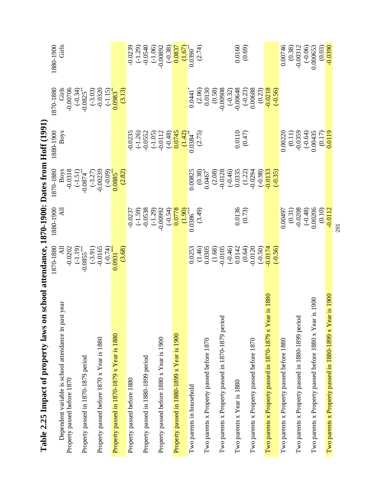| table 2.2 minimum of property laws on                                                  | senooi attendance, 1870-1990: Dates from Hoff (1991 |                           |                                                                                          |                                                    |                                                 |                                                  |
|----------------------------------------------------------------------------------------|-----------------------------------------------------|---------------------------|------------------------------------------------------------------------------------------|----------------------------------------------------|-------------------------------------------------|--------------------------------------------------|
| year<br>Dependent variable is school attendance in past<br>Property passed before 1870 | 1870-1880<br>$-0.0202$<br>$\overline{AB}$           | 1880-1900<br><b>All</b>   | <b>Boys</b><br>1870-1880<br>$-0.0318$<br>$(-1.51)$<br>$-0.0874$ <sup>**</sup>            | <b>Boys</b><br>1880-1900                           | 1870-1880<br>Girls<br>$-0.00706$                | Girls<br>1880-1900                               |
| Property passed in 1870-1879 period                                                    | $(-1.19)$<br>-0.0855***                             |                           | $(-3.27)$                                                                                |                                                    | $(-0.34)$<br>-0.0825 <sup>**</sup><br>$(-3.03)$ |                                                  |
| Property passed before 1870 x Year is 1880                                             | $(-3.91)$<br>-0.0165                                |                           | $-0.00239$                                                                               |                                                    | $-0.0320$<br>$(-1.15)$                          |                                                  |
| Property passed in 1870-1879 x Year is 1880                                            | $\frac{(-0.74)}{(0.0931***)}$<br>(3.68)             |                           | $\frac{(-0.09)}{0.0885}$<br>(2.82)                                                       |                                                    | $0.0983***$<br>(3.13)                           |                                                  |
| Property passed before 1880                                                            |                                                     | $-0.0237$                 |                                                                                          | 0.0235                                             |                                                 | $-0.0239$                                        |
| Property passed in 1880-1899 period                                                    |                                                     | $(-1.59)$<br>-0.0538      |                                                                                          |                                                    |                                                 | $(-1.29)$<br>$-0.0540$                           |
| Property passed before 1880 x Year is 1900                                             |                                                     | $-0.00992$<br>$(-1.29)$   |                                                                                          | $(-1.26)$<br>$-0.0552$<br>$(-1.05)$<br>$(-1.0112)$ |                                                 | $-0.00892$<br>$(-1.06)$                          |
| Property passed in 1880-1899 x Year is 1900                                            |                                                     | $(-0.54)$<br>0.0778       |                                                                                          | 0.0745<br>$(-0.48)$                                |                                                 | $\frac{0.0837}{(1.67)}$<br>$(1.67)$<br>$(-0.38)$ |
| Two parents in household                                                               | 0.0253                                              | $\frac{(1.90)}{(0.0386)}$ | 0.00825                                                                                  | $\frac{(1.42)}{0.0384}$                            | 0.0441                                          |                                                  |
|                                                                                        | $(1.46)$<br>0.0305                                  | (3.49)                    | $(0.38)$<br>$0.0467$                                                                     | (2.75)                                             | $(2.06)$<br>$0.0130$                            | (2.74)                                           |
| Two parents x Property passed before 1870                                              |                                                     |                           |                                                                                          |                                                    |                                                 |                                                  |
| Two parents x Property passed in 1870-1879 period                                      | $-0.0105$<br>(1.68)                                 |                           | $\begin{array}{c} (2.08) \\ 0.0128 \\ (-0.46) \\ 0.0335 \\ 1.22) \\ 0.03394 \end{array}$ |                                                    | $(0.58)$<br>-0.00908                            |                                                  |
| Two parents x Year is 1880                                                             | 0.0142<br>$(-0.46)$                                 | $\frac{0.0136}{(0.73)}$   |                                                                                          | $0.0110$<br>$(0.47)$                               | $-0.32$<br>$-0.00648$<br>$-0.23$<br>$-0.23$     | $0.0160$<br>$(0.69)$                             |
| Two parents x Property passed before 1870                                              | (0.64)<br>$-0.0120$<br>$(-0.50)$                    |                           | (96.0)                                                                                   |                                                    | (0.23)                                          |                                                  |
| is 1880<br>Two parents x Property passed in 1870-1879 x Year                           | 0.0174<br>$(-0.56)$                                 |                           | $-0.0133$<br>$(-0.35)$                                                                   |                                                    | $-0.0218$<br>$(-0.56)$                          |                                                  |
| Two parents x Property passed before 1880                                              |                                                     | 0.00497                   |                                                                                          | 0.00220                                            |                                                 | 0.00746                                          |
| Two parents x Property passed in 1880-1899 period                                      |                                                     | $(0.31)$<br>$-0.0208$     |                                                                                          | $(0.11)$<br>-0.0359                                |                                                 | $(0.38)$<br>-0.00312                             |
| Two parents x Property passed before 1880 x Year is 1900                               |                                                     | 0.00206<br>$(-0.48)$      |                                                                                          | $(-0.64)$<br>0.00435                               |                                                 | 0.000653<br>$(-0.06)$                            |
|                                                                                        |                                                     | (0.10)                    |                                                                                          | $\frac{(0.17)}{0.0119}$                            |                                                 | (0.03)                                           |
| is 1900<br>Two parents x Property passed in 1880-1899 x Year                           |                                                     | $-0.0112$                 |                                                                                          |                                                    |                                                 | $-0.0390$                                        |

**Table 2.25 Impact of property laws on school attendance, 1870-1900: Dates from Hoff (1991)**  m  $H_0$ ff (1001) 1870-1900 $\cdot$  Dates fre J. ने  $\frac{1}{4}$ ۹  $\Gamma_0$ ble  $2.5$  L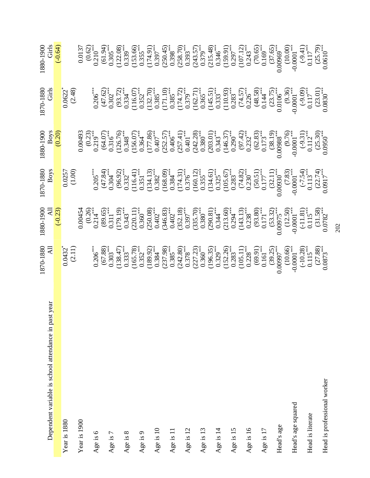| ear<br>Dependent variable is school attendance in past y | $1870-1880$ All                                                                                                                                                                                                                                                                                                      | $\begin{array}{c}\n 1880-1900 \\  \text{All} \\  \text{I.S.}\n \end{array}$                                                                                                                                                                                                                                                        | 1870-1880<br>Boys                                                                                                                                                                                                                                                                                                    | $1880-1900$<br>Boys<br>Boys<br>(0.20)                                                                                                                                                                                                                                                                                               | 1870-1880<br>Girls                                                                                                                                                                                                                                                                                                  | $1880 - 1900$<br>Girls<br>Girls                                                                                                                                                                                                                                               |
|----------------------------------------------------------|----------------------------------------------------------------------------------------------------------------------------------------------------------------------------------------------------------------------------------------------------------------------------------------------------------------------|------------------------------------------------------------------------------------------------------------------------------------------------------------------------------------------------------------------------------------------------------------------------------------------------------------------------------------|----------------------------------------------------------------------------------------------------------------------------------------------------------------------------------------------------------------------------------------------------------------------------------------------------------------------|-------------------------------------------------------------------------------------------------------------------------------------------------------------------------------------------------------------------------------------------------------------------------------------------------------------------------------------|---------------------------------------------------------------------------------------------------------------------------------------------------------------------------------------------------------------------------------------------------------------------------------------------------------------------|-------------------------------------------------------------------------------------------------------------------------------------------------------------------------------------------------------------------------------------------------------------------------------|
|                                                          |                                                                                                                                                                                                                                                                                                                      |                                                                                                                                                                                                                                                                                                                                    |                                                                                                                                                                                                                                                                                                                      |                                                                                                                                                                                                                                                                                                                                     |                                                                                                                                                                                                                                                                                                                     |                                                                                                                                                                                                                                                                               |
| Year is 1880                                             | $\frac{0.0432^4}{(2.11)}$                                                                                                                                                                                                                                                                                            |                                                                                                                                                                                                                                                                                                                                    | $\frac{0.0257}{(1.00)}$                                                                                                                                                                                                                                                                                              |                                                                                                                                                                                                                                                                                                                                     | $\frac{0.0622^4}{(2.48)}$                                                                                                                                                                                                                                                                                           |                                                                                                                                                                                                                                                                               |
|                                                          |                                                                                                                                                                                                                                                                                                                      |                                                                                                                                                                                                                                                                                                                                    |                                                                                                                                                                                                                                                                                                                      |                                                                                                                                                                                                                                                                                                                                     |                                                                                                                                                                                                                                                                                                                     |                                                                                                                                                                                                                                                                               |
| Year is 1900                                             |                                                                                                                                                                                                                                                                                                                      |                                                                                                                                                                                                                                                                                                                                    |                                                                                                                                                                                                                                                                                                                      |                                                                                                                                                                                                                                                                                                                                     |                                                                                                                                                                                                                                                                                                                     |                                                                                                                                                                                                                                                                               |
| Age is 6                                                 |                                                                                                                                                                                                                                                                                                                      |                                                                                                                                                                                                                                                                                                                                    |                                                                                                                                                                                                                                                                                                                      |                                                                                                                                                                                                                                                                                                                                     |                                                                                                                                                                                                                                                                                                                     |                                                                                                                                                                                                                                                                               |
|                                                          |                                                                                                                                                                                                                                                                                                                      |                                                                                                                                                                                                                                                                                                                                    |                                                                                                                                                                                                                                                                                                                      |                                                                                                                                                                                                                                                                                                                                     |                                                                                                                                                                                                                                                                                                                     |                                                                                                                                                                                                                                                                               |
| Age is 7                                                 |                                                                                                                                                                                                                                                                                                                      |                                                                                                                                                                                                                                                                                                                                    |                                                                                                                                                                                                                                                                                                                      |                                                                                                                                                                                                                                                                                                                                     |                                                                                                                                                                                                                                                                                                                     |                                                                                                                                                                                                                                                                               |
| Age is 8                                                 |                                                                                                                                                                                                                                                                                                                      |                                                                                                                                                                                                                                                                                                                                    |                                                                                                                                                                                                                                                                                                                      |                                                                                                                                                                                                                                                                                                                                     |                                                                                                                                                                                                                                                                                                                     |                                                                                                                                                                                                                                                                               |
|                                                          |                                                                                                                                                                                                                                                                                                                      |                                                                                                                                                                                                                                                                                                                                    |                                                                                                                                                                                                                                                                                                                      |                                                                                                                                                                                                                                                                                                                                     |                                                                                                                                                                                                                                                                                                                     |                                                                                                                                                                                                                                                                               |
| Age is 9                                                 |                                                                                                                                                                                                                                                                                                                      |                                                                                                                                                                                                                                                                                                                                    |                                                                                                                                                                                                                                                                                                                      |                                                                                                                                                                                                                                                                                                                                     |                                                                                                                                                                                                                                                                                                                     |                                                                                                                                                                                                                                                                               |
| Age is 10                                                |                                                                                                                                                                                                                                                                                                                      |                                                                                                                                                                                                                                                                                                                                    |                                                                                                                                                                                                                                                                                                                      |                                                                                                                                                                                                                                                                                                                                     |                                                                                                                                                                                                                                                                                                                     |                                                                                                                                                                                                                                                                               |
|                                                          |                                                                                                                                                                                                                                                                                                                      |                                                                                                                                                                                                                                                                                                                                    |                                                                                                                                                                                                                                                                                                                      |                                                                                                                                                                                                                                                                                                                                     |                                                                                                                                                                                                                                                                                                                     |                                                                                                                                                                                                                                                                               |
| Age is 11                                                |                                                                                                                                                                                                                                                                                                                      |                                                                                                                                                                                                                                                                                                                                    |                                                                                                                                                                                                                                                                                                                      |                                                                                                                                                                                                                                                                                                                                     |                                                                                                                                                                                                                                                                                                                     |                                                                                                                                                                                                                                                                               |
| Age is 12                                                |                                                                                                                                                                                                                                                                                                                      |                                                                                                                                                                                                                                                                                                                                    |                                                                                                                                                                                                                                                                                                                      |                                                                                                                                                                                                                                                                                                                                     |                                                                                                                                                                                                                                                                                                                     |                                                                                                                                                                                                                                                                               |
|                                                          |                                                                                                                                                                                                                                                                                                                      |                                                                                                                                                                                                                                                                                                                                    |                                                                                                                                                                                                                                                                                                                      |                                                                                                                                                                                                                                                                                                                                     |                                                                                                                                                                                                                                                                                                                     |                                                                                                                                                                                                                                                                               |
| Age is 13                                                |                                                                                                                                                                                                                                                                                                                      |                                                                                                                                                                                                                                                                                                                                    |                                                                                                                                                                                                                                                                                                                      |                                                                                                                                                                                                                                                                                                                                     |                                                                                                                                                                                                                                                                                                                     |                                                                                                                                                                                                                                                                               |
| Age is 14                                                |                                                                                                                                                                                                                                                                                                                      |                                                                                                                                                                                                                                                                                                                                    |                                                                                                                                                                                                                                                                                                                      |                                                                                                                                                                                                                                                                                                                                     |                                                                                                                                                                                                                                                                                                                     |                                                                                                                                                                                                                                                                               |
|                                                          |                                                                                                                                                                                                                                                                                                                      |                                                                                                                                                                                                                                                                                                                                    |                                                                                                                                                                                                                                                                                                                      |                                                                                                                                                                                                                                                                                                                                     |                                                                                                                                                                                                                                                                                                                     |                                                                                                                                                                                                                                                                               |
| Age is 15                                                |                                                                                                                                                                                                                                                                                                                      |                                                                                                                                                                                                                                                                                                                                    |                                                                                                                                                                                                                                                                                                                      |                                                                                                                                                                                                                                                                                                                                     |                                                                                                                                                                                                                                                                                                                     |                                                                                                                                                                                                                                                                               |
| Age is 16                                                |                                                                                                                                                                                                                                                                                                                      |                                                                                                                                                                                                                                                                                                                                    |                                                                                                                                                                                                                                                                                                                      |                                                                                                                                                                                                                                                                                                                                     |                                                                                                                                                                                                                                                                                                                     |                                                                                                                                                                                                                                                                               |
|                                                          |                                                                                                                                                                                                                                                                                                                      |                                                                                                                                                                                                                                                                                                                                    |                                                                                                                                                                                                                                                                                                                      |                                                                                                                                                                                                                                                                                                                                     |                                                                                                                                                                                                                                                                                                                     |                                                                                                                                                                                                                                                                               |
| Age is 17                                                |                                                                                                                                                                                                                                                                                                                      |                                                                                                                                                                                                                                                                                                                                    |                                                                                                                                                                                                                                                                                                                      |                                                                                                                                                                                                                                                                                                                                     |                                                                                                                                                                                                                                                                                                                     |                                                                                                                                                                                                                                                                               |
| Head's age                                               |                                                                                                                                                                                                                                                                                                                      |                                                                                                                                                                                                                                                                                                                                    |                                                                                                                                                                                                                                                                                                                      |                                                                                                                                                                                                                                                                                                                                     |                                                                                                                                                                                                                                                                                                                     |                                                                                                                                                                                                                                                                               |
|                                                          |                                                                                                                                                                                                                                                                                                                      |                                                                                                                                                                                                                                                                                                                                    |                                                                                                                                                                                                                                                                                                                      |                                                                                                                                                                                                                                                                                                                                     |                                                                                                                                                                                                                                                                                                                     |                                                                                                                                                                                                                                                                               |
| Head's age squared                                       |                                                                                                                                                                                                                                                                                                                      |                                                                                                                                                                                                                                                                                                                                    |                                                                                                                                                                                                                                                                                                                      |                                                                                                                                                                                                                                                                                                                                     |                                                                                                                                                                                                                                                                                                                     |                                                                                                                                                                                                                                                                               |
| Head is literate                                         |                                                                                                                                                                                                                                                                                                                      |                                                                                                                                                                                                                                                                                                                                    |                                                                                                                                                                                                                                                                                                                      |                                                                                                                                                                                                                                                                                                                                     |                                                                                                                                                                                                                                                                                                                     |                                                                                                                                                                                                                                                                               |
| Head is professional worker                              | $\begin{array}{l} \left( \begin{smallmatrix} * \\ 0.206 \\ 0.303 \\ 0.333 \\ 0.333 \\ 0.335 \\ 0.335 \\ 0.335 \\ 0.335 \\ 0.336 \\ 0.337 \\ 0.338 \\ 0.338 \\ 0.338 \\ 0.338 \\ 0.338 \\ 0.338 \\ 0.338 \\ 0.338 \\ 0.338 \\ 0.338 \\ 0.338 \\ 0.338 \\ 0.338 \\ 0.338 \\ 0.338 \\ 0.338 \\ 0.338 \\ 0.338 \\ 0.338$ | $\begin{array}{c} 0.00454\\ 0.026^{*}_{*}\\ 0.014^{*}_{*}\\ 0.031^{*}_{*}\\ 0.031^{*}_{*}\\ 0.034^{*}_{*}\\ 0.030^{*}_{*}\\ 0.030^{*}_{*}\\ 0.030^{*}_{*}\\ 0.030^{*}_{*}\\ 0.030^{*}_{*}\\ 0.030^{*}_{*}\\ 0.030^{*}_{*}\\ 0.030^{*}_{*}\\ 0.030^{*}_{*}\\ 0.030^{*}_{*}\\ 0.030^{*}_{*}\\ 0.030^{*}_{*}\\ 0.030^{*}_{*}\\ 0.030$ | $\begin{array}{l} \left( \begin{smallmatrix} * \\ 110.84 \\ 0.304 \\ 0.304 \\ 0.304 \\ 0.302 \\ 0.302 \\ 0.302 \\ 0.302 \\ 0.302 \\ 0.302 \\ 0.302 \\ 0.302 \\ 0.302 \\ 0.302 \\ 0.303 \\ 0.302 \\ 0.303 \\ 0.303 \\ 0.303 \\ 0.303 \\ 0.303 \\ 0.303 \\ 0.303 \\ 0.303 \\ 0.303 \\ 0.303 \\ 0.303 \\ 0.303 \\ 0.30$ | $\begin{smallmatrix} 0.00493\\ 0.0219\\ 0.516^{**}\\ 0.516^{**}\\ 0.516^{**}\\ 0.516^{**}\\ 0.516^{**}\\ 0.560^{**}\\ 0.560^{**}\\ 0.560^{**}\\ 0.574^{**}\\ 0.574^{**}\\ 0.574^{**}\\ 0.574^{**}\\ 0.574^{**}\\ 0.574^{**}\\ 0.574^{**}\\ 0.574^{**}\\ 0.574^{**}\\ 0.574^{**}\\ 0.574^{**}\\ 0.574^{**}\\ 0.574^{**}\\ 0.574^{**$ | $\begin{array}{l} 206 \\[-4pt] 0.206 \\[-4pt] 0.302 \\[-4pt] 0.334 \\[-4pt] 0.352 \\[-4pt] 0.352 \\[-4pt] 0.352 \\[-4pt] 0.385 \\[-4pt] 0.385 \\[-4pt] 0.385 \\[-4pt] 0.385 \\[-4pt] 0.385 \\[-4pt] 0.385 \\[-4pt] 0.379 \\[-4pt] 0.379 \\[-4pt] 0.333 \\[-4pt] 0.333 \\[-4pt] 0.333 \\[-4pt] 0.333 \\[-4pt] 0.333$ | $\begin{smallmatrix} 0.0137\\ 0.62)\\ 0.210\\ 0.395\\ 0.505\\ 0.505\\ 0.60\\ 0.70\\ 0.70\\ 0.89\\ 0.00\\ 0.00\\ 0.00\\ 0.00\\ 0.00\\ 0.00\\ 0.00\\ 0.00\\ 0.00\\ 0.00\\ 0.00\\ 0.00\\ 0.00\\ 0.00\\ 0.00\\ 0.00\\ 0.00\\ 0.00\\ 0.00\\ 0.00\\ 0.00\\ 0.00\\ 0.00\\ 0.00\\ 0.$ |
|                                                          |                                                                                                                                                                                                                                                                                                                      |                                                                                                                                                                                                                                                                                                                                    |                                                                                                                                                                                                                                                                                                                      |                                                                                                                                                                                                                                                                                                                                     |                                                                                                                                                                                                                                                                                                                     |                                                                                                                                                                                                                                                                               |